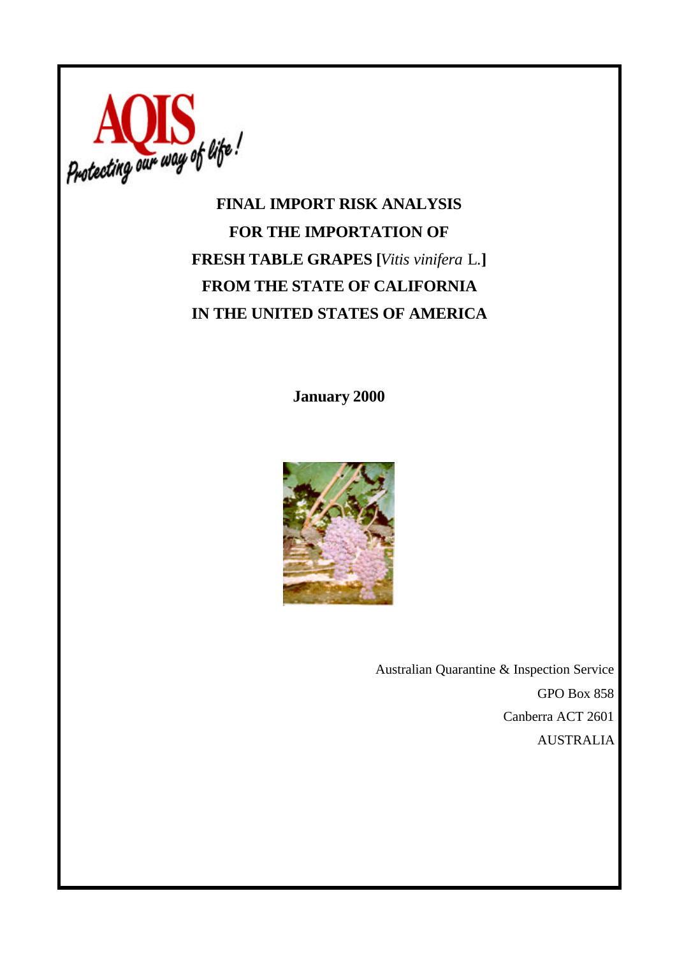

# **FOR THE IMPORTATION OF FRESH TABLE GRAPES [***Vitis vinifera* L.**] FROM THE STATE OF CALIFORNIA IN THE UNITED STATES OF AMERICA**

**January 2000**



Australian Quarantine & Inspection Service GPO Box 858 Canberra ACT 2601 AUSTRALIA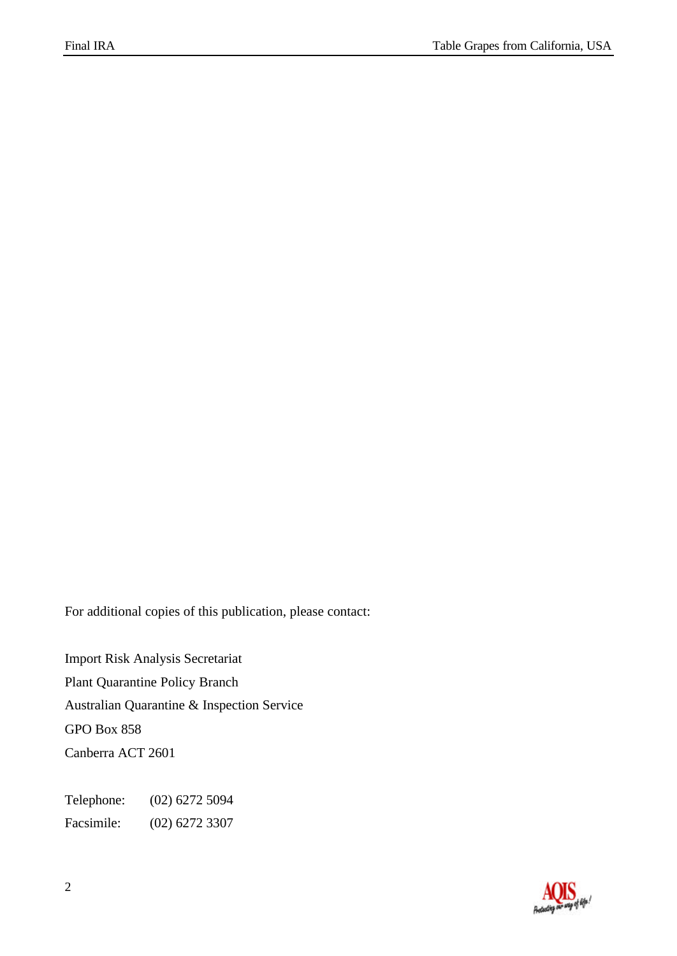For additional copies of this publication, please contact:

Import Risk Analysis Secretariat Plant Quarantine Policy Branch Australian Quarantine & Inspection Service GPO Box 858 Canberra ACT 2601

Telephone: (02) 6272 5094 Facsimile: (02) 6272 3307

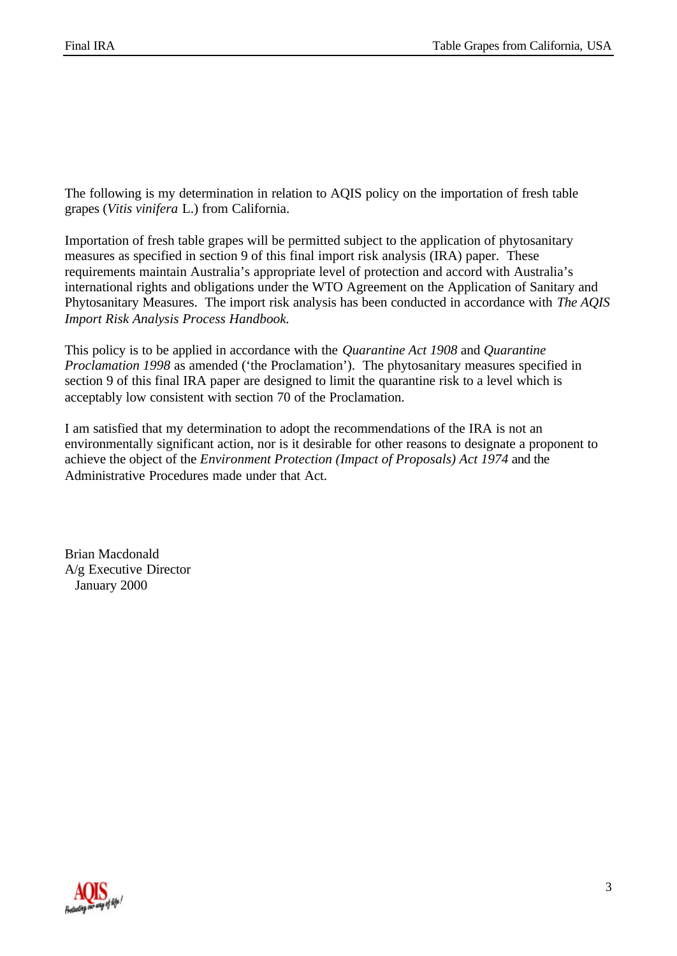The following is my determination in relation to AQIS policy on the importation of fresh table grapes (*Vitis vinifera* L.) from California.

Importation of fresh table grapes will be permitted subject to the application of phytosanitary measures as specified in section 9 of this final import risk analysis (IRA) paper. These requirements maintain Australia's appropriate level of protection and accord with Australia's international rights and obligations under the WTO Agreement on the Application of Sanitary and Phytosanitary Measures. The import risk analysis has been conducted in accordance with *The AQIS Import Risk Analysis Process Handbook.*

This policy is to be applied in accordance with the *Quarantine Act 1908* and *Quarantine Proclamation 1998* as amended ('the Proclamation'). The phytosanitary measures specified in section 9 of this final IRA paper are designed to limit the quarantine risk to a level which is acceptably low consistent with section 70 of the Proclamation.

I am satisfied that my determination to adopt the recommendations of the IRA is not an environmentally significant action, nor is it desirable for other reasons to designate a proponent to achieve the object of the *Environment Protection (Impact of Proposals) Act 1974* and the Administrative Procedures made under that Act.

Brian Macdonald A/g Executive Director January 2000

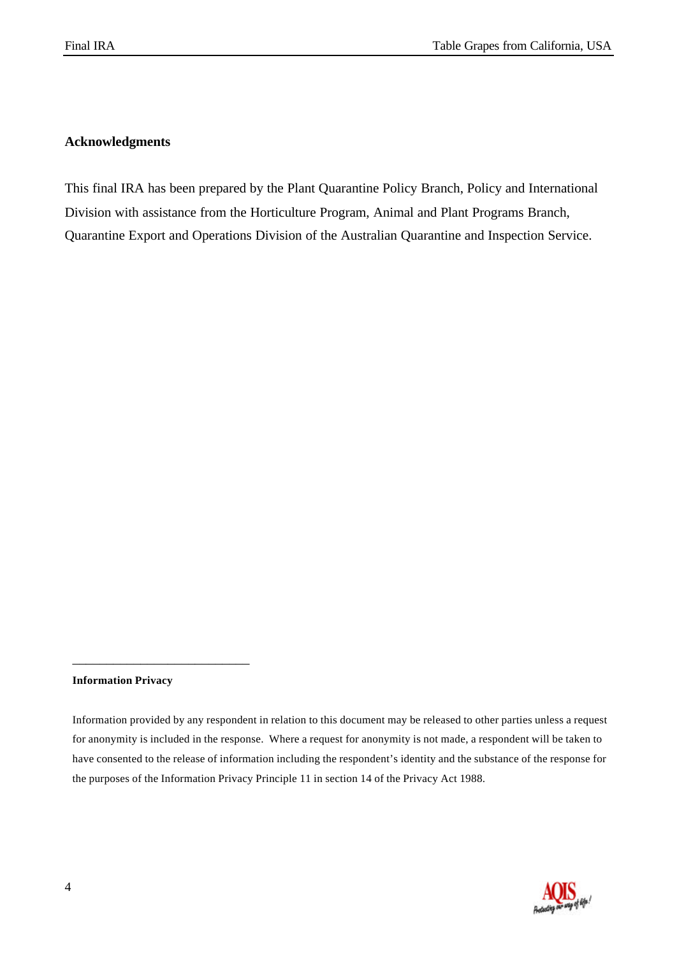# **Acknowledgments**

This final IRA has been prepared by the Plant Quarantine Policy Branch, Policy and International Division with assistance from the Horticulture Program, Animal and Plant Programs Branch, Quarantine Export and Operations Division of the Australian Quarantine and Inspection Service.

#### **Information Privacy**

\_\_\_\_\_\_\_\_\_\_\_\_\_\_\_\_\_\_\_\_\_\_\_\_\_\_



Information provided by any respondent in relation to this document may be released to other parties unless a request for anonymity is included in the response. Where a request for anonymity is not made, a respondent will be taken to have consented to the release of information including the respondent's identity and the substance of the response for the purposes of the Information Privacy Principle 11 in section 14 of the Privacy Act 1988.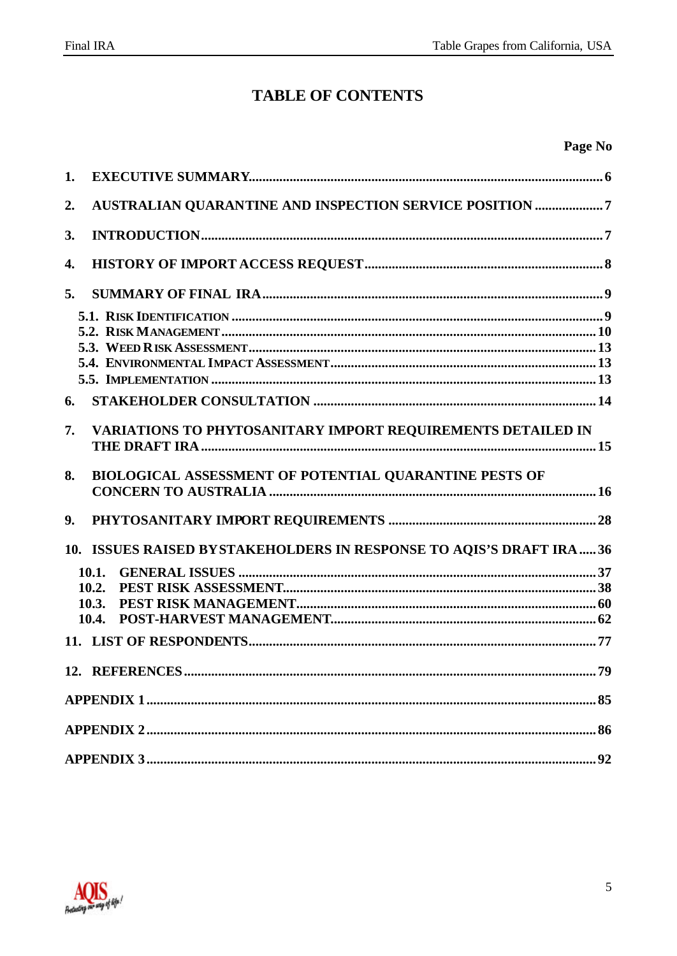# **TABLE OF CONTENTS**

| e ge<br>NN<br>и |
|-----------------|
|-----------------|

| 1. |                                                                      |    |
|----|----------------------------------------------------------------------|----|
| 2. | AUSTRALIAN QUARANTINE AND INSPECTION SERVICE POSITION 7              |    |
| 3. |                                                                      |    |
| 4. |                                                                      |    |
| 5. |                                                                      |    |
|    |                                                                      |    |
|    |                                                                      |    |
|    |                                                                      |    |
|    |                                                                      |    |
|    |                                                                      |    |
| 6. |                                                                      |    |
| 7. | VARIATIONS TO PHYTOSANITARY IMPORT REQUIREMENTS DETAILED IN          |    |
| 8. | BIOLOGICAL ASSESSMENT OF POTENTIAL QUARANTINE PESTS OF               |    |
| 9. |                                                                      |    |
|    |                                                                      |    |
|    | 10. ISSUES RAISED BYSTAKEHOLDERS IN RESPONSE TO AQIS'S DRAFT IRA  36 |    |
|    | 10.1.                                                                |    |
|    | 10.2.                                                                |    |
|    | 10.3.                                                                |    |
|    | 10.4.                                                                |    |
|    |                                                                      |    |
|    |                                                                      | 79 |
|    |                                                                      |    |
|    |                                                                      |    |

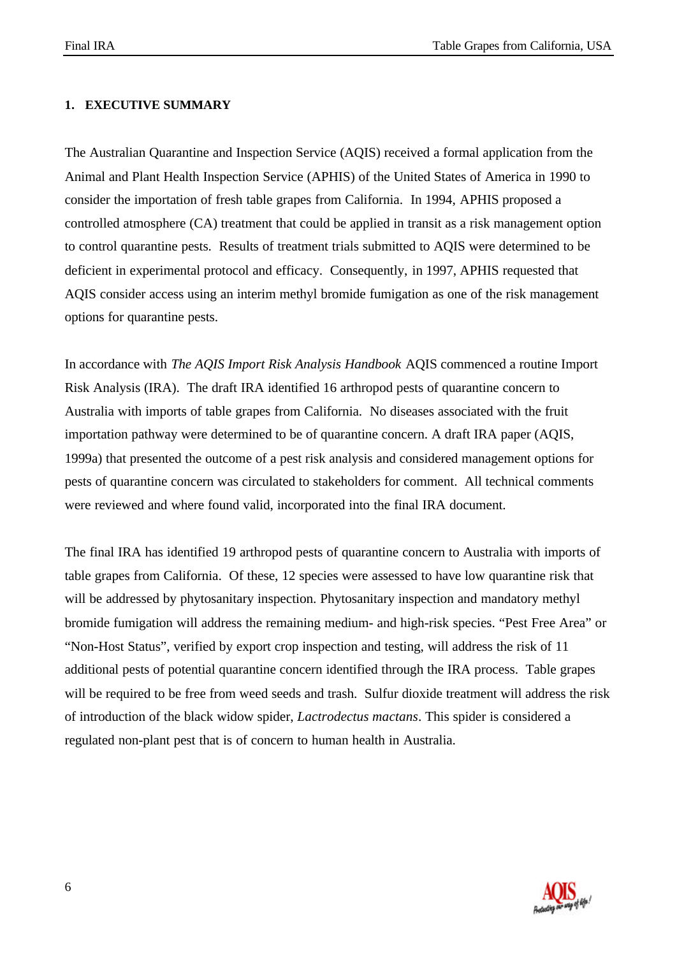#### **1. EXECUTIVE SUMMARY**

The Australian Quarantine and Inspection Service (AQIS) received a formal application from the Animal and Plant Health Inspection Service (APHIS) of the United States of America in 1990 to consider the importation of fresh table grapes from California. In 1994, APHIS proposed a controlled atmosphere (CA) treatment that could be applied in transit as a risk management option to control quarantine pests. Results of treatment trials submitted to AQIS were determined to be deficient in experimental protocol and efficacy. Consequently, in 1997, APHIS requested that AQIS consider access using an interim methyl bromide fumigation as one of the risk management options for quarantine pests.

In accordance with *The AQIS Import Risk Analysis Handbook* AQIS commenced a routine Import Risk Analysis (IRA). The draft IRA identified 16 arthropod pests of quarantine concern to Australia with imports of table grapes from California. No diseases associated with the fruit importation pathway were determined to be of quarantine concern. A draft IRA paper (AQIS, 1999a) that presented the outcome of a pest risk analysis and considered management options for pests of quarantine concern was circulated to stakeholders for comment. All technical comments were reviewed and where found valid, incorporated into the final IRA document.

The final IRA has identified 19 arthropod pests of quarantine concern to Australia with imports of table grapes from California. Of these, 12 species were assessed to have low quarantine risk that will be addressed by phytosanitary inspection. Phytosanitary inspection and mandatory methyl bromide fumigation will address the remaining medium- and high-risk species. "Pest Free Area" or "Non-Host Status", verified by export crop inspection and testing, will address the risk of 11 additional pests of potential quarantine concern identified through the IRA process. Table grapes will be required to be free from weed seeds and trash. Sulfur dioxide treatment will address the risk of introduction of the black widow spider, *Lactrodectus mactans*. This spider is considered a regulated non-plant pest that is of concern to human health in Australia.

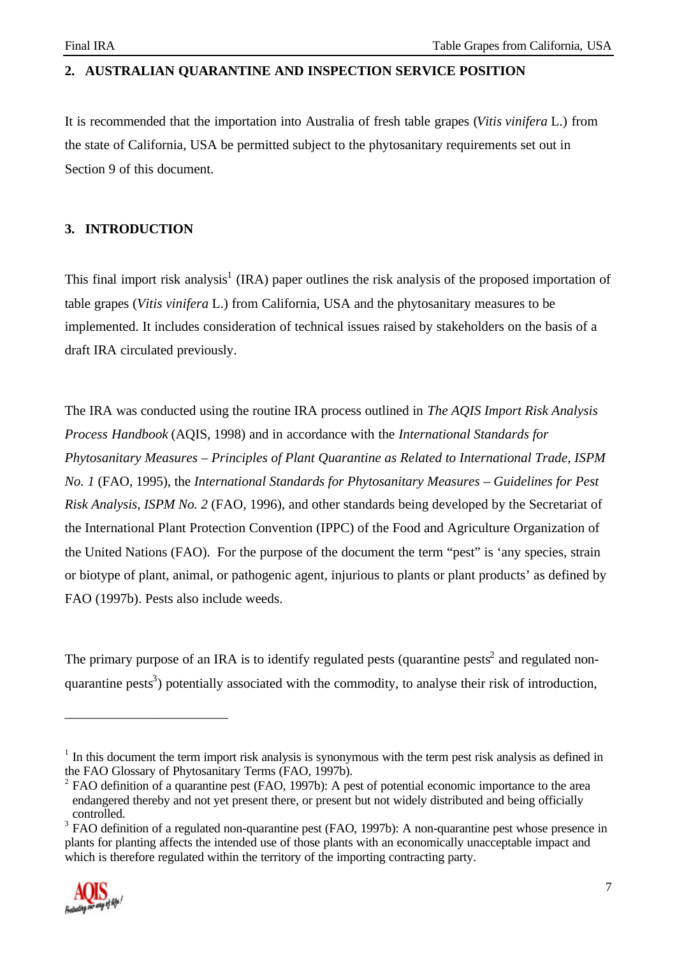# **2. AUSTRALIAN QUARANTINE AND INSPECTION SERVICE POSITION**

It is recommended that the importation into Australia of fresh table grapes (*Vitis vinifera* L.) from the state of California, USA be permitted subject to the phytosanitary requirements set out in Section 9 of this document.

# **3. INTRODUCTION**

This final import risk analysis<sup>1</sup> (IRA) paper outlines the risk analysis of the proposed importation of table grapes (*Vitis vinifera* L.) from California, USA and the phytosanitary measures to be implemented. It includes consideration of technical issues raised by stakeholders on the basis of a draft IRA circulated previously.

The IRA was conducted using the routine IRA process outlined in *The AQIS Import Risk Analysis Process Handbook* (AQIS, 1998) and in accordance with the *International Standards for Phytosanitary Measures – Principles of Plant Quarantine as Related to International Trade, ISPM No. 1* (FAO, 1995), the *International Standards for Phytosanitary Measures – Guidelines for Pest Risk Analysis, ISPM No. 2* (FAO, 1996), and other standards being developed by the Secretariat of the International Plant Protection Convention (IPPC) of the Food and Agriculture Organization of the United Nations (FAO). For the purpose of the document the term "pest" is 'any species, strain or biotype of plant, animal, or pathogenic agent, injurious to plants or plant products' as defined by FAO (1997b). Pests also include weeds.

The primary purpose of an IRA is to identify regulated pests (quarantine pests<sup>2</sup> and regulated nonquarantine pests<sup>3</sup>) potentially associated with the commodity, to analyse their risk of introduction,

 $3$  FAO definition of a regulated non-quarantine pest (FAO, 1997b): A non-quarantine pest whose presence in plants for planting affects the intended use of those plants with an economically unacceptable impact and which is therefore regulated within the territory of the importing contracting party.



\_\_\_\_\_\_\_\_\_\_\_\_\_\_\_\_\_\_\_\_\_\_\_\_

<sup>&</sup>lt;sup>1</sup> In this document the term import risk analysis is synonymous with the term pest risk analysis as defined in the FAO Glossary of Phytosanitary Terms (FAO, 1997b).

 $2$  FAO definition of a quarantine pest (FAO, 1997b): A pest of potential economic importance to the area endangered thereby and not yet present there, or present but not widely distributed and being officially controlled.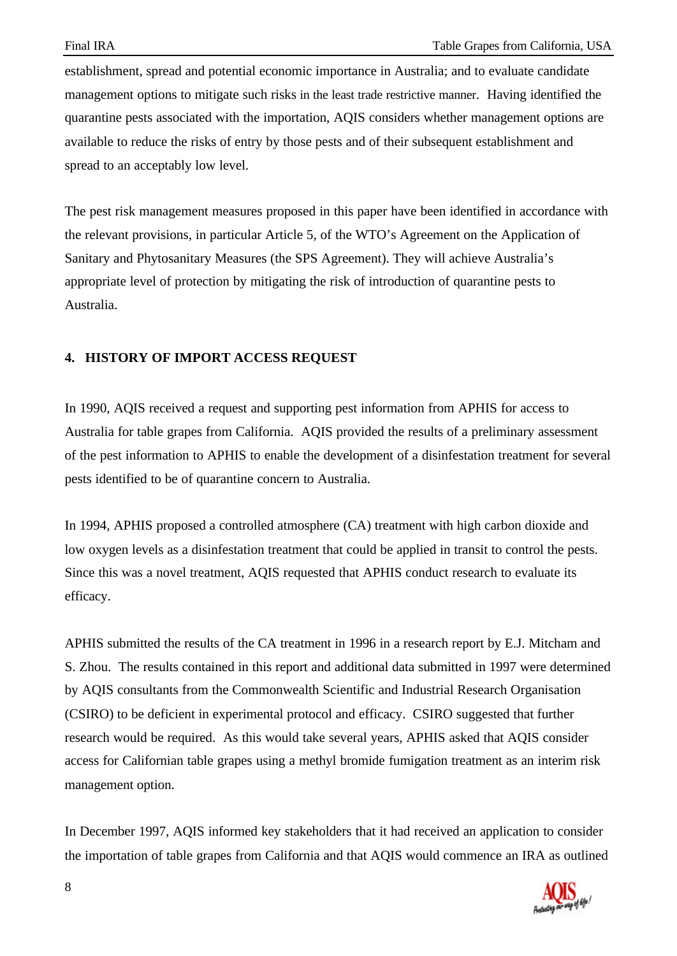establishment, spread and potential economic importance in Australia; and to evaluate candidate management options to mitigate such risks in the least trade restrictive manner. Having identified the quarantine pests associated with the importation, AQIS considers whether management options are available to reduce the risks of entry by those pests and of their subsequent establishment and spread to an acceptably low level.

The pest risk management measures proposed in this paper have been identified in accordance with the relevant provisions, in particular Article 5, of the WTO's Agreement on the Application of Sanitary and Phytosanitary Measures (the SPS Agreement). They will achieve Australia's appropriate level of protection by mitigating the risk of introduction of quarantine pests to Australia.

### **4. HISTORY OF IMPORT ACCESS REQUEST**

In 1990, AQIS received a request and supporting pest information from APHIS for access to Australia for table grapes from California. AQIS provided the results of a preliminary assessment of the pest information to APHIS to enable the development of a disinfestation treatment for several pests identified to be of quarantine concern to Australia.

In 1994, APHIS proposed a controlled atmosphere (CA) treatment with high carbon dioxide and low oxygen levels as a disinfestation treatment that could be applied in transit to control the pests. Since this was a novel treatment, AQIS requested that APHIS conduct research to evaluate its efficacy.

APHIS submitted the results of the CA treatment in 1996 in a research report by E.J. Mitcham and S. Zhou. The results contained in this report and additional data submitted in 1997 were determined by AQIS consultants from the Commonwealth Scientific and Industrial Research Organisation (CSIRO) to be deficient in experimental protocol and efficacy. CSIRO suggested that further research would be required. As this would take several years, APHIS asked that AQIS consider access for Californian table grapes using a methyl bromide fumigation treatment as an interim risk management option.

In December 1997, AQIS informed key stakeholders that it had received an application to consider the importation of table grapes from California and that AQIS would commence an IRA as outlined

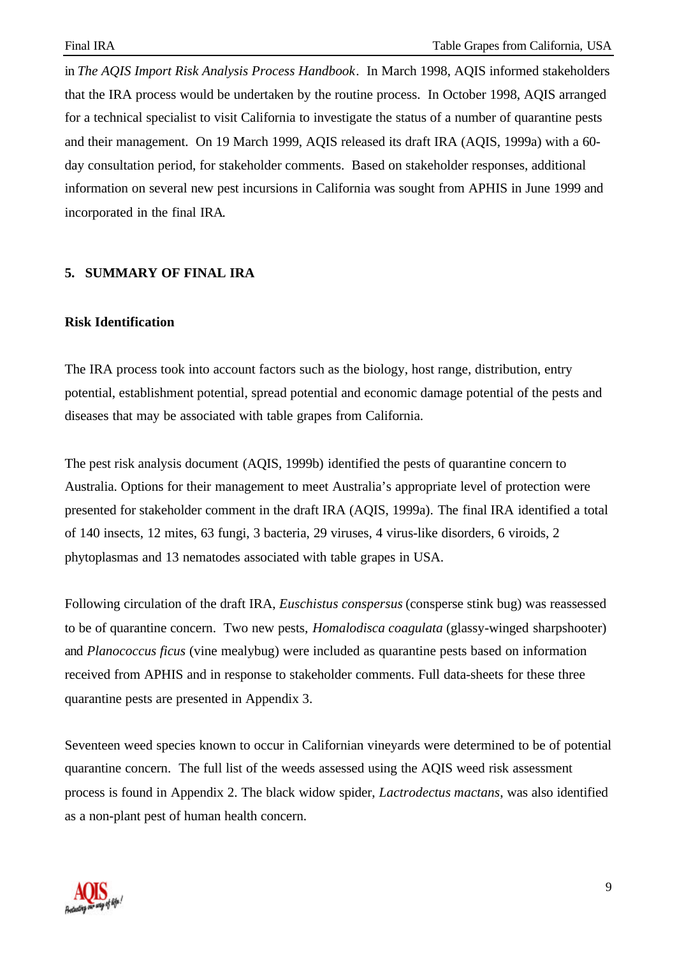in *The AQIS Import Risk Analysis Process Handbook*. In March 1998, AQIS informed stakeholders that the IRA process would be undertaken by the routine process. In October 1998, AQIS arranged for a technical specialist to visit California to investigate the status of a number of quarantine pests and their management. On 19 March 1999, AQIS released its draft IRA (AQIS, 1999a) with a 60 day consultation period, for stakeholder comments. Based on stakeholder responses, additional information on several new pest incursions in California was sought from APHIS in June 1999 and incorporated in the final IRA.

#### **5. SUMMARY OF FINAL IRA**

#### **Risk Identification**

The IRA process took into account factors such as the biology, host range, distribution, entry potential, establishment potential, spread potential and economic damage potential of the pests and diseases that may be associated with table grapes from California.

The pest risk analysis document (AQIS, 1999b) identified the pests of quarantine concern to Australia. Options for their management to meet Australia's appropriate level of protection were presented for stakeholder comment in the draft IRA (AQIS, 1999a). The final IRA identified a total of 140 insects, 12 mites, 63 fungi, 3 bacteria, 29 viruses, 4 virus-like disorders, 6 viroids, 2 phytoplasmas and 13 nematodes associated with table grapes in USA.

Following circulation of the draft IRA, *Euschistus conspersus* (consperse stink bug) was reassessed to be of quarantine concern. Two new pests, *Homalodisca coagulata* (glassy-winged sharpshooter) and *Planococcus ficus* (vine mealybug) were included as quarantine pests based on information received from APHIS and in response to stakeholder comments. Full data-sheets for these three quarantine pests are presented in Appendix 3.

Seventeen weed species known to occur in Californian vineyards were determined to be of potential quarantine concern. The full list of the weeds assessed using the AQIS weed risk assessment process is found in Appendix 2. The black widow spider, *Lactrodectus mactans*, was also identified as a non-plant pest of human health concern.

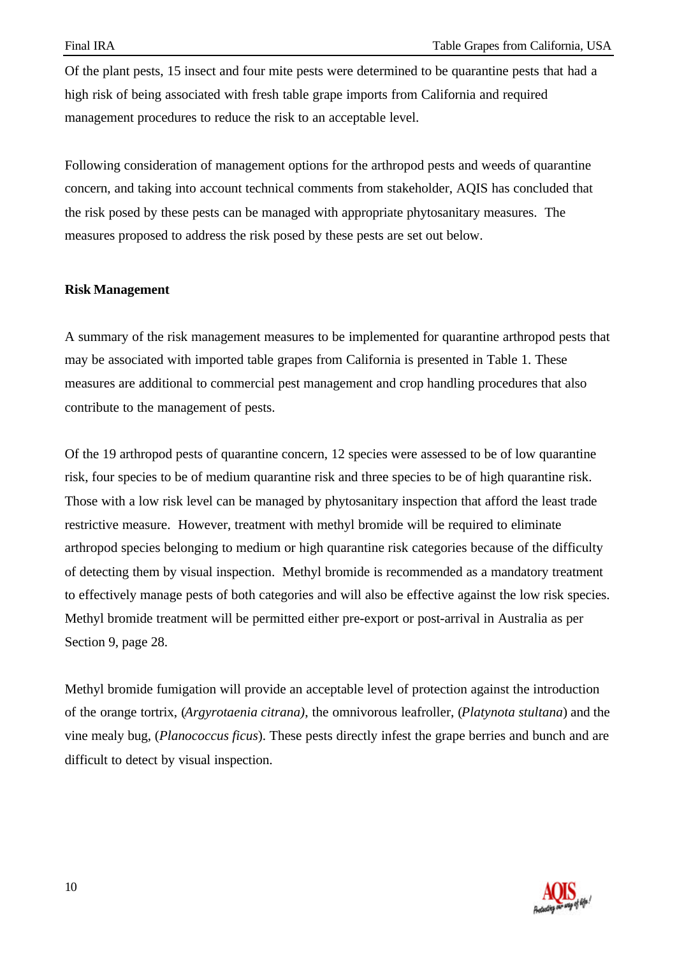Of the plant pests, 15 insect and four mite pests were determined to be quarantine pests that had a high risk of being associated with fresh table grape imports from California and required management procedures to reduce the risk to an acceptable level.

Following consideration of management options for the arthropod pests and weeds of quarantine concern, and taking into account technical comments from stakeholder, AQIS has concluded that the risk posed by these pests can be managed with appropriate phytosanitary measures. The measures proposed to address the risk posed by these pests are set out below.

### **Risk Management**

A summary of the risk management measures to be implemented for quarantine arthropod pests that may be associated with imported table grapes from California is presented in Table 1. These measures are additional to commercial pest management and crop handling procedures that also contribute to the management of pests.

Of the 19 arthropod pests of quarantine concern, 12 species were assessed to be of low quarantine risk, four species to be of medium quarantine risk and three species to be of high quarantine risk. Those with a low risk level can be managed by phytosanitary inspection that afford the least trade restrictive measure. However, treatment with methyl bromide will be required to eliminate arthropod species belonging to medium or high quarantine risk categories because of the difficulty of detecting them by visual inspection. Methyl bromide is recommended as a mandatory treatment to effectively manage pests of both categories and will also be effective against the low risk species. Methyl bromide treatment will be permitted either pre-export or post-arrival in Australia as per Section 9, page 28.

Methyl bromide fumigation will provide an acceptable level of protection against the introduction of the orange tortrix, (*Argyrotaenia citrana)*, the omnivorous leafroller, (*Platynota stultana*) and the vine mealy bug, (*Planococcus ficus*). These pests directly infest the grape berries and bunch and are difficult to detect by visual inspection.

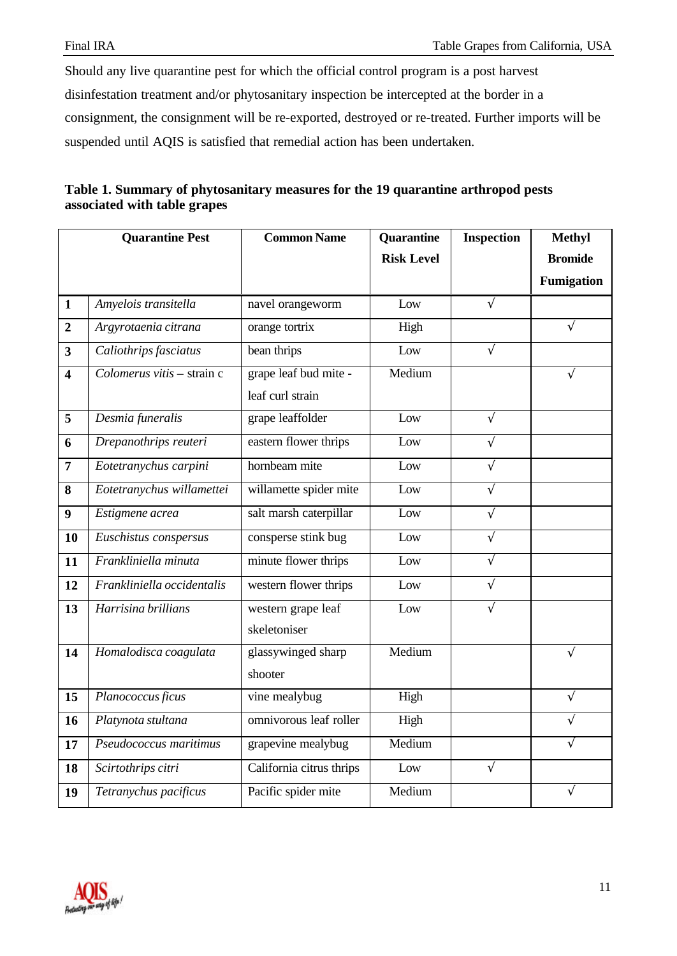Should any live quarantine pest for which the official control program is a post harvest disinfestation treatment and/or phytosanitary inspection be intercepted at the border in a consignment, the consignment will be re-exported, destroyed or re-treated. Further imports will be suspended until AQIS is satisfied that remedial action has been undertaken.

| Table 1. Summary of phytosanitary measures for the 19 quarantine arthropod pests |  |
|----------------------------------------------------------------------------------|--|
| associated with table grapes                                                     |  |

|                         | <b>Quarantine Pest</b>     | <b>Common Name</b>                        | Quarantine        | <b>Inspection</b> | <b>Methyl</b>     |
|-------------------------|----------------------------|-------------------------------------------|-------------------|-------------------|-------------------|
|                         |                            |                                           | <b>Risk Level</b> |                   | <b>Bromide</b>    |
|                         |                            |                                           |                   |                   | <b>Fumigation</b> |
| $\mathbf{1}$            | Amyelois transitella       | navel orangeworm                          | Low               | $\sqrt{}$         |                   |
| $\overline{2}$          | Argyrotaenia citrana       | orange tortrix                            | High              |                   | $\sqrt{}$         |
| $\overline{\mathbf{3}}$ | Caliothrips fasciatus      | bean thrips                               | Low               | $\sqrt{ }$        |                   |
| 4                       | Colomerus vitis - strain c | grape leaf bud mite -<br>leaf curl strain | Medium            |                   |                   |
| 5                       | Desmia funeralis           | grape leaffolder                          | Low               | $\sqrt{ }$        |                   |
| 6                       | Drepanothrips reuteri      | eastern flower thrips                     | Low               | $\sqrt{ }$        |                   |
| $\overline{7}$          | Eotetranychus carpini      | hornbeam mite                             | Low               | $\sqrt{ }$        |                   |
| 8                       | Eotetranychus willamettei  | willamette spider mite                    | Low               | $\sqrt{ }$        |                   |
| 9                       | Estigmene acrea            | salt marsh caterpillar                    | Low               | $\sqrt{}$         |                   |
| 10                      | Euschistus conspersus      | consperse stink bug                       | Low               | $\sqrt{ }$        |                   |
| 11                      | Frankliniella minuta       | minute flower thrips                      | Low               | $\sqrt{}$         |                   |
| 12                      | Frankliniella occidentalis | western flower thrips                     | Low               | $\sqrt{ }$        |                   |
| 13                      | Harrisina brillians        | western grape leaf<br>skeletoniser        | Low               |                   |                   |
| 14                      | Homalodisca coagulata      | glassywinged sharp<br>shooter             | Medium            |                   | $\sqrt{}$         |
| 15                      | Planococcus ficus          | vine mealybug                             | High              |                   | $\sqrt{}$         |
| 16                      | Platynota stultana         | omnivorous leaf roller                    | High              |                   | $\sqrt{}$         |
| 17                      | Pseudococcus maritimus     | grapevine mealybug                        | Medium            |                   | $\sqrt{}$         |
| 18                      | Scirtothrips citri         | California citrus thrips                  | Low               | $\sqrt{ }$        |                   |
| 19                      | Tetranychus pacificus      | Pacific spider mite                       | Medium            |                   | V                 |

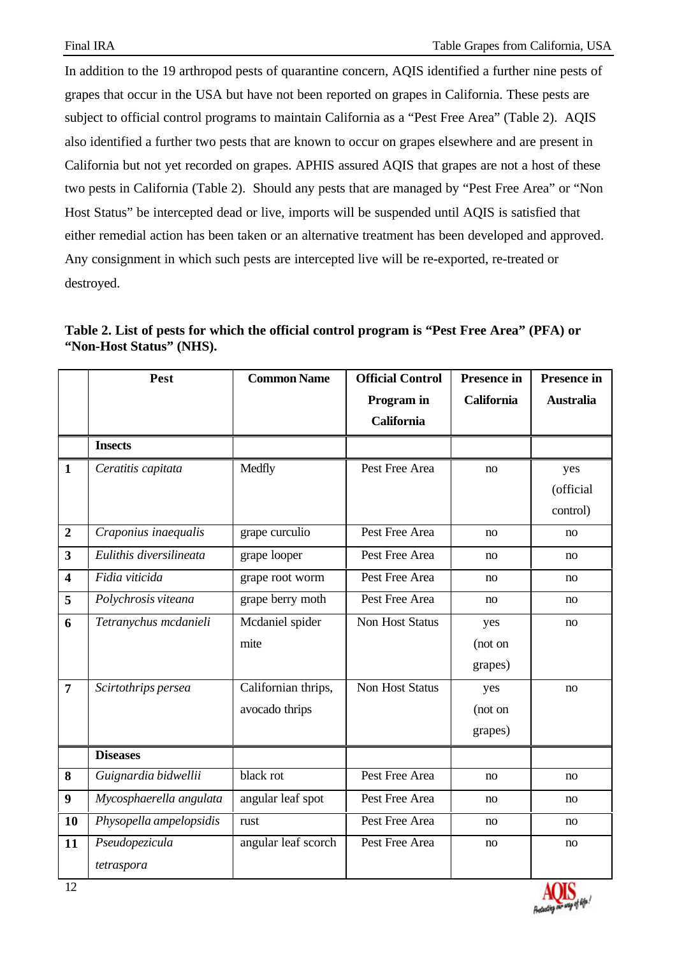In addition to the 19 arthropod pests of quarantine concern, AQIS identified a further nine pests of grapes that occur in the USA but have not been reported on grapes in California. These pests are subject to official control programs to maintain California as a "Pest Free Area" (Table 2). AQIS also identified a further two pests that are known to occur on grapes elsewhere and are present in California but not yet recorded on grapes. APHIS assured AQIS that grapes are not a host of these two pests in California (Table 2). Should any pests that are managed by "Pest Free Area" or "Non Host Status" be intercepted dead or live, imports will be suspended until AQIS is satisfied that either remedial action has been taken or an alternative treatment has been developed and approved. Any consignment in which such pests are intercepted live will be re-exported, re-treated or destroyed.

| Table 2. List of pests for which the official control program is "Pest Free Area" (PFA) or |  |  |
|--------------------------------------------------------------------------------------------|--|--|
| "Non-Host Status" (NHS).                                                                   |  |  |

|                         | Pest                    | <b>Common Name</b>  | <b>Official Control</b> | Presence in       | Presence in      |
|-------------------------|-------------------------|---------------------|-------------------------|-------------------|------------------|
|                         |                         |                     | Program in              | <b>California</b> | <b>Australia</b> |
|                         |                         |                     | <b>California</b>       |                   |                  |
|                         | <b>Insects</b>          |                     |                         |                   |                  |
| $\mathbf{1}$            | Ceratitis capitata      | Medfly              | Pest Free Area          | no                | yes              |
|                         |                         |                     |                         |                   | (official        |
|                         |                         |                     |                         |                   | control)         |
| $\boldsymbol{2}$        | Craponius inaequalis    | grape curculio      | Pest Free Area          | no                | no               |
| 3                       | Eulithis diversilineata | grape looper        | Pest Free Area          | no                | no               |
| $\overline{\mathbf{4}}$ | Fidia viticida          | grape root worm     | Pest Free Area          | no                | no               |
| 5                       | Polychrosis viteana     | grape berry moth    | Pest Free Area          | no                | no               |
| 6                       | Tetranychus mcdanieli   | Mcdaniel spider     | Non Host Status         | yes               | no               |
|                         |                         | mite                |                         | (not on           |                  |
|                         |                         |                     |                         | grapes)           |                  |
| $\overline{7}$          | Scirtothrips persea     | Californian thrips, | <b>Non Host Status</b>  | yes               | no               |
|                         |                         | avocado thrips      |                         | (not on           |                  |
|                         |                         |                     |                         | grapes)           |                  |
|                         | <b>Diseases</b>         |                     |                         |                   |                  |
| 8                       | Guignardia bidwellii    | black rot           | Pest Free Area          | no                | no               |
| $\boldsymbol{9}$        | Mycosphaerella angulata | angular leaf spot   | Pest Free Area          | no                | no               |
| 10                      | Physopella ampelopsidis | rust                | Pest Free Area          | no                | no               |
| 11                      | Pseudopezicula          | angular leaf scorch | Pest Free Area          | no                | no               |
|                         | tetraspora              |                     |                         |                   |                  |

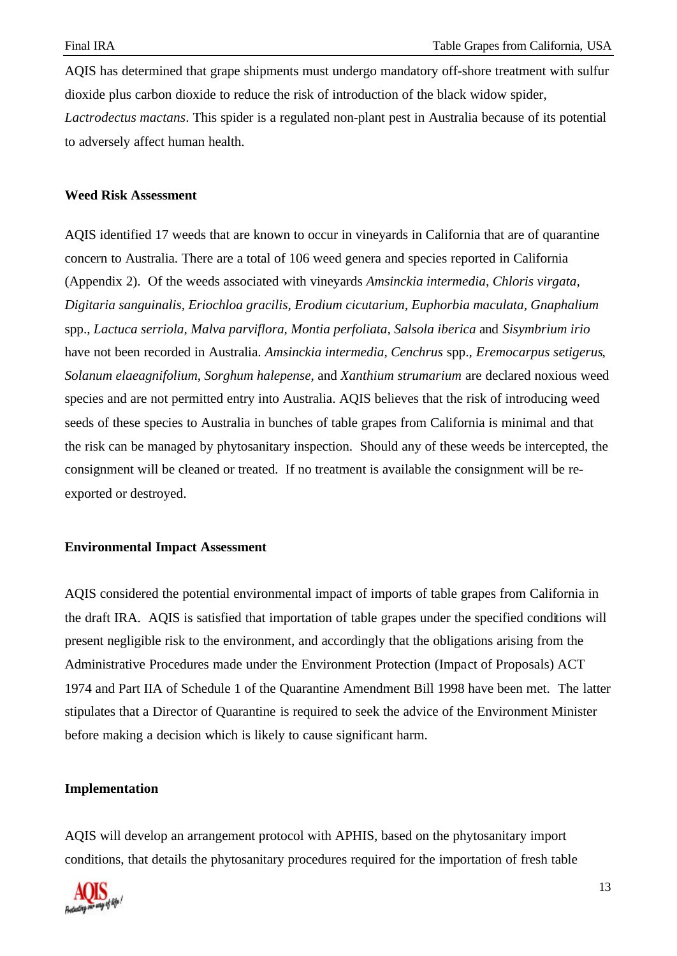AQIS has determined that grape shipments must undergo mandatory off-shore treatment with sulfur dioxide plus carbon dioxide to reduce the risk of introduction of the black widow spider, *Lactrodectus mactans*. This spider is a regulated non-plant pest in Australia because of its potential to adversely affect human health.

#### **Weed Risk Assessment**

AQIS identified 17 weeds that are known to occur in vineyards in California that are of quarantine concern to Australia. There are a total of 106 weed genera and species reported in California (Appendix 2). Of the weeds associated with vineyards *Amsinckia intermedia, Chloris virgata, Digitaria sanguinalis, Eriochloa gracilis, Erodium cicutarium, Euphorbia maculata, Gnaphalium* spp., *Lactuca serriola, Malva parviflora, Montia perfoliata, Salsola iberica* and *Sisymbrium irio* have not been recorded in Australia. *Amsinckia intermedia, Cenchrus* spp., *Eremocarpus setigerus*, *Solanum elaeagnifolium*, *Sorghum halepense*, and *Xanthium strumarium* are declared noxious weed species and are not permitted entry into Australia. AQIS believes that the risk of introducing weed seeds of these species to Australia in bunches of table grapes from California is minimal and that the risk can be managed by phytosanitary inspection. Should any of these weeds be intercepted, the consignment will be cleaned or treated. If no treatment is available the consignment will be reexported or destroyed.

#### **Environmental Impact Assessment**

AQIS considered the potential environmental impact of imports of table grapes from California in the draft IRA. AQIS is satisfied that importation of table grapes under the specified conditions will present negligible risk to the environment, and accordingly that the obligations arising from the Administrative Procedures made under the Environment Protection (Impact of Proposals) ACT 1974 and Part IIA of Schedule 1 of the Quarantine Amendment Bill 1998 have been met. The latter stipulates that a Director of Quarantine is required to seek the advice of the Environment Minister before making a decision which is likely to cause significant harm.

#### **Implementation**

AQIS will develop an arrangement protocol with APHIS, based on the phytosanitary import conditions, that details the phytosanitary procedures required for the importation of fresh table

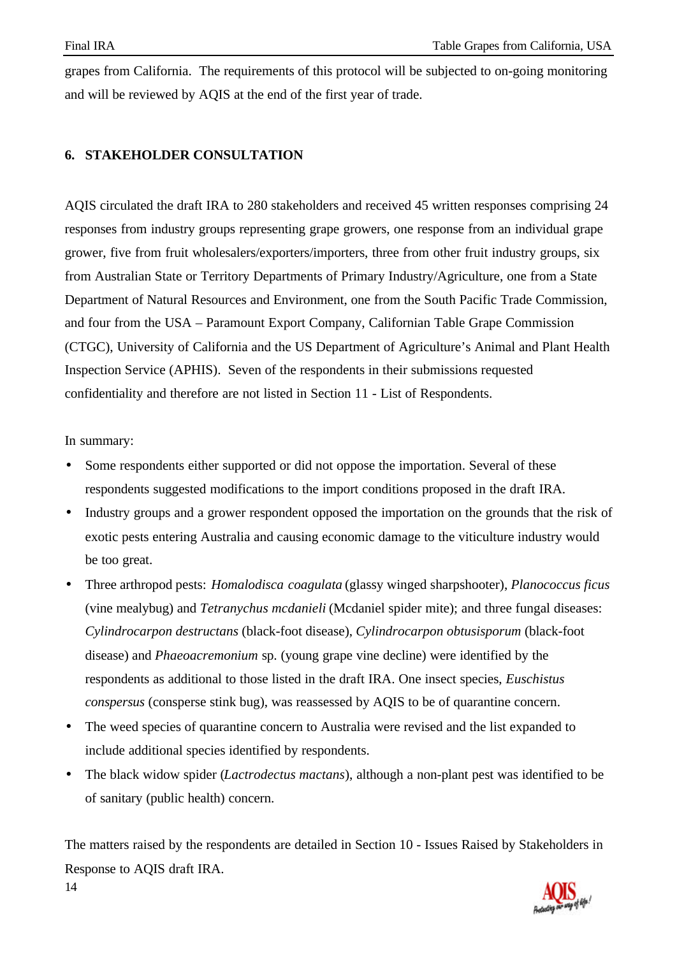grapes from California. The requirements of this protocol will be subjected to on-going monitoring and will be reviewed by AQIS at the end of the first year of trade.

# **6. STAKEHOLDER CONSULTATION**

AQIS circulated the draft IRA to 280 stakeholders and received 45 written responses comprising 24 responses from industry groups representing grape growers, one response from an individual grape grower, five from fruit wholesalers/exporters/importers, three from other fruit industry groups, six from Australian State or Territory Departments of Primary Industry/Agriculture, one from a State Department of Natural Resources and Environment, one from the South Pacific Trade Commission, and four from the USA – Paramount Export Company, Californian Table Grape Commission (CTGC), University of California and the US Department of Agriculture's Animal and Plant Health Inspection Service (APHIS). Seven of the respondents in their submissions requested confidentiality and therefore are not listed in Section 11 - List of Respondents.

In summary:

- Some respondents either supported or did not oppose the importation. Several of these respondents suggested modifications to the import conditions proposed in the draft IRA.
- Industry groups and a grower respondent opposed the importation on the grounds that the risk of exotic pests entering Australia and causing economic damage to the viticulture industry would be too great.
- Three arthropod pests: *Homalodisca coagulata* (glassy winged sharpshooter), *Planococcus ficus* (vine mealybug) and *Tetranychus mcdanieli* (Mcdaniel spider mite); and three fungal diseases: *Cylindrocarpon destructans* (black-foot disease), *Cylindrocarpon obtusisporum* (black-foot disease) and *Phaeoacremonium* sp. (young grape vine decline) were identified by the respondents as additional to those listed in the draft IRA. One insect species, *Euschistus conspersus* (consperse stink bug), was reassessed by AQIS to be of quarantine concern.
- The weed species of quarantine concern to Australia were revised and the list expanded to include additional species identified by respondents.
- The black widow spider (*Lactrodectus mactans*), although a non-plant pest was identified to be of sanitary (public health) concern.

14 The matters raised by the respondents are detailed in Section 10 - Issues Raised by Stakeholders in Response to AQIS draft IRA.

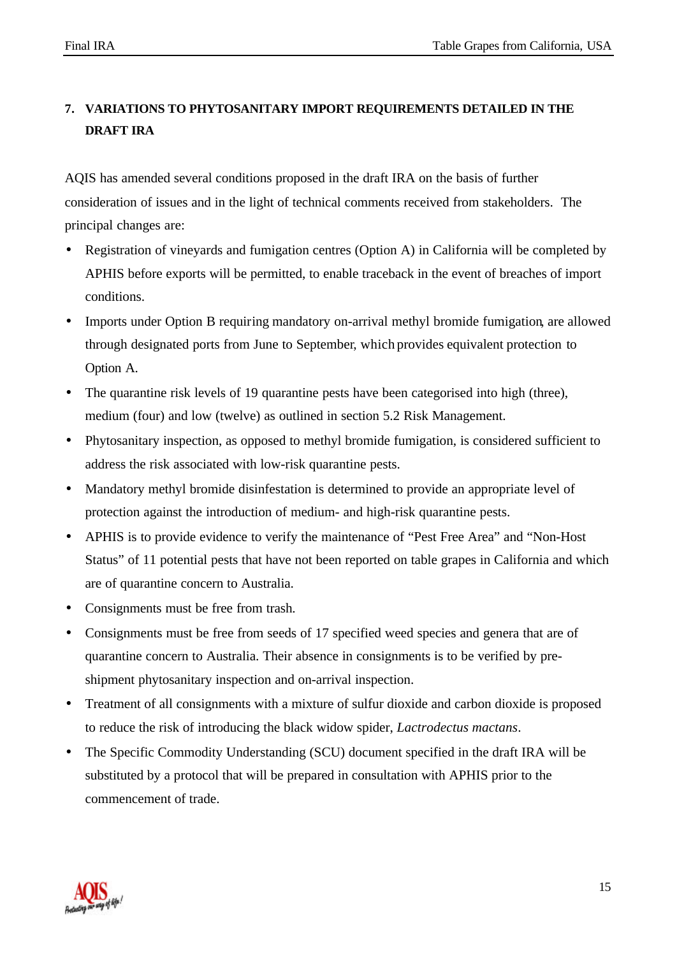# **7. VARIATIONS TO PHYTOSANITARY IMPORT REQUIREMENTS DETAILED IN THE DRAFT IRA**

AQIS has amended several conditions proposed in the draft IRA on the basis of further consideration of issues and in the light of technical comments received from stakeholders. The principal changes are:

- Registration of vineyards and fumigation centres (Option A) in California will be completed by APHIS before exports will be permitted, to enable traceback in the event of breaches of import conditions.
- Imports under Option B requiring mandatory on-arrival methyl bromide fumigation, are allowed through designated ports from June to September, which provides equivalent protection to Option A.
- The quarantine risk levels of 19 quarantine pests have been categorised into high (three), medium (four) and low (twelve) as outlined in section 5.2 Risk Management.
- Phytosanitary inspection, as opposed to methyl bromide fumigation, is considered sufficient to address the risk associated with low-risk quarantine pests.
- Mandatory methyl bromide disinfestation is determined to provide an appropriate level of protection against the introduction of medium- and high-risk quarantine pests.
- APHIS is to provide evidence to verify the maintenance of "Pest Free Area" and "Non-Host Status" of 11 potential pests that have not been reported on table grapes in California and which are of quarantine concern to Australia.
- Consignments must be free from trash.
- Consignments must be free from seeds of 17 specified weed species and genera that are of quarantine concern to Australia. Their absence in consignments is to be verified by preshipment phytosanitary inspection and on-arrival inspection.
- Treatment of all consignments with a mixture of sulfur dioxide and carbon dioxide is proposed to reduce the risk of introducing the black widow spider, *Lactrodectus mactans*.
- The Specific Commodity Understanding (SCU) document specified in the draft IRA will be substituted by a protocol that will be prepared in consultation with APHIS prior to the commencement of trade.

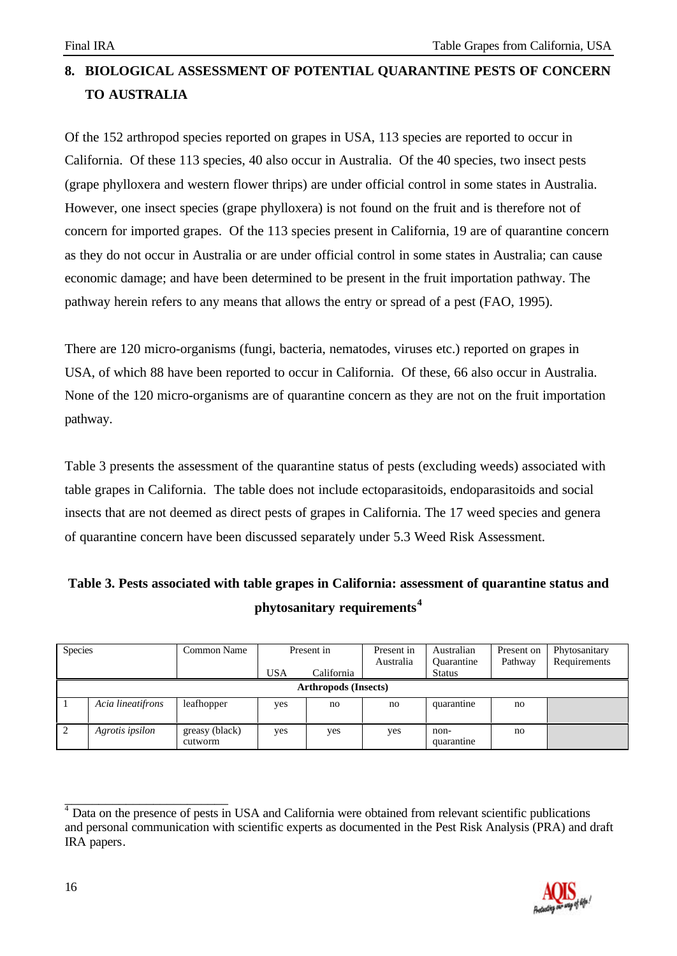# **8. BIOLOGICAL ASSESSMENT OF POTENTIAL QUARANTINE PESTS OF CONCERN TO AUSTRALIA**

Of the 152 arthropod species reported on grapes in USA, 113 species are reported to occur in California. Of these 113 species, 40 also occur in Australia. Of the 40 species, two insect pests (grape phylloxera and western flower thrips) are under official control in some states in Australia. However, one insect species (grape phylloxera) is not found on the fruit and is therefore not of concern for imported grapes. Of the 113 species present in California, 19 are of quarantine concern as they do not occur in Australia or are under official control in some states in Australia; can cause economic damage; and have been determined to be present in the fruit importation pathway. The pathway herein refers to any means that allows the entry or spread of a pest (FAO, 1995).

There are 120 micro-organisms (fungi, bacteria, nematodes, viruses etc.) reported on grapes in USA, of which 88 have been reported to occur in California. Of these, 66 also occur in Australia. None of the 120 micro-organisms are of quarantine concern as they are not on the fruit importation pathway.

Table 3 presents the assessment of the quarantine status of pests (excluding weeds) associated with table grapes in California. The table does not include ectoparasitoids, endoparasitoids and social insects that are not deemed as direct pests of grapes in California. The 17 weed species and genera of quarantine concern have been discussed separately under 5.3 Weed Risk Assessment.

| Table 3. Pests associated with table grapes in California: assessment of quarantine status and |
|------------------------------------------------------------------------------------------------|
| phytosanitary requirements <sup>4</sup>                                                        |

| <b>Species</b>              |                   | Common Name               | <b>USA</b> | Present in<br>California | Present in<br>Australia | Australian<br><b>Ouarantine</b><br><b>Status</b> | Present on<br>Pathway | Phytosanitary<br>Requirements |  |  |
|-----------------------------|-------------------|---------------------------|------------|--------------------------|-------------------------|--------------------------------------------------|-----------------------|-------------------------------|--|--|
| <b>Arthropods (Insects)</b> |                   |                           |            |                          |                         |                                                  |                       |                               |  |  |
|                             | Acia lineatifrons | leafhopper                | yes        | no                       | no                      | quarantine                                       | no                    |                               |  |  |
| $\mathcal{L}$               | Agrotis ipsilon   | greasy (black)<br>cutworm | yes        | yes                      | yes                     | non-<br>quarantine                               | no                    |                               |  |  |

\_\_\_\_\_\_\_\_\_\_\_\_\_\_\_\_\_\_\_\_\_\_\_\_ <sup>4</sup> Data on the presence of pests in USA and California were obtained from relevant scientific publications and personal communication with scientific experts as documented in the Pest Risk Analysis (PRA) and draft IRA papers.

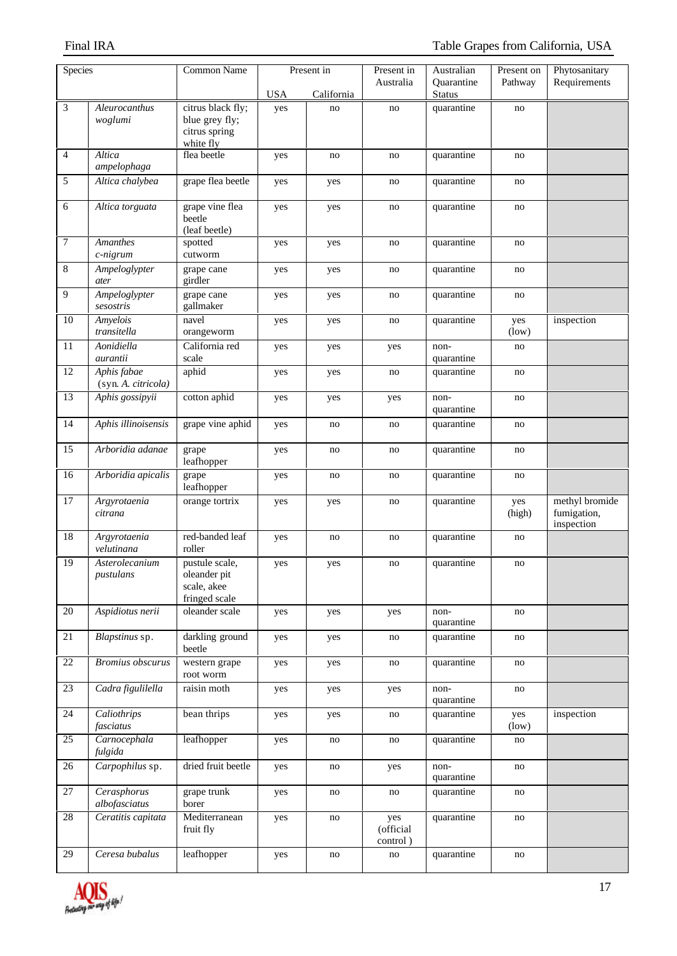| Species         |                                    | <b>Common Name</b>                                             |            | Present in | Present in                   | Australian                  | Present on    | Phytosanitary                               |
|-----------------|------------------------------------|----------------------------------------------------------------|------------|------------|------------------------------|-----------------------------|---------------|---------------------------------------------|
|                 |                                    |                                                                | <b>USA</b> | California | Australia                    | Quarantine<br><b>Status</b> | Pathway       | Requirements                                |
| 3               | Aleurocanthus                      | citrus black fly;                                              | yes        | no         | no                           | quarantine                  | no            |                                             |
|                 | woglumi                            | blue grey fly;<br>citrus spring<br>white fly                   |            |            |                              |                             |               |                                             |
| 4               | Altica<br>ampelophaga              | flea beetle                                                    | yes        | no         | no                           | quarantine                  | no            |                                             |
| 5               | Altica chalybea                    | grape flea beetle                                              | yes        | yes        | no                           | quarantine                  | no            |                                             |
| 6               | Altica torguata                    | grape vine flea<br>beetle<br>(leaf beetle)                     | yes        | yes        | no                           | quarantine                  | no            |                                             |
| 7               | <b>Amanthes</b><br>c-nigrum        | spotted<br>cutworm                                             | yes        | yes        | no                           | quarantine                  | no            |                                             |
| $\,8\,$         | Ampeloglypter<br>ater              | grape cane<br>girdler                                          | yes        | yes        | no                           | quarantine                  | no            |                                             |
| $\overline{9}$  | Ampeloglypter<br>sesostris         | grape cane<br>gallmaker                                        | yes        | yes        | $\rm{no}$                    | quarantine                  | no            |                                             |
| 10              | <b>Amyelois</b><br>transitella     | navel<br>orangeworm                                            | yes        | yes        | no                           | quarantine                  | yes<br>(low)  | inspection                                  |
| 11              | Aonidiella<br>aurantii             | California red<br>scale                                        | yes        | yes        | yes                          | non-<br>quarantine          | no            |                                             |
| $12\,$          | Aphis fabae<br>(syn. A. citricola) | aphid                                                          | yes        | yes        | no                           | quarantine                  | no            |                                             |
| 13              | Aphis gossipyii                    | cotton aphid                                                   | yes        | yes        | yes                          | non-<br>quarantine          | no            |                                             |
| 14              | Aphis illinoisensis                | grape vine aphid                                               | yes        | no         | no                           | quarantine                  | no            |                                             |
| 15              | Arboridia adanae                   | grape<br>leafhopper                                            | yes        | no         | no                           | quarantine                  | no            |                                             |
| 16              | Arboridia apicalis                 | grape<br>leafhopper                                            | yes        | no         | no                           | quarantine                  | no            |                                             |
| 17              | Argyrotaenia<br>citrana            | orange tortrix                                                 | yes        | yes        | no                           | quarantine                  | yes<br>(high) | methyl bromide<br>fumigation,<br>inspection |
| $18\,$          | Argyrotaenia<br>velutinana         | red-banded leaf<br>roller                                      | yes        | no         | no                           | quarantine                  | no            |                                             |
| $\overline{19}$ | Asterolecanium<br>pustulans        | pustule scale,<br>oleander pit<br>scale, akee<br>fringed scale | yes        | yes        | no                           | quarantine                  | no            |                                             |
| $20\,$          | Aspidiotus nerii                   | oleander scale                                                 | yes        | yes        | yes                          | non-<br>quarantine          | no            |                                             |
| 21              | Blapstinus sp.                     | darkling ground<br>beetle                                      | yes        | yes        | no                           | quarantine                  | no            |                                             |
| 22              | <b>Bromius</b> obscurus            | western grape<br>root worm                                     | yes        | yes        | no                           | quarantine                  | no            |                                             |
| 23              | Cadra figulilella                  | raisin moth                                                    | yes        | yes        | yes                          | non-<br>quarantine          | no            |                                             |
| 24              | Caliothrips<br>fasciatus           | bean thrips                                                    | yes        | yes        | no                           | quarantine                  | yes<br>(low)  | inspection                                  |
| $\overline{25}$ | Carnocephala<br>fulgida            | leafhopper                                                     | yes        | no         | no                           | quarantine                  | no            |                                             |
| 26              | Carpophilus sp.                    | dried fruit beetle                                             | yes        | no         | yes                          | non-<br>quarantine          | no            |                                             |
| 27              | Cerasphorus<br>albofasciatus       | grape trunk<br>borer                                           | yes        | no         | no                           | quarantine                  | no            |                                             |
| 28              | Ceratitis capitata                 | Mediterranean<br>fruit fly                                     | yes        | no         | yes<br>(official<br>control) | quarantine                  | no            |                                             |
| 29              | Ceresa bubalus                     | leafhopper                                                     | yes        | no         | no                           | quarantine                  | no            |                                             |

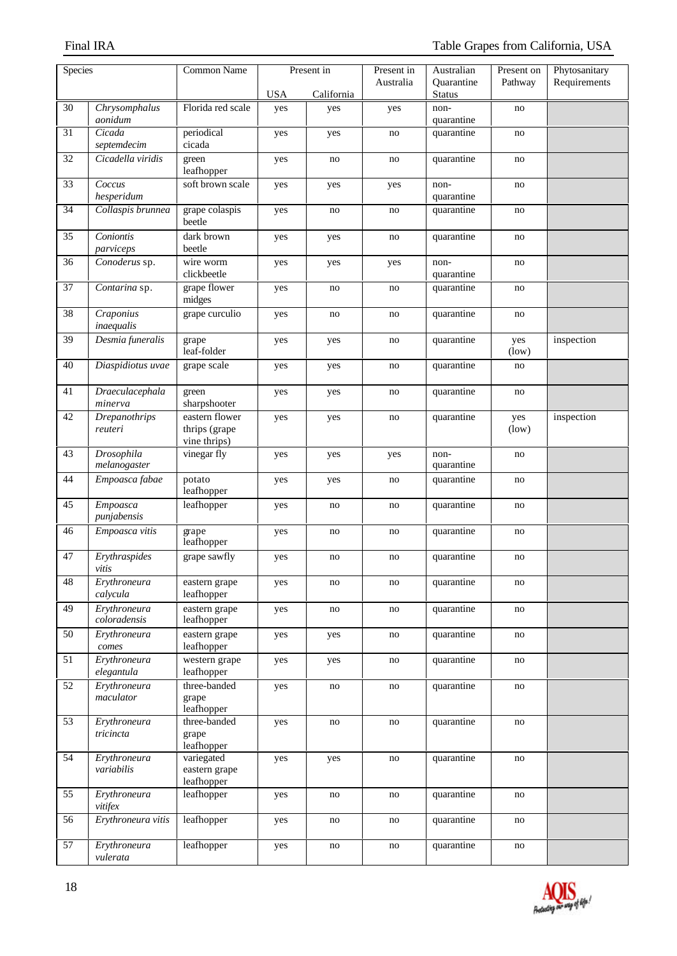| Species         |                                 | <b>Common Name</b>                              |            | Present in | Present in | Australian                  | Present on   | Phytosanitary |
|-----------------|---------------------------------|-------------------------------------------------|------------|------------|------------|-----------------------------|--------------|---------------|
|                 |                                 |                                                 | <b>USA</b> | California | Australia  | Quarantine<br><b>Status</b> | Pathway      | Requirements  |
| 30              | Chrysomphalus                   | Florida red scale                               | yes        | yes        | yes        | non-                        | no           |               |
|                 | aonidum                         |                                                 |            |            |            | quarantine                  |              |               |
| $\overline{31}$ | Cicada<br>septemdecim           | periodical<br>cicada                            | yes        | yes        | no         | quarantine                  | no           |               |
| 32              | Cicadella viridis               | green<br>leafhopper                             | yes        | no         | no         | quarantine                  | no           |               |
| 33              | Coccus<br>hesperidum            | soft brown scale                                | yes        | yes        | yes        | non-<br>quarantine          | no           |               |
| 34              | Collaspis brunnea               | grape colaspis<br>beetle                        | yes        | no         | no         | quarantine                  | no           |               |
| 35              | Coniontis<br>parviceps          | dark brown<br>beetle                            | yes        | yes        | no         | quarantine                  | no           |               |
| 36              | Conoderus sp.                   | wire worm<br>clickbeetle                        | yes        | yes        | yes        | non-<br>quarantine          | no           |               |
| $\overline{37}$ | Contarina sp.                   | grape flower<br>midges                          | yes        | no         | no         | quarantine                  | no           |               |
| 38              | Craponius<br>inaequalis         | grape curculio                                  | yes        | no         | no         | quarantine                  | no           |               |
| 39              | Desmia funeralis                | grape<br>leaf-folder                            | yes        | yes        | no         | quarantine                  | yes<br>(low) | inspection    |
| 40              | Diaspidiotus uvae               | grape scale                                     | yes        | yes        | no         | quarantine                  | no           |               |
| 41              | Draeculacephala<br>minerva      | green<br>sharpshooter                           | yes        | yes        | no         | quarantine                  | no           |               |
| 42              | <b>Drepanothrips</b><br>reuteri | eastern flower<br>thrips (grape<br>vine thrips) | yes        | yes        | no         | quarantine                  | yes<br>(low) | inspection    |
| 43              | Drosophila<br>melanogaster      | vinegar fly                                     | yes        | yes        | yes        | non-<br>quarantine          | no           |               |
| 44              | Empoasca fabae                  | potato<br>leafhopper                            | yes        | yes        | no         | quarantine                  | no           |               |
| 45              | Empoasca<br>punjabensis         | leafhopper                                      | yes        | no         | no         | quarantine                  | no           |               |
| 46              | Empoasca vitis                  | grape<br>leafhopper                             | yes        | no         | no         | quarantine                  | no           |               |
| 47              | Erythraspides<br>vitis          | grape sawfly                                    | yes        | no         | no         | quarantine                  | no           |               |
| 48              | Erythroneura<br>calycula        | eastern grape<br>leafhopper                     | yes        | no         | $\rm{no}$  | quarantine                  | no           |               |
| 49              | Erythroneura<br>coloradensis    | eastern grape<br>leafhopper                     | yes        | no         | no         | quarantine                  | no           |               |
| 50              | Erythroneura<br>comes           | eastern grape<br>leafhopper                     | yes        | yes        | no         | quarantine                  | no           |               |
| 51              | Erythroneura<br>elegantula      | western grape<br>leafhopper                     | yes        | yes        | no         | quarantine                  | no           |               |
| 52              | Erythroneura<br>maculator       | three-banded<br>grape<br>leafhopper             | yes        | no         | no         | quarantine                  | no           |               |
| 53              | Erythroneura<br>tricincta       | three-banded<br>grape<br>leafhopper             | yes        | no         | no         | quarantine                  | no           |               |
| 54              | Erythroneura<br>variabilis      | variegated<br>eastern grape<br>leafhopper       | yes        | yes        | no         | quarantine                  | no           |               |
| 55              | Erythroneura<br>vitifex         | leafhopper                                      | yes        | no         | no         | quarantine                  | no           |               |
| 56              | Erythroneura vitis              | leafhopper                                      | yes        | no         | no         | quarantine                  | no           |               |
| 57              | Erythroneura<br>vulerata        | leafhopper                                      | yes        | no         | no         | quarantine                  | no           |               |

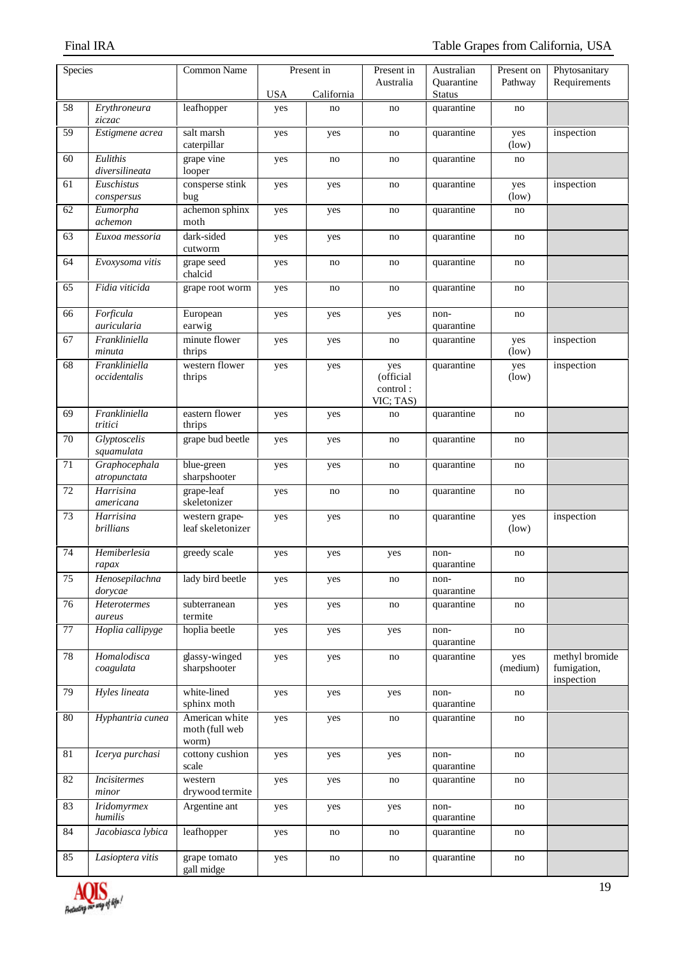| Species         |                               | <b>Common Name</b>                        |            | Present in | Present in                                | Australian         | Present on      | Phytosanitary                               |
|-----------------|-------------------------------|-------------------------------------------|------------|------------|-------------------------------------------|--------------------|-----------------|---------------------------------------------|
|                 |                               |                                           |            |            | Australia                                 | Quarantine         | Pathway         | Requirements                                |
|                 |                               |                                           | <b>USA</b> | California |                                           | <b>Status</b>      |                 |                                             |
| 58              | Erythroneura<br>ziczac        | leafhopper                                | yes        | no         | no                                        | quarantine         | no              |                                             |
| 59              | Estigmene acrea               | salt marsh<br>caterpillar                 | yes        | yes        | no                                        | quarantine         | yes<br>(low)    | inspection                                  |
| 60              | Eulithis<br>diversilineata    | grape vine<br>looper                      | yes        | no         | no                                        | quarantine         | no              |                                             |
| 61              | Euschistus<br>conspersus      | consperse stink<br>bug                    | yes        | yes        | no                                        | quarantine         | yes<br>(low)    | inspection                                  |
| 62              | Eumorpha<br>achemon           | achemon sphinx<br>moth                    | yes        | yes        | no                                        | quarantine         | no              |                                             |
| 63              | Euxoa messoria                | dark-sided<br>cutworm                     | yes        | yes        | no                                        | quarantine         | no              |                                             |
| 64              | Evoxysoma vitis               | grape seed<br>chalcid                     | yes        | no         | no                                        | quarantine         | no              |                                             |
| 65              | Fidia viticida                | grape root worm                           | yes        | no         | no                                        | quarantine         | no              |                                             |
| 66              | Forficula<br>auricularia      | European<br>earwig                        | yes        | yes        | yes                                       | non-<br>quarantine | no              |                                             |
| 67              | Frankliniella<br>minuta       | minute flower<br>thrips                   | yes        | yes        | no                                        | quarantine         | yes<br>(low)    | inspection                                  |
| 68              | Frankliniella<br>occidentalis | western flower<br>thrips                  | yes        | yes        | yes<br>(official<br>control:<br>VIC; TAS) | quarantine         | yes<br>(low)    | inspection                                  |
| 69              | Frankliniella<br>tritici      | eastern flower<br>thrips                  | yes        | yes        | no                                        | quarantine         | no              |                                             |
| 70              | Glyptoscelis<br>squamulata    | grape bud beetle                          | yes        | yes        | no                                        | quarantine         | no              |                                             |
| 71              | Graphocephala<br>atropunctata | blue-green<br>sharpshooter                | yes        | yes        | no                                        | quarantine         | no              |                                             |
| $72\,$          | Harrisina<br>americana        | grape-leaf<br>skeletonizer                | yes        | no         | no                                        | quarantine         | no              |                                             |
| 73              | Harrisina<br><b>brillians</b> | western grape-<br>leaf skeletonizer       | yes        | yes        | no                                        | quarantine         | yes<br>(low)    | inspection                                  |
| 74              | Hemiberlesia<br>rapax         | greedy scale                              | yes        | yes        | yes                                       | non-<br>quarantine | no              |                                             |
| $75\,$          | Henosepilachna<br>dorycae     | lady bird beetle                          | yes        | yes        | no                                        | non-<br>quarantine | no              |                                             |
| 76              | Heterotermes<br>aureus        | subterranean<br>termite                   | yes        | yes        | no                                        | quarantine         | no              |                                             |
| $\overline{77}$ | Hoplia callipyge              | hoplia beetle                             | yes        | yes        | yes                                       | non-<br>quarantine | no              |                                             |
| 78              | Homalodisca<br>coagulata      | glassy-winged<br>sharpshooter             | yes        | yes        | no                                        | quarantine         | yes<br>(medium) | methyl bromide<br>fumigation,<br>inspection |
| 79              | Hyles lineata                 | white-lined<br>sphinx moth                | yes        | yes        | yes                                       | non-<br>quarantine | no              |                                             |
| 80              | Hyphantria cunea              | American white<br>moth (full web<br>worm) | yes        | yes        | no                                        | quarantine         | no              |                                             |
| $81\,$          | Icerya purchasi               | cottony cushion<br>scale                  | yes        | yes        | yes                                       | non-<br>quarantine | no              |                                             |
| 82              | <i>Incisitermes</i><br>minor  | western<br>drywood termite                | yes        | yes        | no                                        | quarantine         | no              |                                             |
| 83              | <b>Iridomyrmex</b><br>humilis | Argentine ant                             | yes        | yes        | yes                                       | non-<br>quarantine | no              |                                             |
| 84              | Jacobiasca lybica             | leafhopper                                | yes        | no         | no                                        | quarantine         | no              |                                             |
| 85              | Lasioptera vitis              | grape tomato<br>gall midge                | yes        | no         | no                                        | quarantine         | no              |                                             |

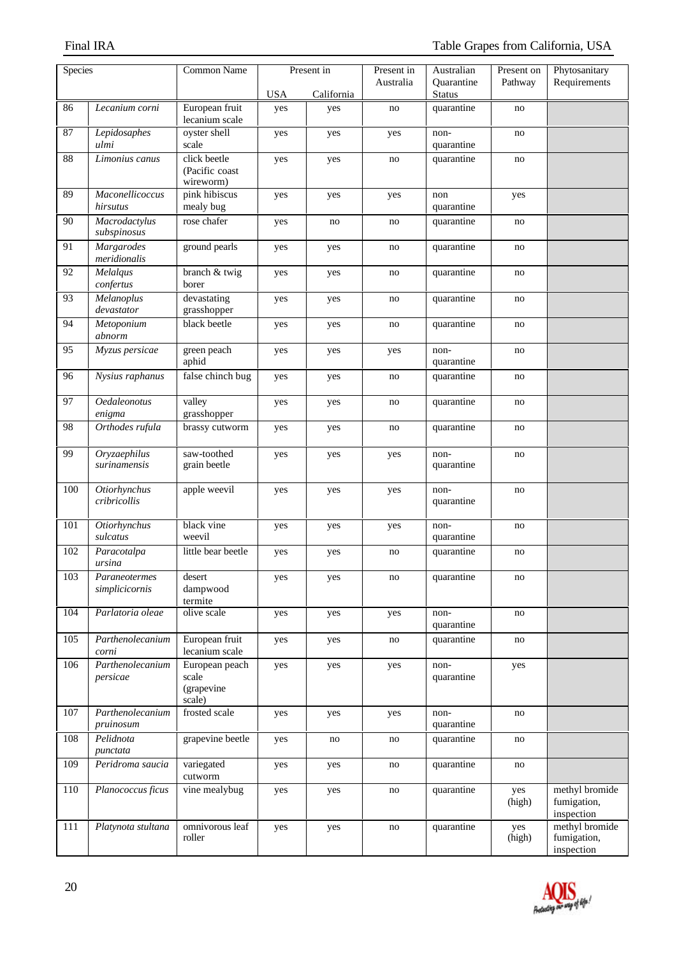| Species |                                    | <b>Common Name</b>                              |            | Present in | Present in | Australian                  | Present on    | Phytosanitary                               |
|---------|------------------------------------|-------------------------------------------------|------------|------------|------------|-----------------------------|---------------|---------------------------------------------|
|         |                                    |                                                 | <b>USA</b> | California | Australia  | Quarantine<br><b>Status</b> | Pathway       | Requirements                                |
| 86      | Lecanium corni                     | European fruit<br>lecanium scale                | yes        | yes        | no         | quarantine                  | no            |                                             |
| 87      | Lepidosaphes<br>ulmi               | oyster shell<br>scale                           | yes        | yes        | yes        | non-<br>quarantine          | no            |                                             |
| 88      | Limonius canus                     | click beetle<br>(Pacific coast<br>wireworm)     | yes        | yes        | no         | quarantine                  | no            |                                             |
| 89      | Maconellicoccus<br>hirsutus        | pink hibiscus<br>mealy bug                      | yes        | yes        | yes        | non<br>quarantine           | yes           |                                             |
| 90      | Macrodactylus<br>subspinosus       | rose chafer                                     | yes        | no         | no         | quarantine                  | no            |                                             |
| 91      | <b>Margarodes</b><br>meridionalis  | ground pearls                                   | yes        | yes        | no         | quarantine                  | no            |                                             |
| 92      | Melalqus<br>confertus              | branch & twig<br>borer                          | yes        | yes        | no         | quarantine                  | no            |                                             |
| 93      | Melanoplus<br>devastator           | devastating<br>grasshopper                      | yes        | yes        | no         | quarantine                  | no            |                                             |
| 94      | Metoponium<br>abnorm               | black beetle                                    | yes        | yes        | no         | quarantine                  | no            |                                             |
| 95      | Myzus persicae                     | green peach<br>aphid                            | yes        | yes        | yes        | non-<br>quarantine          | no            |                                             |
| 96      | Nysius raphanus                    | false chinch bug                                | yes        | yes        | no         | quarantine                  | no            |                                             |
| 97      | Oedaleonotus<br>enigma             | valley<br>grasshopper                           | yes        | yes        | no         | quarantine                  | no            |                                             |
| 98      | Orthodes rufula                    | brassy cutworm                                  | yes        | yes        | no         | quarantine                  | no            |                                             |
| 99      | Oryzaephilus<br>surinamensis       | saw-toothed<br>grain beetle                     | yes        | yes        | yes        | non-<br>quarantine          | no            |                                             |
| 100     | Otiorhynchus<br>cribricollis       | apple weevil                                    | yes        | yes        | yes        | non-<br>quarantine          | no            |                                             |
| 101     | <b>Otiorhynchus</b><br>sulcatus    | black vine<br>weevil                            | yes        | yes        | yes        | non-<br>quarantine          | no            |                                             |
| 102     | Paracotalpa<br>ursina              | little bear beetle                              | yes        | yes        | no         | quarantine                  | no            |                                             |
| 103     | Paraneotermes<br>simplicicornis    | desert<br>dampwood<br>termite                   | yes        | yes        | no         | quarantine                  | no            |                                             |
| 104     | Parlatoria oleae                   | olive scale                                     | yes        | yes        | yes        | non-<br>quarantine          | no            |                                             |
| 105     | Parthenolecanium<br>$\emph{corni}$ | European fruit<br>lecanium scale                | yes        | yes        | no         | quarantine                  | no            |                                             |
| 106     | Parthenolecanium<br>persicae       | European peach<br>scale<br>(grapevine<br>scale) | yes        | yes        | yes        | non-<br>quarantine          | yes           |                                             |
| 107     | Parthenolecanium<br>pruinosum      | frosted scale                                   | yes        | yes        | yes        | non-<br>quarantine          | no            |                                             |
| 108     | Pelidnota<br>punctata              | grapevine beetle                                | yes        | no         | no         | quarantine                  | no            |                                             |
| 109     | Peridroma saucia                   | variegated<br>cutworm                           | yes        | yes        | no         | quarantine                  | no            |                                             |
| 110     | Planococcus ficus                  | vine mealybug                                   | yes        | yes        | no         | quarantine                  | yes<br>(high) | methyl bromide<br>fumigation,<br>inspection |
| 111     | Platynota stultana                 | omnivorous leaf<br>roller                       | yes        | yes        | no         | quarantine                  | yes<br>(high) | methyl bromide<br>fumigation,<br>inspection |

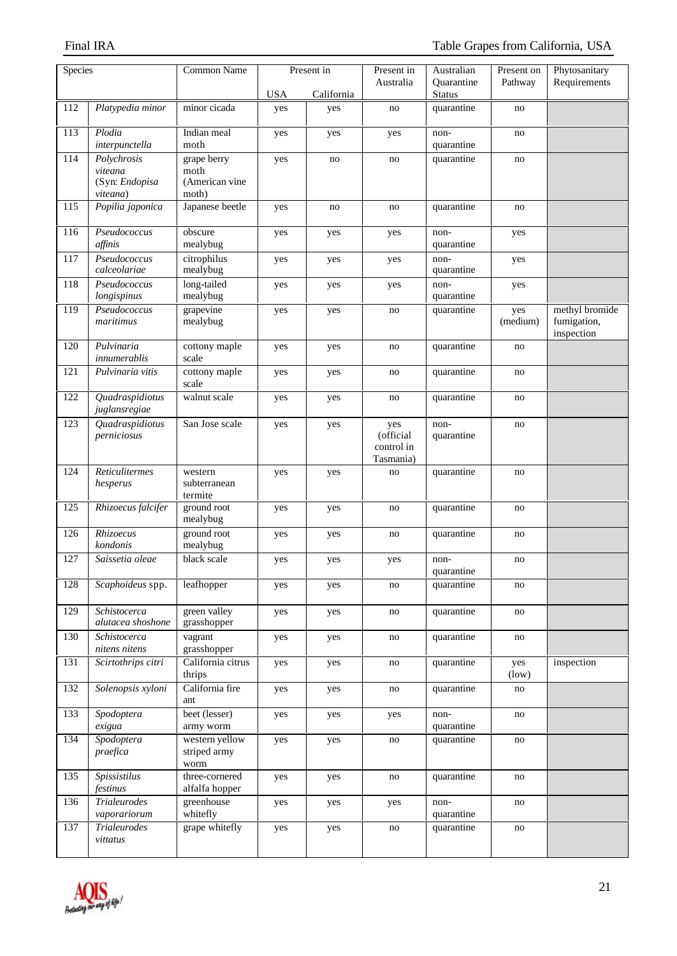| Species |                                     | <b>Common Name</b>               | Present in |            | Present in              | Australian                  | Present on      | Phytosanitary                 |
|---------|-------------------------------------|----------------------------------|------------|------------|-------------------------|-----------------------------|-----------------|-------------------------------|
|         |                                     |                                  |            |            | Australia               | Quarantine                  | Pathway         | Requirements                  |
| 112     | Platypedia minor                    | minor cicada                     | <b>USA</b> | California |                         | <b>Status</b><br>quarantine |                 |                               |
|         |                                     |                                  | yes        | yes        | no                      |                             | no              |                               |
| 113     | Plodia<br>interpunctella            | Indian meal<br>moth              | yes        | yes        | yes                     | non-<br>quarantine          | no              |                               |
| 114     | Polychrosis                         | grape berry                      | yes        | no         | no                      | quarantine                  | no              |                               |
|         | viteana                             | moth                             |            |            |                         |                             |                 |                               |
|         | (Syn: Endopisa<br>viteana)          | (American vine<br>moth)          |            |            |                         |                             |                 |                               |
| 115     | Popilia japonica                    | Japanese beetle                  | yes        | no         | no                      | quarantine                  | no              |                               |
| 116     | Pseudococcus<br>affinis             | obscure<br>mealybug              | yes        | yes        | yes                     | non-<br>quarantine          | yes             |                               |
| 117     | Pseudococcus                        | citrophilus                      | yes        | yes        | yes                     | non-                        | yes             |                               |
|         | calceolariae                        | mealybug                         |            |            |                         | quarantine                  |                 |                               |
| 118     | Pseudococcus                        | long-tailed                      | yes        | yes        | yes                     | non-                        | yes             |                               |
|         | longispinus                         | mealybug                         |            |            |                         | quarantine                  |                 |                               |
| 119     | Pseudococcus<br>maritimus           | grapevine<br>mealybug            | yes        | yes        | no                      | quarantine                  | yes<br>(medium) | methyl bromide<br>fumigation, |
|         |                                     |                                  |            |            |                         |                             |                 | inspection                    |
| 120     | Pulvinaria<br>innumerablis          | cottony maple<br>scale           | yes        | yes        | no                      | quarantine                  | no              |                               |
| 121     | Pulvinaria vitis                    | cottony maple<br>scale           | yes        | yes        | no                      | quarantine                  | no              |                               |
| 122     | Quadraspidiotus<br>juglansregiae    | walnut scale                     | yes        | yes        | no                      | quarantine                  | no              |                               |
| 123     | Quadraspidiotus                     | San Jose scale                   | yes        | yes        | yes                     | non-                        | no              |                               |
|         | perniciosus                         |                                  |            |            | (official               | quarantine                  |                 |                               |
|         |                                     |                                  |            |            | control in<br>Tasmania) |                             |                 |                               |
| 124     | Reticulitermes                      | western                          | yes        | yes        | no                      | quarantine                  | no              |                               |
|         | hesperus                            | subterranean                     |            |            |                         |                             |                 |                               |
| 125     | Rhizoecus falcifer                  | termite<br>ground root           |            |            | no                      | quarantine                  |                 |                               |
|         |                                     | mealybug                         | yes        | yes        |                         |                             | no              |                               |
| 126     | Rhizoecus<br>kondonis               | ground root<br>mealybug          | yes        | yes        | no                      | quarantine                  | no              |                               |
| 127     | Saissetia oleae                     | black scale                      | yes        | yes        | yes                     | non-<br>quarantine          | no              |                               |
| 128     | Scaphoideus spp.                    | leafhopper                       | yes        | yes        | no                      | quarantine                  | no              |                               |
|         |                                     |                                  |            |            |                         |                             |                 |                               |
| 129     | Schistocerca<br>alutacea shoshone   | green valley<br>grasshopper      | yes        | yes        | no                      | quarantine                  | no              |                               |
| 130     | Schistocerca<br>nitens nitens       | vagrant<br>grasshopper           | yes        | yes        | no                      | quarantine                  | no              |                               |
| 131     | Scirtothrips citri                  | California citrus<br>thrips      | yes        | yes        | no                      | quarantine                  | yes<br>(low)    | inspection                    |
| 132     | Solenopsis xyloni                   | California fire<br>ant           | yes        | yes        | no                      | quarantine                  | no              |                               |
| 133     | Spodoptera<br>exigua                | beet (lesser)<br>army worm       | yes        | yes        | yes                     | non-<br>quarantine          | no              |                               |
| 134     | Spodoptera                          | western yellow                   | yes        | yes        | no                      | quarantine                  | no              |                               |
|         | praefica                            | striped army<br>worm             |            |            |                         |                             |                 |                               |
| 135     | Spissistilus<br>festinus            | three-cornered<br>alfalfa hopper | yes        | yes        | no                      | quarantine                  | no              |                               |
| 136     | <b>Trialeurodes</b><br>vaporariorum | greenhouse<br>whitefly           | yes        | yes        | yes                     | non-<br>quarantine          | no              |                               |
| 137     | Trialeurodes                        | grape whitefly                   | yes        | yes        | no                      | quarantine                  | no              |                               |
|         | vittatus                            |                                  |            |            |                         |                             |                 |                               |

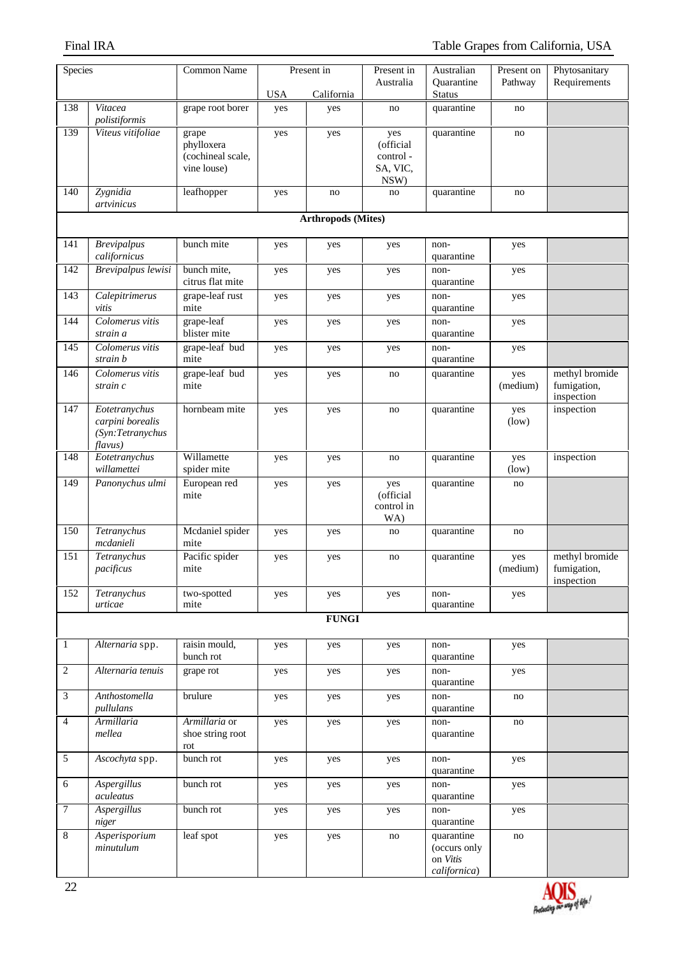| Species        |                                                                  | <b>Common Name</b>                                      | Present in |              | Present in                                       | Australian                                             | Present on      | Phytosanitary                               |  |  |  |
|----------------|------------------------------------------------------------------|---------------------------------------------------------|------------|--------------|--------------------------------------------------|--------------------------------------------------------|-----------------|---------------------------------------------|--|--|--|
|                |                                                                  |                                                         | <b>USA</b> | California   | Australia                                        | Quarantine<br><b>Status</b>                            | Pathway         | Requirements                                |  |  |  |
| 138            | Vitacea<br>polistiformis                                         | grape root borer                                        | yes        | yes          | no                                               | quarantine                                             | no              |                                             |  |  |  |
| 139            | Viteus vitifoliae                                                | grape<br>phylloxera<br>(cochineal scale,<br>vine louse) | yes        | yes          | yes<br>(official<br>control-<br>SA, VIC,<br>NSW) | quarantine                                             | no              |                                             |  |  |  |
| 140            | Zygnidia<br>artvinicus                                           | leafhopper                                              | yes        | no           | no                                               | quarantine                                             | no              |                                             |  |  |  |
|                | <b>Arthropods (Mites)</b>                                        |                                                         |            |              |                                                  |                                                        |                 |                                             |  |  |  |
| 141            | <b>Brevipalpus</b><br>californicus                               | bunch mite                                              | yes        | yes          | yes                                              | non-<br>quarantine                                     | yes             |                                             |  |  |  |
| 142            | <b>Brevipalpus lewisi</b>                                        | bunch mite,<br>citrus flat mite                         | yes        | yes          | yes                                              | non-<br>quarantine                                     | yes             |                                             |  |  |  |
| 143            | Calepitrimerus<br>vitis                                          | grape-leaf rust<br>mite                                 | yes        | yes          | yes                                              | non-<br>quarantine                                     | yes             |                                             |  |  |  |
| 144            | Colomerus vitis<br>strain a                                      | grape-leaf<br>blister mite                              | yes        | yes          | yes                                              | non-<br>quarantine                                     | yes             |                                             |  |  |  |
| 145            | Colomerus vitis<br>strain b                                      | grape-leaf bud<br>mite                                  | yes        | yes          | yes                                              | non-<br>quarantine                                     | yes             |                                             |  |  |  |
| 146            | Colomerus vitis<br>strain c                                      | grape-leaf bud<br>mite                                  | yes        | yes          | no                                               | quarantine                                             | yes<br>(medium) | methyl bromide<br>fumigation,<br>inspection |  |  |  |
| 147            | Eotetranychus<br>carpini borealis<br>(Syn:Tetranychus<br>flavus) | hornbeam mite                                           | yes        | yes          | no                                               | quarantine                                             | yes<br>(low)    | inspection                                  |  |  |  |
| 148            | Eotetranychus<br>willamettei                                     | Willamette<br>spider mite                               | yes        | yes          | no                                               | quarantine                                             | yes<br>(low)    | inspection                                  |  |  |  |
| 149            | Panonychus ulmi                                                  | European red<br>mite                                    | yes        | yes          | yes<br>(official<br>control in<br>WA)            | quarantine                                             | no              |                                             |  |  |  |
| 150            | Tetranychus<br>mcdanieli                                         | Mcdaniel spider<br>mite                                 | yes        | yes          | no                                               | quarantine                                             | no              |                                             |  |  |  |
| 151            | Tetranychus<br>pacificus                                         | Pacific spider<br>mite                                  | yes        | yes          | no                                               | quarantine                                             | yes<br>(medium) | methyl bromide<br>fumigation,<br>inspection |  |  |  |
| 152            | Tetranychus<br>urticae                                           | two-spotted<br>mite                                     | yes        | yes          | yes                                              | non-<br>quarantine                                     | yes             |                                             |  |  |  |
|                |                                                                  |                                                         |            | <b>FUNGI</b> |                                                  |                                                        |                 |                                             |  |  |  |
| $\mathbf{1}$   | Alternaria spp.                                                  | raisin mould,<br>bunch rot                              | yes        | yes          | yes                                              | non-<br>quarantine                                     | yes             |                                             |  |  |  |
| $\overline{2}$ | Alternaria tenuis                                                | grape rot                                               | yes        | yes          | yes                                              | non-<br>quarantine                                     | yes             |                                             |  |  |  |
| $\mathfrak{Z}$ | Anthostomella<br>pullulans                                       | brulure                                                 | yes        | yes          | yes                                              | non-<br>quarantine                                     | no              |                                             |  |  |  |
| $\overline{4}$ | Armillaria<br>mellea                                             | Armillaria or<br>shoe string root<br>rot                | yes        | yes          | yes                                              | non-<br>quarantine                                     | no              |                                             |  |  |  |
| $\sqrt{5}$     | Ascochyta spp.                                                   | bunch rot                                               | yes        | yes          | yes                                              | non-<br>quarantine                                     | yes             |                                             |  |  |  |
| 6              | Aspergillus<br>aculeatus                                         | bunch rot                                               | yes        | yes          | yes                                              | non-<br>quarantine                                     | yes             |                                             |  |  |  |
| $\overline{7}$ | <b>Aspergillus</b><br>niger                                      | bunch rot                                               | yes        | yes          | yes                                              | non-<br>quarantine                                     | yes             |                                             |  |  |  |
| $\,8\,$        | Asperisporium<br>minutulum                                       | leaf spot                                               | yes        | yes          | no                                               | quarantine<br>(occurs only<br>on Vitis<br>californica) | no              |                                             |  |  |  |

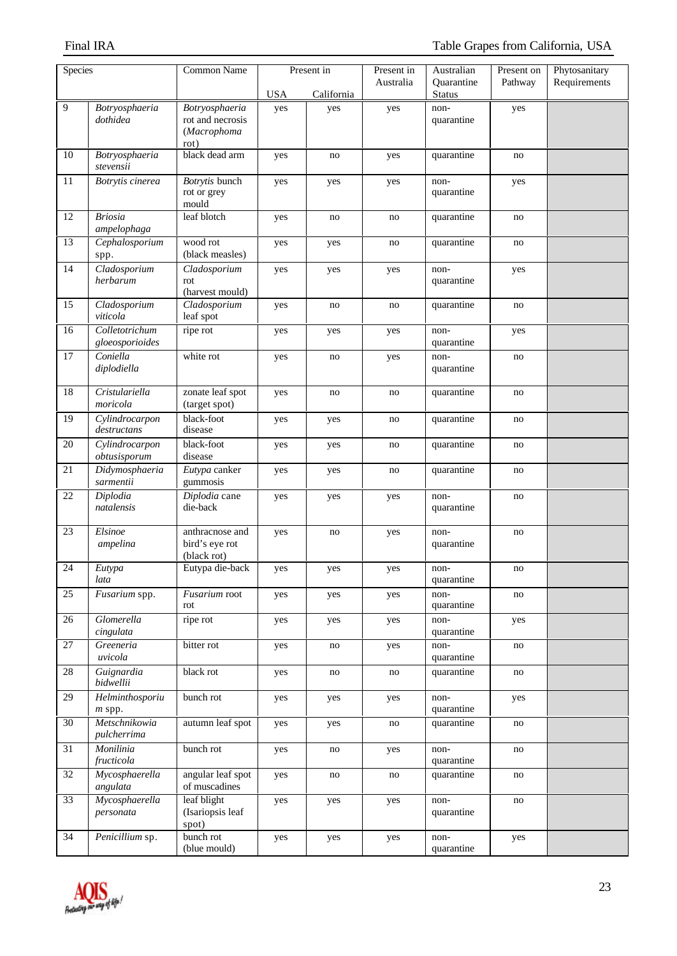| Species         |                                   | <b>Common Name</b>                               | Present in |            | Present in | Australian                  | Present on | Phytosanitary |
|-----------------|-----------------------------------|--------------------------------------------------|------------|------------|------------|-----------------------------|------------|---------------|
|                 |                                   |                                                  | <b>USA</b> | California | Australia  | Quarantine<br><b>Status</b> | Pathway    | Requirements  |
| 9               | Botryosphaeria                    | Botryosphaeria                                   | yes        | yes        | yes        | non-                        | yes        |               |
|                 | dothidea                          | rot and necrosis<br>(Macrophoma<br>rot)          |            |            |            | quarantine                  |            |               |
| 10              | Botryosphaeria<br>stevensii       | black dead arm                                   | yes        | no         | yes        | quarantine                  | no         |               |
| $11\,$          | Botrytis cinerea                  | Botrytis bunch<br>rot or grey<br>mould           | yes        | yes        | yes        | non-<br>quarantine          | yes        |               |
| 12              | <b>Briosia</b><br>ampelophaga     | leaf blotch                                      | yes        | no         | no         | quarantine                  | no         |               |
| 13              | Cephalosporium<br>spp.            | wood rot<br>(black measles)                      | yes        | yes        | no         | quarantine                  | no         |               |
| 14              | Cladosporium<br>herbarum          | Cladosporium<br>rot<br>(harvest mould)           | yes        | yes        | yes        | non-<br>quarantine          | yes        |               |
| 15              | Cladosporium<br>viticola          | Cladosporium<br>leaf spot                        | yes        | no         | no         | quarantine                  | no         |               |
| 16              | Colletotrichum<br>gloeosporioides | ripe rot                                         | yes        | yes        | yes        | non-<br>quarantine          | yes        |               |
| 17              | Coniella<br>diplodiella           | white rot                                        | yes        | no         | yes        | non-<br>quarantine          | no         |               |
| 18              | Cristulariella<br>moricola        | zonate leaf spot<br>(target spot)                | yes        | no         | no         | quarantine                  | no         |               |
| 19              | Cylindrocarpon<br>destructans     | black-foot<br>disease                            | yes        | yes        | no         | quarantine                  | no         |               |
| 20              | Cylindrocarpon<br>obtusisporum    | black-foot<br>disease                            | yes        | yes        | no         | quarantine                  | no         |               |
| 21              | Didymosphaeria<br>sarmentii       | Eutypa canker<br>gummosis                        | yes        | yes        | no         | quarantine                  | no         |               |
| $22\,$          | Diplodia<br>natalensis            | Diplodia cane<br>die-back                        | yes        | yes        | yes        | non-<br>quarantine          | no         |               |
| 23              | Elsinoe<br>ampelina               | anthracnose and<br>bird's eye rot<br>(black rot) | yes        | no         | yes        | non-<br>quarantine          | no         |               |
| 24              | $\overline{E}$ utypa<br>lata      | Eutypa die-back                                  | yes        | yes        | yes        | non-<br>quarantine          | no         |               |
| 25              | Fusarium spp.                     | Fusarium root<br>rot                             | yes        | yes        | yes        | non-<br>quarantine          | no         |               |
| 26              | Glomerella<br>cingulata           | ripe rot                                         | yes        | yes        | yes        | non-<br>quarantine          | yes        |               |
| $\overline{27}$ | Greeneria<br>uvicola              | bitter rot                                       | yes        | no         | yes        | non-<br>quarantine          | no         |               |
| $28\,$          | Guignardia<br>bidwellii           | black rot                                        | yes        | no         | no         | quarantine                  | no         |               |
| 29              | Helminthosporiu<br>m spp.         | bunch rot                                        | yes        | yes        | yes        | non-<br>quarantine          | yes        |               |
| $\overline{30}$ | Metschnikowia<br>pulcherrima      | autumn leaf spot                                 | yes        | yes        | no         | quarantine                  | no         |               |
| 31              | Monilinia<br>fructicola           | bunch rot                                        | yes        | no         | yes        | non-<br>quarantine          | no         |               |
| 32              | Mycosphaerella<br>angulata        | angular leaf spot<br>of muscadines               | yes        | no         | no         | quarantine                  | no         |               |
| $\overline{33}$ | Mycosphaerella<br>personata       | leaf blight<br>(Isariopsis leaf<br>spot)         | yes        | yes        | yes        | non-<br>quarantine          | no         |               |
| 34              | Penicillium sp.                   | bunch rot<br>(blue mould)                        | yes        | yes        | yes        | non-<br>quarantine          | yes        |               |

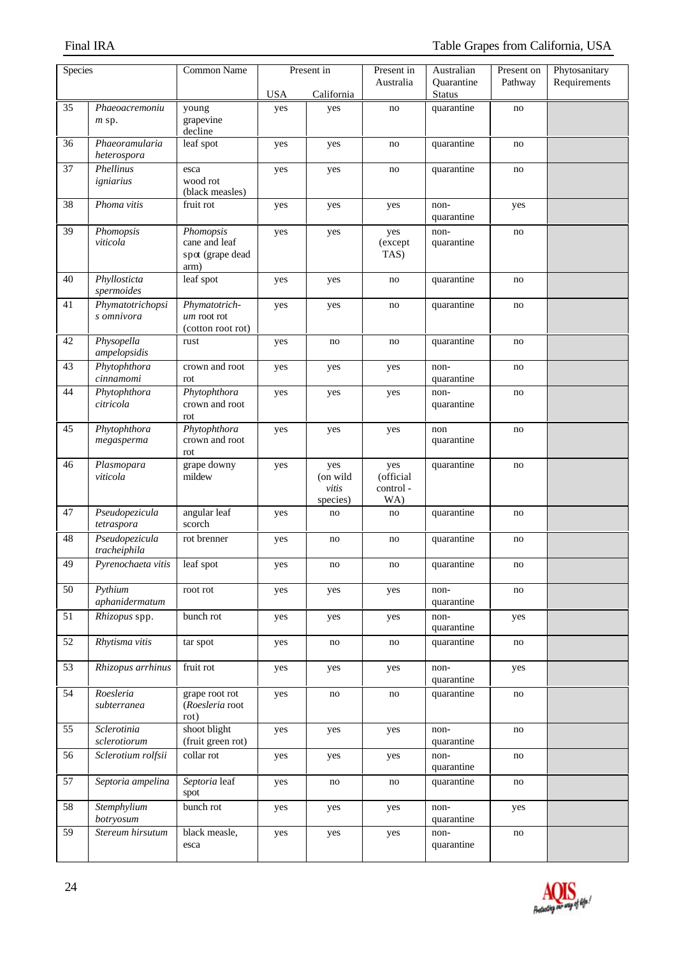| Species         |                                | <b>Common Name</b><br>Present in                       |            | Present in                           | Australian                          | Present on                  | Phytosanitary |              |
|-----------------|--------------------------------|--------------------------------------------------------|------------|--------------------------------------|-------------------------------------|-----------------------------|---------------|--------------|
|                 |                                |                                                        | <b>USA</b> | California                           | Australia                           | Quarantine<br><b>Status</b> | Pathway       | Requirements |
| 35              | Phaeoacremoniu                 | young                                                  | yes        | yes                                  | no                                  | quarantine                  | no            |              |
|                 | $m$ sp.                        | grapevine<br>decline                                   |            |                                      |                                     |                             |               |              |
| 36              | Phaeoramularia<br>heterospora  | leaf spot                                              | yes        | yes                                  | no                                  | quarantine                  | no            |              |
| $\overline{37}$ | Phellinus<br>igniarius         | esca<br>wood rot<br>(black measles)                    | yes        | yes                                  | no                                  | quarantine                  | no            |              |
| $\overline{38}$ | Phoma vitis                    | fruit rot                                              | yes        | yes                                  | yes                                 | non-<br>quarantine          | yes           |              |
| 39              | Phomopsis<br>viticola          | Phomopsis<br>cane and leaf<br>spot (grape dead<br>arm) | yes        | yes                                  | yes<br>(except<br>TAS)              | non-<br>quarantine          | no            |              |
| 40              | Phyllosticta<br>spermoides     | leaf spot                                              | yes        | yes                                  | no                                  | quarantine                  | no            |              |
| 41              | Phymatotrichopsi<br>s omnivora | Phymatotrich-<br>um root rot<br>(cotton root rot)      | yes        | yes                                  | no                                  | quarantine                  | no            |              |
| 42              | Physopella<br>ampelopsidis     | rust                                                   | yes        | no                                   | no                                  | quarantine                  | no            |              |
| 43              | Phytophthora<br>cinnamomi      | crown and root<br>rot                                  | yes        | yes                                  | yes                                 | non-<br>quarantine          | no            |              |
| 44              | Phytophthora<br>citricola      | Phytophthora<br>crown and root<br>rot                  | yes        | yes                                  | yes                                 | non-<br>quarantine          | no            |              |
| 45              | Phytophthora<br>megasperma     | Phytophthora<br>crown and root<br>rot                  | yes        | yes                                  | yes                                 | non<br>quarantine           | no            |              |
| 46              | Plasmopara<br>viticola         | grape downy<br>mildew                                  | yes        | yes<br>(on wild<br>vitis<br>species) | yes<br>(official<br>control-<br>WA) | quarantine                  | no            |              |
| 47              | Pseudopezicula<br>tetraspora   | angular leaf<br>scorch                                 | yes        | no                                   | no                                  | quarantine                  | no            |              |
| 48              | Pseudopezicula<br>tracheiphila | rot brenner                                            | yes        | no                                   | no                                  | quarantine                  | no            |              |
| 49              | Pyrenochaeta vitis             | leaf spot                                              | yes        | no                                   | no                                  | quarantine                  | no            |              |
| 50              | Pythium<br>aphanidermatum      | root rot                                               | yes        | yes                                  | yes                                 | non-<br>quarantine          | no            |              |
| 51              | Rhizopus spp.                  | bunch rot                                              | yes        | yes                                  | yes                                 | non-<br>quarantine          | yes           |              |
| 52              | Rhytisma vitis                 | tar spot                                               | yes        | no                                   | no                                  | quarantine                  | no            |              |
| 53              | Rhizopus arrhinus              | fruit rot                                              | yes        | yes                                  | yes                                 | non-<br>quarantine          | yes           |              |
| 54              | Roesleria<br>subterranea       | grape root rot<br>(Roesleria root<br>rot)              | yes        | no                                   | no                                  | quarantine                  | no            |              |
| 55              | Sclerotinia<br>sclerotiorum    | shoot blight<br>(fruit green rot)                      | yes        | yes                                  | yes                                 | non-<br>quarantine          | no            |              |
| 56              | Sclerotium rolfsii             | collar rot                                             | yes        | yes                                  | yes                                 | non-<br>quarantine          | no            |              |
| 57              | Septoria ampelina              | Septoria leaf<br>spot                                  | yes        | no                                   | no                                  | quarantine                  | no            |              |
| 58              | Stemphylium<br>botryosum       | bunch rot                                              | yes        | yes                                  | yes                                 | non-<br>quarantine          | yes           |              |
| 59              | Stereum hirsutum               | black measle,<br>esca                                  | yes        | yes                                  | yes                                 | non-<br>quarantine          | no            |              |

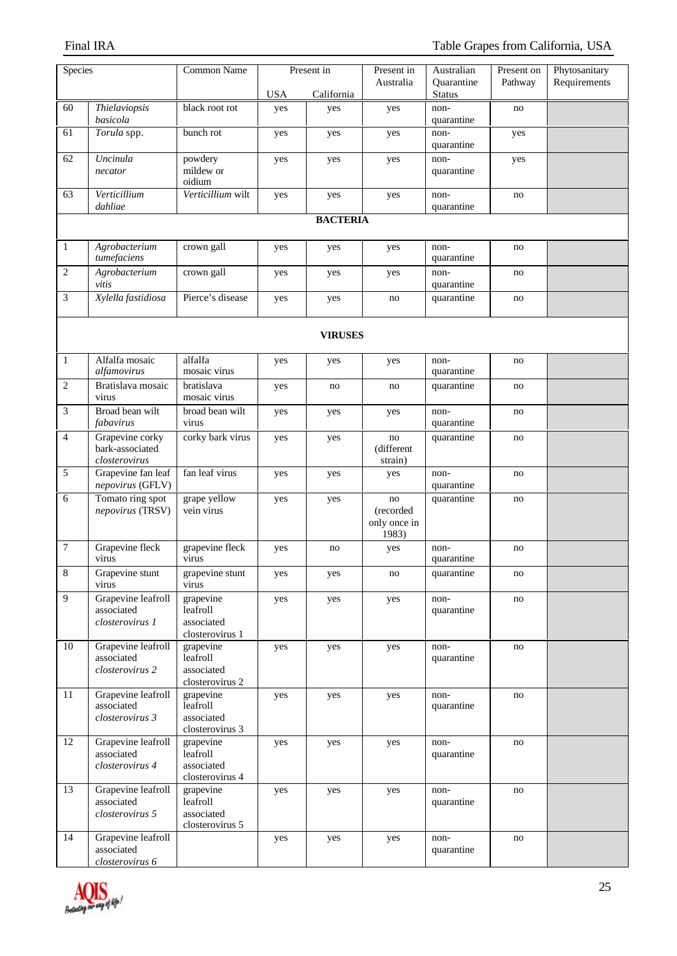| Species        |                                                     | <b>Common Name</b>                                     | Present in |                 | Present in                               | Australian                  | Present on | Phytosanitary |
|----------------|-----------------------------------------------------|--------------------------------------------------------|------------|-----------------|------------------------------------------|-----------------------------|------------|---------------|
|                |                                                     |                                                        | <b>USA</b> | California      | Australia                                | Quarantine<br><b>Status</b> | Pathway    | Requirements  |
| 60             | Thielaviopsis<br>basicola                           | black root rot                                         | yes        | yes             | yes                                      | non-<br>quarantine          | no         |               |
| 61             | Torula spp.                                         | bunch rot                                              | yes        | yes             | yes                                      | non-<br>quarantine          | yes        |               |
| 62             | Uncinula<br>necator                                 | powdery<br>mildew or<br>oidium                         | yes        | yes             | yes                                      | non-<br>quarantine          | yes        |               |
| 63             | Verticillium<br>dahliae                             | Verticillium wilt                                      | yes        | yes             | yes                                      | non-<br>quarantine          | no         |               |
|                |                                                     |                                                        |            | <b>BACTERIA</b> |                                          |                             |            |               |
| $\mathbf{1}$   | Agrobacterium<br>tumefaciens                        | crown gall                                             | yes        | yes             | yes                                      | non-<br>quarantine          | no         |               |
| $\overline{c}$ | Agrobacterium<br>vitis                              | crown gall                                             | yes        | yes             | yes                                      | non-<br>quarantine          | no         |               |
| 3              | Xylella fastidiosa                                  | Pierce's disease                                       | yes        | yes             | no                                       | quarantine                  | no         |               |
|                |                                                     |                                                        |            | <b>VIRUSES</b>  |                                          |                             |            |               |
|                |                                                     |                                                        |            |                 |                                          |                             |            |               |
| $\mathbf{1}$   | Alfalfa mosaic<br>alfamovirus                       | alfalfa<br>mosaic virus                                | yes        | yes             | yes                                      | non-<br>quarantine          | no         |               |
| $\overline{c}$ | Bratislava mosaic<br>virus                          | bratislava<br>mosaic virus                             | yes        | no              | no                                       | quarantine                  | no         |               |
| 3              | Broad bean wilt<br>fabavirus                        | broad bean wilt<br>virus                               | yes        | yes             | yes                                      | non-<br>quarantine          | no         |               |
| $\overline{4}$ | Grapevine corky<br>bark-associated<br>closterovirus | corky bark virus                                       | yes        | yes             | no<br>(different<br>strain)              | quarantine                  | no         |               |
| 5              | Grapevine fan leaf<br>nepovirus (GFLV)              | fan leaf virus                                         | yes        | yes             | yes                                      | non-<br>quarantine          | no         |               |
| 6              | Tomato ring spot<br>nepovirus (TRSV)                | grape yellow<br>vein virus                             | yes        | yes             | no<br>(recorded<br>only once in<br>1983) | quarantine                  | no         |               |
| $\tau$         | Grapevine fleck<br>virus                            | grapevine fleck<br>virus                               | yes        | no              | yes                                      | non-<br>quarantine          | no         |               |
| $\bf 8$        | Grapevine stunt<br>virus                            | grapevine stunt<br>virus                               | yes        | yes             | no                                       | quarantine                  | no         |               |
| $\overline{9}$ | Grapevine leafroll<br>associated<br>closterovirus 1 | grapevine<br>leafroll<br>associated<br>closterovirus 1 | yes        | yes             | yes                                      | non-<br>quarantine          | no         |               |
| 10             | Grapevine leafroll<br>associated<br>closterovirus 2 | grapevine<br>leafroll<br>associated<br>closterovirus 2 | yes        | yes             | yes                                      | non-<br>quarantine          | no         |               |
| 11             | Grapevine leafroll<br>associated<br>closterovirus 3 | grapevine<br>leafroll<br>associated<br>closterovirus 3 | yes        | yes             | yes                                      | non-<br>quarantine          | no         |               |
| 12             | Grapevine leafroll<br>associated<br>closterovirus 4 | grapevine<br>leafroll<br>associated<br>closterovirus 4 | yes        | yes             | yes                                      | non-<br>quarantine          | no         |               |
| 13             | Grapevine leafroll<br>associated<br>closterovirus 5 | grapevine<br>leafroll<br>associated<br>closterovirus 5 | yes        | yes             | yes                                      | non-<br>quarantine          | no         |               |
| 14             | Grapevine leafroll<br>associated<br>closterovirus 6 |                                                        | yes        | yes             | yes                                      | non-<br>quarantine          | no         |               |

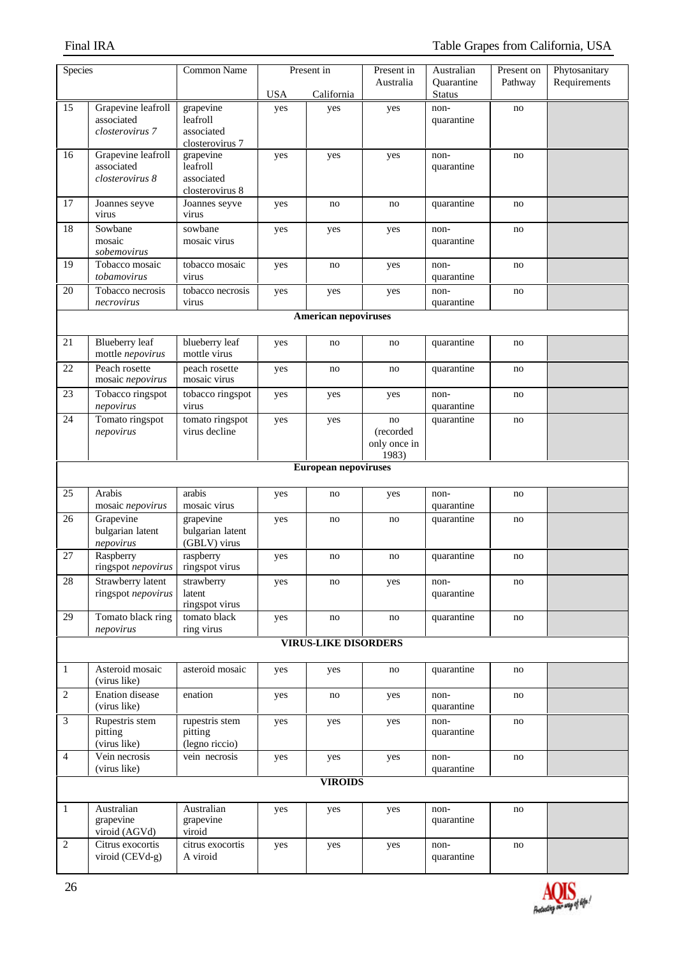| Species                     |                                           | <b>Common Name</b>               | Present in |                             | Present in      | Australian                  | Present on | Phytosanitary |  |
|-----------------------------|-------------------------------------------|----------------------------------|------------|-----------------------------|-----------------|-----------------------------|------------|---------------|--|
|                             |                                           |                                  | <b>USA</b> | California                  | Australia       | Quarantine<br><b>Status</b> | Pathway    | Requirements  |  |
| 15                          | Grapevine leafroll                        | grapevine                        | yes        | yes                         | yes             | non-                        | no         |               |  |
|                             | associated<br>closterovirus 7             | leafroll<br>associated           |            |                             |                 | quarantine                  |            |               |  |
|                             |                                           | closterovirus 7                  |            |                             |                 |                             |            |               |  |
| 16                          | Grapevine leafroll<br>associated          | grapevine<br>leafroll            | yes        | yes                         | yes             | non-<br>quarantine          | no         |               |  |
|                             | closterovirus 8                           | associated                       |            |                             |                 |                             |            |               |  |
| 17                          |                                           | closterovirus 8<br>Joannes seyve |            |                             |                 | quarantine                  |            |               |  |
|                             | Joannes seyve<br>virus                    | virus                            | yes        | no                          | no              |                             | no         |               |  |
| $\overline{18}$             | Sowbane<br>mosaic                         | sowbane<br>mosaic virus          | yes        | yes                         | yes             | non-<br>quarantine          | no         |               |  |
|                             | sobemovirus                               |                                  |            |                             |                 |                             |            |               |  |
| 19                          | Tobacco mosaic<br>tobamovirus             | tobacco mosaic<br>virus          | yes        | no                          | yes             | non-<br>quarantine          | no         |               |  |
| 20                          | Tobacco necrosis                          | tobacco necrosis                 | yes        | yes                         | yes             | non-                        | no         |               |  |
|                             | necrovirus                                | virus                            |            |                             |                 | quarantine                  |            |               |  |
|                             |                                           |                                  |            | <b>American nepoviruses</b> |                 |                             |            |               |  |
| 21                          | <b>Blueberry</b> leaf<br>mottle nepovirus | blueberry leaf<br>mottle virus   | yes        | no                          | no              | quarantine                  | no         |               |  |
| 22                          | Peach rosette<br>mosaic nepovirus         | peach rosette<br>mosaic virus    | yes        | no                          | no              | quarantine                  | no         |               |  |
| 23                          | Tobacco ringspot                          | tobacco ringspot                 | yes        | yes                         | yes             | non-                        | no         |               |  |
|                             | nepovirus                                 | virus                            |            |                             |                 | quarantine                  |            |               |  |
| 24                          | Tomato ringspot<br>nepovirus              | tomato ringspot<br>virus decline | yes        | yes                         | no<br>(recorded | quarantine                  | no         |               |  |
|                             |                                           |                                  |            |                             | only once in    |                             |            |               |  |
|                             |                                           |                                  |            |                             | 1983)           |                             |            |               |  |
|                             | <b>European nepoviruses</b>               |                                  |            |                             |                 |                             |            |               |  |
| 25                          | Arabis<br>mosaic nepovirus                | arabis<br>mosaic virus           | yes        | no                          | yes             | non-<br>quarantine          | no         |               |  |
| 26                          | Grapevine                                 | grapevine                        | yes        | no                          | no              | quarantine                  | no         |               |  |
|                             | bulgarian latent                          | bulgarian latent                 |            |                             |                 |                             |            |               |  |
| 27                          | nepovirus<br>Raspberry                    | (GBLV) virus<br>raspberry        | yes        | no                          | no              | quarantine                  | no         |               |  |
|                             | ringspot nepovirus                        | ringspot virus                   |            |                             |                 |                             |            |               |  |
| $28\,$                      | Strawberry latent<br>ringspot nepovirus   | strawberry<br>latent             | yes        | no                          | yes             | non-<br>quarantine          | no         |               |  |
|                             |                                           | ringspot virus                   |            |                             |                 |                             |            |               |  |
| 29                          | Tomato black ring<br>nepovirus            | tomato black<br>ring virus       | yes        | no                          | no              | quarantine                  | no         |               |  |
|                             |                                           |                                  |            | <b>VIRUS-LIKE DISORDERS</b> |                 |                             |            |               |  |
|                             |                                           |                                  |            |                             |                 |                             |            |               |  |
| $\mathbf{1}$                | Asteroid mosaic<br>(virus like)           | asteroid mosaic                  | yes        | yes                         | no              | quarantine                  | no         |               |  |
| $\sqrt{2}$                  | Enation disease<br>(virus like)           | enation                          | yes        | no                          | yes             | non-<br>quarantine          | no         |               |  |
| $\ensuremath{\mathfrak{Z}}$ | Rupestris stem                            | rupestris stem                   | yes        | yes                         | yes             | non-                        | no         |               |  |
|                             | pitting<br>(virus like)                   | pitting<br>(legno riccio)        |            |                             |                 | quarantine                  |            |               |  |
| $\overline{4}$              | Vein necrosis                             | vein necrosis                    | yes        | yes                         | yes             | non-                        | no         |               |  |
|                             | (virus like)                              |                                  |            | <b>VIROIDS</b>              |                 | quarantine                  |            |               |  |
|                             |                                           |                                  |            |                             |                 |                             |            |               |  |
| 1                           | Australian                                | Australian                       | yes        | yes                         | yes             | non-                        | no         |               |  |
|                             | grapevine<br>viroid (AGVd)                | grapevine<br>viroid              |            |                             |                 | quarantine                  |            |               |  |
| $\overline{2}$              | Citrus exocortis                          | citrus exocortis                 | yes        | yes                         | yes             | non-                        | no         |               |  |
|                             | viroid (CEVd-g)                           | A viroid                         |            |                             |                 | quarantine                  |            |               |  |

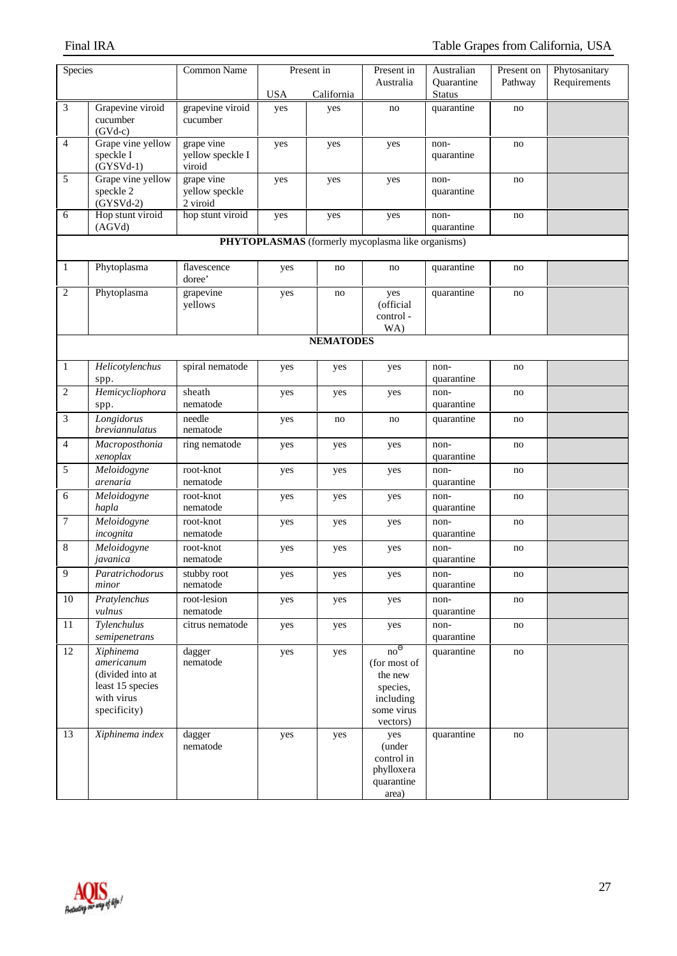| Species        |                                                                                               | <b>Common Name</b>                       |            | Present in       | Present in                                                                                    | Australian                  | Present on | Phytosanitary |  |  |  |
|----------------|-----------------------------------------------------------------------------------------------|------------------------------------------|------------|------------------|-----------------------------------------------------------------------------------------------|-----------------------------|------------|---------------|--|--|--|
|                |                                                                                               |                                          |            |                  | Australia                                                                                     | Quarantine                  | Pathway    | Requirements  |  |  |  |
| 3              | Grapevine viroid                                                                              | grapevine viroid                         | <b>USA</b> | California       | no                                                                                            | <b>Status</b><br>quarantine | no         |               |  |  |  |
|                | cucumber<br>$(GVd-c)$                                                                         | cucumber                                 | yes        | yes              |                                                                                               |                             |            |               |  |  |  |
| $\overline{4}$ | Grape vine yellow<br>speckle I<br>$(GYSVd-1)$                                                 | grape vine<br>yellow speckle I<br>viroid | yes        | yes              | yes                                                                                           | non-<br>quarantine          | no         |               |  |  |  |
| 5              | Grape vine yellow<br>speckle 2<br>$(GYSVd-2)$                                                 | grape vine<br>yellow speckle<br>2 viroid | yes        | yes              | yes                                                                                           | non-<br>quarantine          | no         |               |  |  |  |
| 6              | Hop stunt viroid<br>(AGVd)                                                                    | hop stunt viroid                         | yes        | yes              | yes                                                                                           | non-<br>quarantine          | no         |               |  |  |  |
|                | PHYTOPLASMAS (formerly mycoplasma like organisms)                                             |                                          |            |                  |                                                                                               |                             |            |               |  |  |  |
| 1              | Phytoplasma                                                                                   | flavescence<br>doree'                    | yes        | no               | no                                                                                            | quarantine                  | no         |               |  |  |  |
| $\overline{c}$ | Phytoplasma                                                                                   | grapevine<br>yellows                     | yes        | no               | yes<br>(official<br>control-<br>WA)                                                           | quarantine                  | no         |               |  |  |  |
|                |                                                                                               |                                          |            | <b>NEMATODES</b> |                                                                                               |                             |            |               |  |  |  |
|                |                                                                                               |                                          |            |                  |                                                                                               |                             |            |               |  |  |  |
| $\mathbf{1}$   | Helicotylenchus<br>spp.                                                                       | spiral nematode                          | yes        | yes              | yes                                                                                           | non-<br>quarantine          | no         |               |  |  |  |
| $\overline{2}$ | Hemicycliophora<br>spp.                                                                       | sheath<br>nematode                       | yes        | yes              | yes                                                                                           | non-<br>quarantine          | no         |               |  |  |  |
| 3              | Longidorus<br>breviannulatus                                                                  | needle<br>nematode                       | yes        | no               | no                                                                                            | quarantine                  | no         |               |  |  |  |
| $\overline{4}$ | Macroposthonia<br>xenoplax                                                                    | ring nematode                            | yes        | yes              | yes                                                                                           | non-<br>quarantine          | no         |               |  |  |  |
| 5              | Meloidogyne<br>arenaria                                                                       | root-knot<br>nematode                    | yes        | yes              | yes                                                                                           | non-<br>quarantine          | no         |               |  |  |  |
| 6              | Meloidogyne<br>hapla                                                                          | root-knot<br>nematode                    | yes        | yes              | yes                                                                                           | non-<br>quarantine          | no         |               |  |  |  |
| 7              | Meloidogyne<br>incognita                                                                      | root-knot<br>nematode                    | yes        | yes              | yes                                                                                           | non-<br>quarantine          | no         |               |  |  |  |
| 8              | Meloidogyne<br>javanica                                                                       | root-knot<br>nematode                    | yes        | yes              | yes                                                                                           | non-<br>quarantine          | no         |               |  |  |  |
| 9              | Paratrichodorus<br>minor                                                                      | stubby root<br>nematode                  | yes        | yes              | yes                                                                                           | non-<br>quarantine          | no         |               |  |  |  |
| 10             | Pratylenchus<br>vulnus                                                                        | root-lesion<br>nematode                  | yes        | yes              | yes                                                                                           | non-<br>quarantine          | no         |               |  |  |  |
| 11             | Tylenchulus<br>semipenetrans                                                                  | citrus nematode                          | yes        | yes              | yes                                                                                           | non-<br>quarantine          | no         |               |  |  |  |
| 12             | Xiphinema<br>americanum<br>(divided into at<br>least 15 species<br>with virus<br>specificity) | dagger<br>$\it nematode$                 | yes        | yes              | no <sup>0</sup><br>(for most of<br>the new<br>species,<br>including<br>some virus<br>vectors) | quarantine                  | no         |               |  |  |  |
| 13             | Xiphinema index                                                                               | dagger<br>nematode                       | yes        | yes              | yes<br>(under<br>control in<br>phylloxera<br>quarantine<br>area)                              | quarantine                  | no         |               |  |  |  |

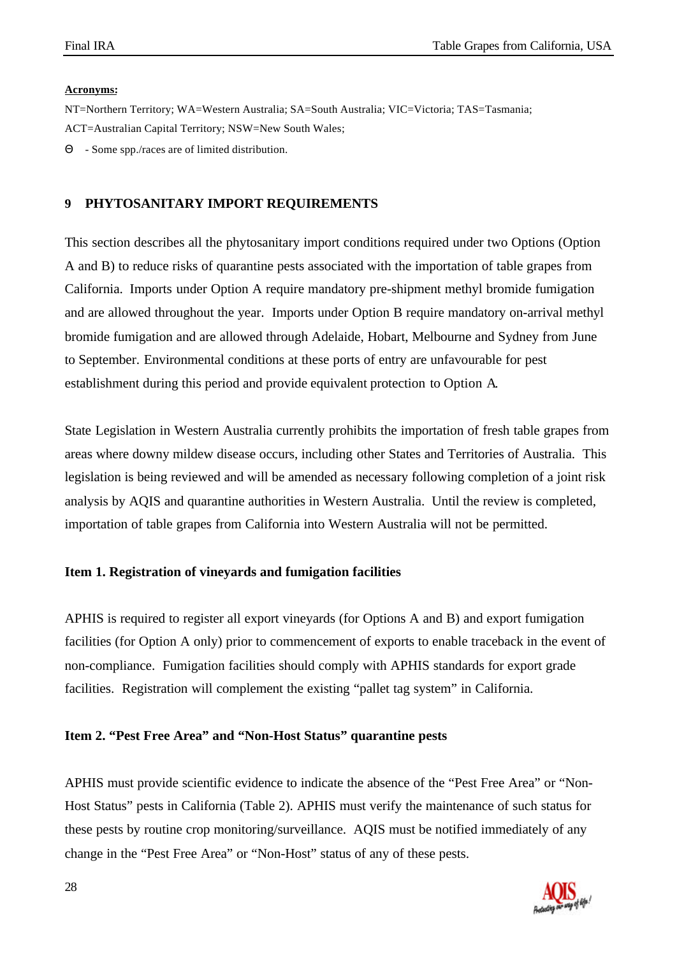#### **Acronyms:**

NT=Northern Territory; WA=Western Australia; SA=South Australia; VIC=Victoria; TAS=Tasmania; ACT=Australian Capital Territory; NSW=New South Wales;

Θ - Some spp./races are of limited distribution.

### **9 PHYTOSANITARY IMPORT REQUIREMENTS**

This section describes all the phytosanitary import conditions required under two Options (Option A and B) to reduce risks of quarantine pests associated with the importation of table grapes from California. Imports under Option A require mandatory pre-shipment methyl bromide fumigation and are allowed throughout the year. Imports under Option B require mandatory on-arrival methyl bromide fumigation and are allowed through Adelaide, Hobart, Melbourne and Sydney from June to September. Environmental conditions at these ports of entry are unfavourable for pest establishment during this period and provide equivalent protection to Option A.

State Legislation in Western Australia currently prohibits the importation of fresh table grapes from areas where downy mildew disease occurs, including other States and Territories of Australia. This legislation is being reviewed and will be amended as necessary following completion of a joint risk analysis by AQIS and quarantine authorities in Western Australia. Until the review is completed, importation of table grapes from California into Western Australia will not be permitted.

#### **Item 1. Registration of vineyards and fumigation facilities**

APHIS is required to register all export vineyards (for Options A and B) and export fumigation facilities (for Option A only) prior to commencement of exports to enable traceback in the event of non-compliance. Fumigation facilities should comply with APHIS standards for export grade facilities. Registration will complement the existing "pallet tag system" in California.

#### **Item 2. "Pest Free Area" and "Non-Host Status" quarantine pests**

APHIS must provide scientific evidence to indicate the absence of the "Pest Free Area" or "Non-Host Status" pests in California (Table 2). APHIS must verify the maintenance of such status for these pests by routine crop monitoring/surveillance. AQIS must be notified immediately of any change in the "Pest Free Area" or "Non-Host" status of any of these pests.

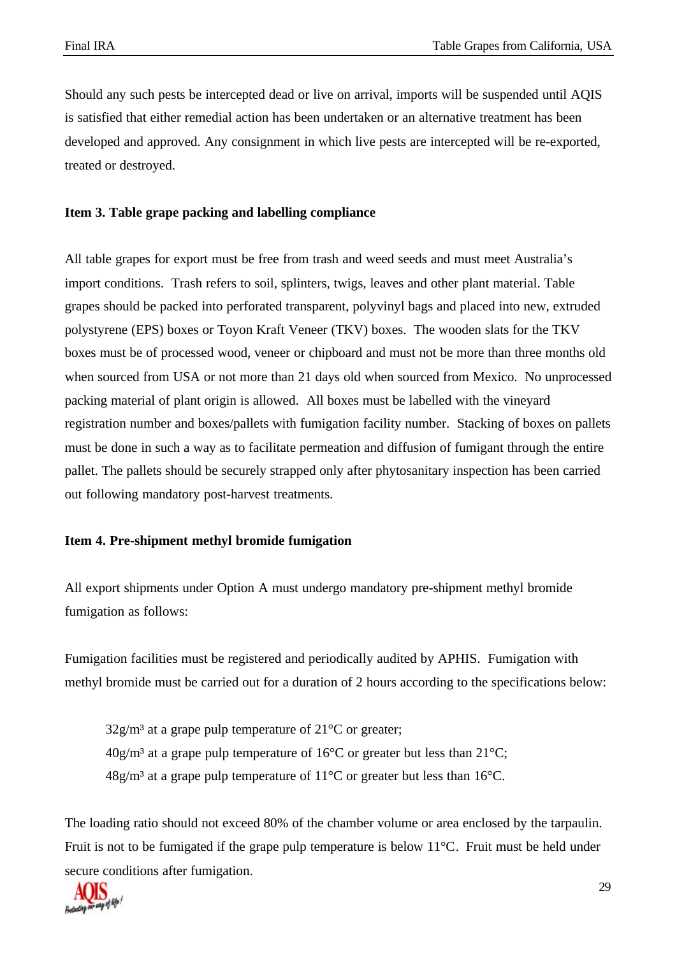Should any such pests be intercepted dead or live on arrival, imports will be suspended until AQIS is satisfied that either remedial action has been undertaken or an alternative treatment has been developed and approved. Any consignment in which live pests are intercepted will be re-exported, treated or destroyed.

## **Item 3. Table grape packing and labelling compliance**

All table grapes for export must be free from trash and weed seeds and must meet Australia's import conditions. Trash refers to soil, splinters, twigs, leaves and other plant material. Table grapes should be packed into perforated transparent, polyvinyl bags and placed into new, extruded polystyrene (EPS) boxes or Toyon Kraft Veneer (TKV) boxes. The wooden slats for the TKV boxes must be of processed wood, veneer or chipboard and must not be more than three months old when sourced from USA or not more than 21 days old when sourced from Mexico. No unprocessed packing material of plant origin is allowed. All boxes must be labelled with the vineyard registration number and boxes/pallets with fumigation facility number. Stacking of boxes on pallets must be done in such a way as to facilitate permeation and diffusion of fumigant through the entire pallet. The pallets should be securely strapped only after phytosanitary inspection has been carried out following mandatory post-harvest treatments.

#### **Item 4. Pre-shipment methyl bromide fumigation**

All export shipments under Option A must undergo mandatory pre-shipment methyl bromide fumigation as follows:

Fumigation facilities must be registered and periodically audited by APHIS. Fumigation with methyl bromide must be carried out for a duration of 2 hours according to the specifications below:

 $32g/m<sup>3</sup>$  at a grape pulp temperature of  $21^{\circ}$ C or greater;  $40g/m<sup>3</sup>$  at a grape pulp temperature of 16<sup>o</sup>C or greater but less than 21<sup>o</sup>C;  $48g/m<sup>3</sup>$  at a grape pulp temperature of 11<sup>o</sup>C or greater but less than 16<sup>o</sup>C.

The loading ratio should not exceed 80% of the chamber volume or area enclosed by the tarpaulin. Fruit is not to be fumigated if the grape pulp temperature is below 11°C. Fruit must be held under secure conditions after fumigation.

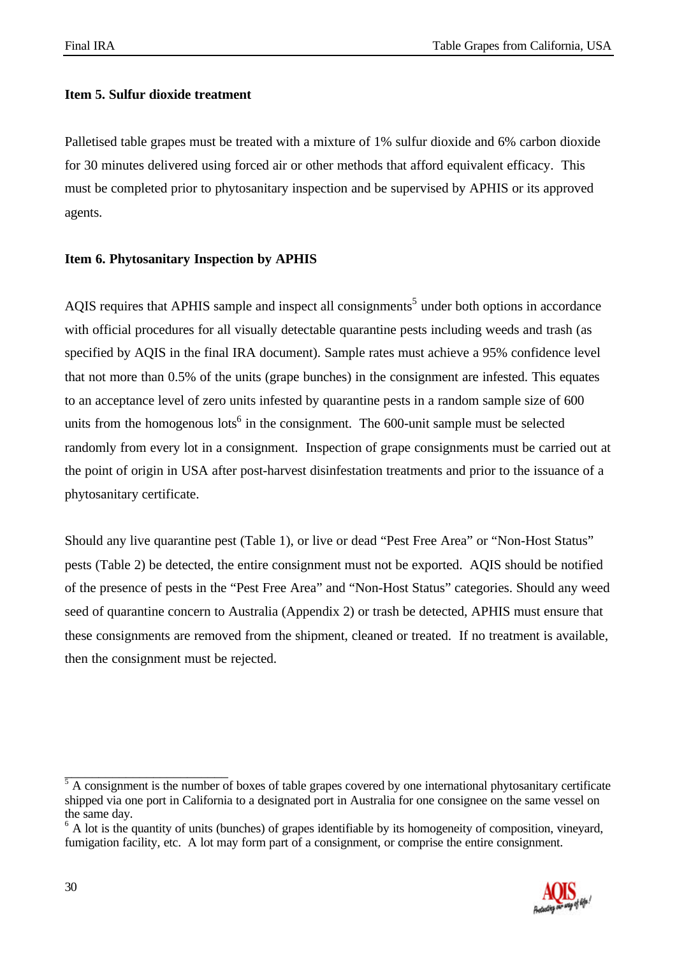#### **Item 5. Sulfur dioxide treatment**

Palletised table grapes must be treated with a mixture of 1% sulfur dioxide and 6% carbon dioxide for 30 minutes delivered using forced air or other methods that afford equivalent efficacy. This must be completed prior to phytosanitary inspection and be supervised by APHIS or its approved agents.

### **Item 6. Phytosanitary Inspection by APHIS**

AQIS requires that APHIS sample and inspect all consignments<sup>5</sup> under both options in accordance with official procedures for all visually detectable quarantine pests including weeds and trash (as specified by AQIS in the final IRA document). Sample rates must achieve a 95% confidence level that not more than 0.5% of the units (grape bunches) in the consignment are infested. This equates to an acceptance level of zero units infested by quarantine pests in a random sample size of 600 units from the homogenous lots<sup>6</sup> in the consignment. The 600-unit sample must be selected randomly from every lot in a consignment. Inspection of grape consignments must be carried out at the point of origin in USA after post-harvest disinfestation treatments and prior to the issuance of a phytosanitary certificate.

Should any live quarantine pest (Table 1), or live or dead "Pest Free Area" or "Non-Host Status" pests (Table 2) be detected, the entire consignment must not be exported. AQIS should be notified of the presence of pests in the "Pest Free Area" and "Non-Host Status" categories. Should any weed seed of quarantine concern to Australia (Appendix 2) or trash be detected, APHIS must ensure that these consignments are removed from the shipment, cleaned or treated. If no treatment is available, then the consignment must be rejected.

<sup>&</sup>lt;sup>6</sup> A lot is the quantity of units (bunches) of grapes identifiable by its homogeneity of composition, vineyard, fumigation facility, etc. A lot may form part of a consignment, or comprise the entire consignment.



\_\_\_\_\_\_\_\_\_\_\_\_\_\_\_\_\_\_\_\_\_\_\_\_

 $<sup>5</sup>$  A consignment is the number of boxes of table grapes covered by one international phytosanitary certificate</sup> shipped via one port in California to a designated port in Australia for one consignee on the same vessel on the same day.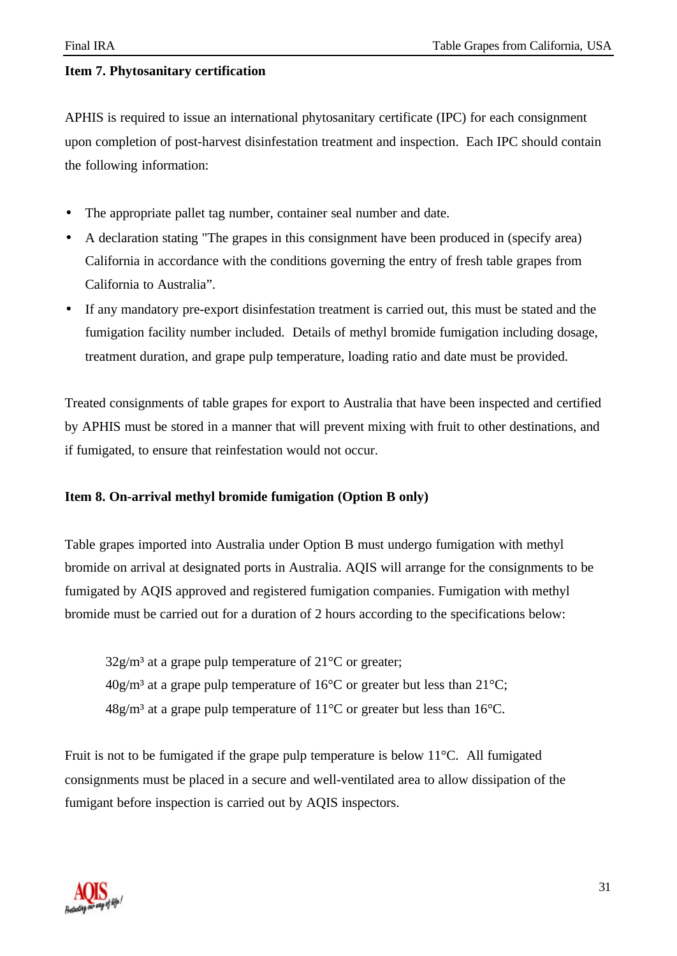### **Item 7. Phytosanitary certification**

APHIS is required to issue an international phytosanitary certificate (IPC) for each consignment upon completion of post-harvest disinfestation treatment and inspection. Each IPC should contain the following information:

- The appropriate pallet tag number, container seal number and date.
- A declaration stating "The grapes in this consignment have been produced in (specify area) California in accordance with the conditions governing the entry of fresh table grapes from California to Australia".
- If any mandatory pre-export disinfestation treatment is carried out, this must be stated and the fumigation facility number included. Details of methyl bromide fumigation including dosage, treatment duration, and grape pulp temperature, loading ratio and date must be provided.

Treated consignments of table grapes for export to Australia that have been inspected and certified by APHIS must be stored in a manner that will prevent mixing with fruit to other destinations, and if fumigated, to ensure that reinfestation would not occur.

#### **Item 8. On-arrival methyl bromide fumigation (Option B only)**

Table grapes imported into Australia under Option B must undergo fumigation with methyl bromide on arrival at designated ports in Australia. AQIS will arrange for the consignments to be fumigated by AQIS approved and registered fumigation companies. Fumigation with methyl bromide must be carried out for a duration of 2 hours according to the specifications below:

 $32g/m<sup>3</sup>$  at a grape pulp temperature of  $21^{\circ}$ C or greater;  $40g/m<sup>3</sup>$  at a grape pulp temperature of 16<sup>o</sup>C or greater but less than 21<sup>o</sup>C;  $48g/m<sup>3</sup>$  at a grape pulp temperature of 11<sup>o</sup>C or greater but less than 16<sup>o</sup>C.

Fruit is not to be fumigated if the grape pulp temperature is below 11°C. All fumigated consignments must be placed in a secure and well-ventilated area to allow dissipation of the fumigant before inspection is carried out by AQIS inspectors.

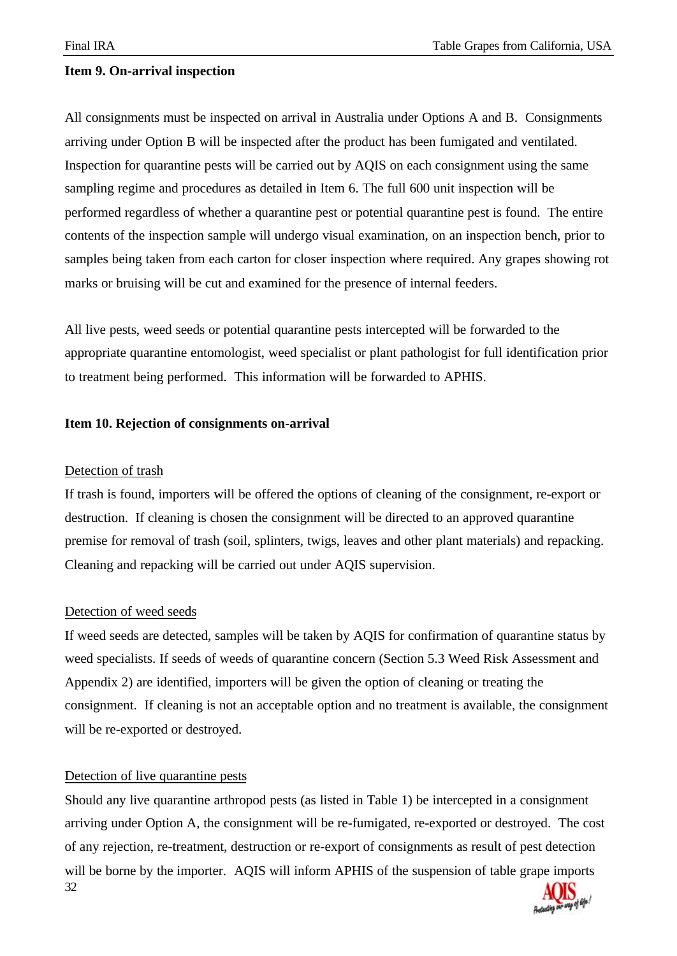#### **Item 9. On-arrival inspection**

All consignments must be inspected on arrival in Australia under Options A and B. Consignments arriving under Option B will be inspected after the product has been fumigated and ventilated. Inspection for quarantine pests will be carried out by AQIS on each consignment using the same sampling regime and procedures as detailed in Item 6. The full 600 unit inspection will be performed regardless of whether a quarantine pest or potential quarantine pest is found. The entire contents of the inspection sample will undergo visual examination, on an inspection bench, prior to samples being taken from each carton for closer inspection where required. Any grapes showing rot marks or bruising will be cut and examined for the presence of internal feeders.

All live pests, weed seeds or potential quarantine pests intercepted will be forwarded to the appropriate quarantine entomologist, weed specialist or plant pathologist for full identification prior to treatment being performed. This information will be forwarded to APHIS.

#### **Item 10. Rejection of consignments on-arrival**

#### Detection of trash

If trash is found, importers will be offered the options of cleaning of the consignment, re-export or destruction. If cleaning is chosen the consignment will be directed to an approved quarantine premise for removal of trash (soil, splinters, twigs, leaves and other plant materials) and repacking. Cleaning and repacking will be carried out under AQIS supervision.

#### Detection of weed seeds

If weed seeds are detected, samples will be taken by AQIS for confirmation of quarantine status by weed specialists. If seeds of weeds of quarantine concern (Section 5.3 Weed Risk Assessment and Appendix 2) are identified, importers will be given the option of cleaning or treating the consignment. If cleaning is not an acceptable option and no treatment is available, the consignment will be re-exported or destroyed.

#### Detection of live quarantine pests

32 Should any live quarantine arthropod pests (as listed in Table 1) be intercepted in a consignment arriving under Option A, the consignment will be re-fumigated, re-exported or destroyed. The cost of any rejection, re-treatment, destruction or re-export of consignments as result of pest detection will be borne by the importer. AQIS will inform APHIS of the suspension of table grape imports

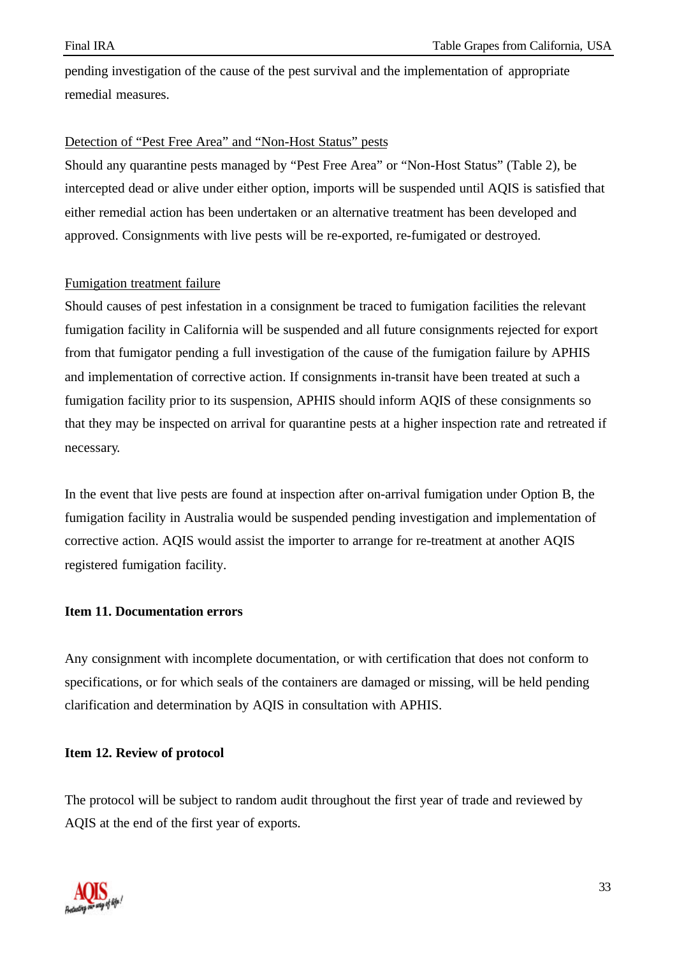pending investigation of the cause of the pest survival and the implementation of appropriate remedial measures.

#### Detection of "Pest Free Area" and "Non-Host Status" pests

Should any quarantine pests managed by "Pest Free Area" or "Non-Host Status" (Table 2), be intercepted dead or alive under either option, imports will be suspended until AQIS is satisfied that either remedial action has been undertaken or an alternative treatment has been developed and approved. Consignments with live pests will be re-exported, re-fumigated or destroyed.

### Fumigation treatment failure

Should causes of pest infestation in a consignment be traced to fumigation facilities the relevant fumigation facility in California will be suspended and all future consignments rejected for export from that fumigator pending a full investigation of the cause of the fumigation failure by APHIS and implementation of corrective action. If consignments in-transit have been treated at such a fumigation facility prior to its suspension, APHIS should inform AQIS of these consignments so that they may be inspected on arrival for quarantine pests at a higher inspection rate and retreated if necessary.

In the event that live pests are found at inspection after on-arrival fumigation under Option B, the fumigation facility in Australia would be suspended pending investigation and implementation of corrective action. AQIS would assist the importer to arrange for re-treatment at another AQIS registered fumigation facility.

#### **Item 11. Documentation errors**

Any consignment with incomplete documentation, or with certification that does not conform to specifications, or for which seals of the containers are damaged or missing, will be held pending clarification and determination by AQIS in consultation with APHIS.

#### **Item 12. Review of protocol**

The protocol will be subject to random audit throughout the first year of trade and reviewed by AQIS at the end of the first year of exports.

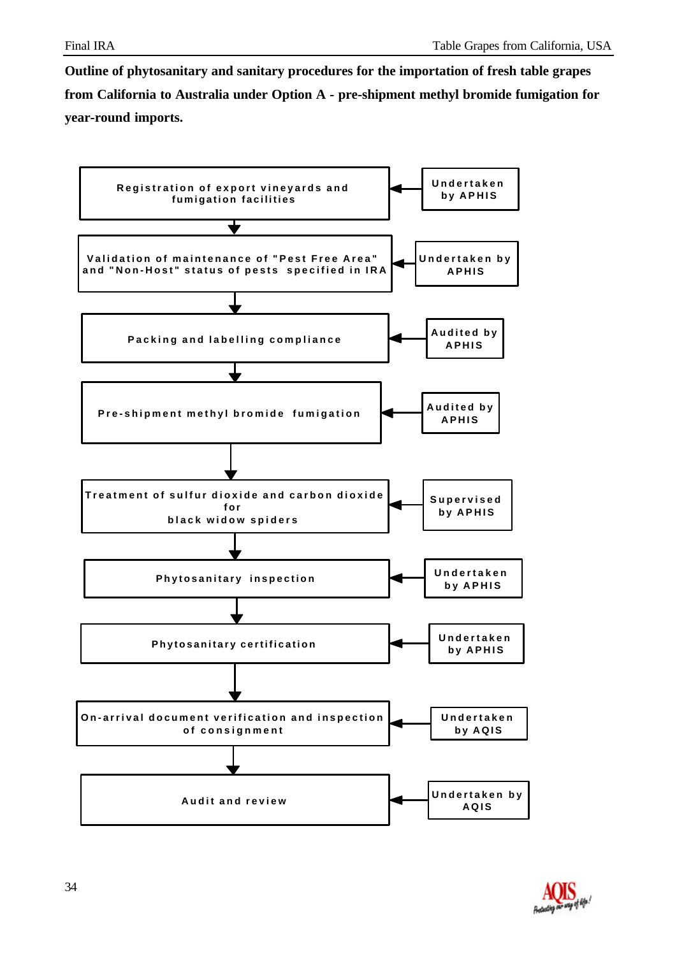**Outline of phytosanitary and sanitary procedures for the importation of fresh table grapes from California to Australia under Option A - pre-shipment methyl bromide fumigation for year-round imports.**



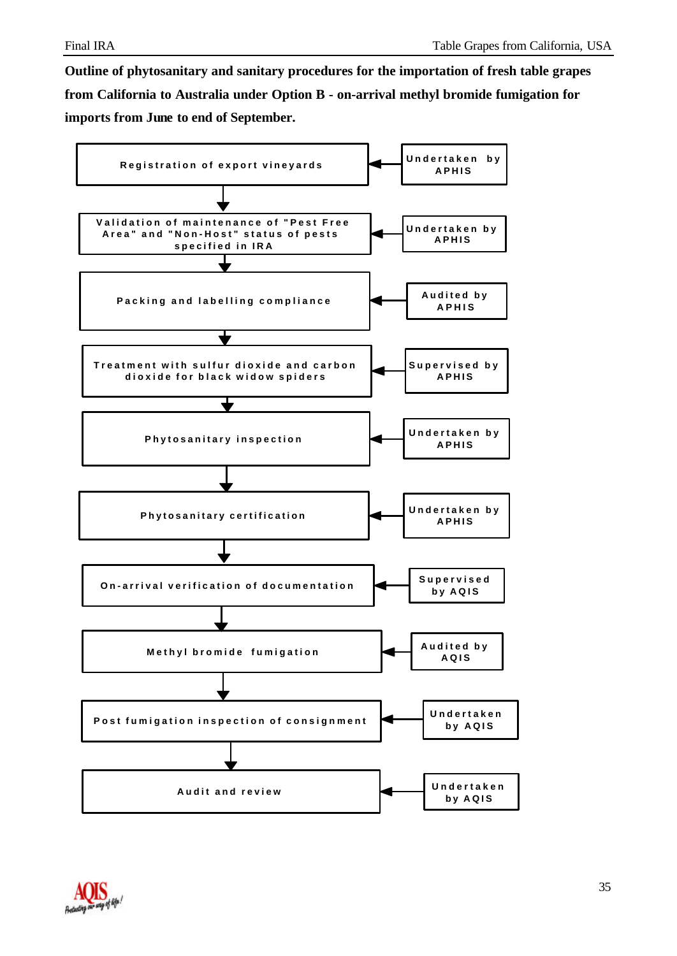**Outline of phytosanitary and sanitary procedures for the importation of fresh table grapes from California to Australia under Option B - on-arrival methyl bromide fumigation for imports from June to end of September.**



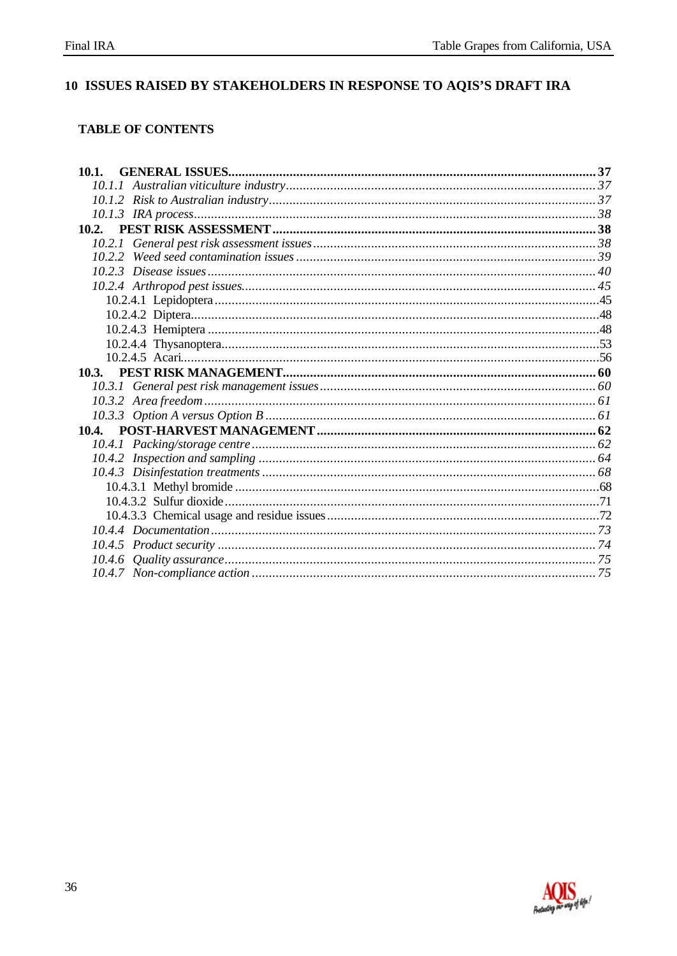# 10 ISSUES RAISED BY STAKEHOLDERS IN RESPONSE TO AQIS'S DRAFT IRA

#### **TABLE OF CONTENTS**

| 10.1. |  |
|-------|--|
|       |  |
|       |  |
|       |  |
|       |  |
|       |  |
|       |  |
|       |  |
|       |  |
|       |  |
|       |  |
|       |  |
|       |  |
|       |  |
|       |  |
|       |  |
|       |  |
|       |  |
|       |  |
|       |  |
|       |  |
|       |  |
|       |  |
|       |  |
|       |  |
|       |  |
|       |  |
|       |  |
|       |  |

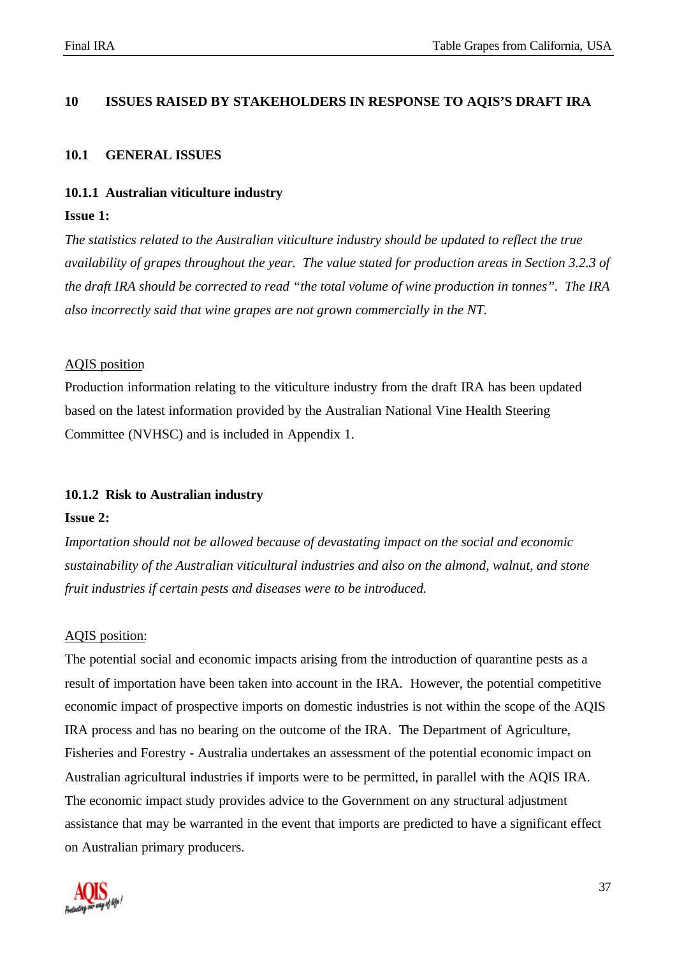## **10 ISSUES RAISED BY STAKEHOLDERS IN RESPONSE TO AQIS'S DRAFT IRA**

#### **10.1 GENERAL ISSUES**

#### **10.1.1 Australian viticulture industry**

#### **Issue 1:**

*The statistics related to the Australian viticulture industry should be updated to reflect the true availability of grapes throughout the year. The value stated for production areas in Section 3.2.3 of the draft IRA should be corrected to read "the total volume of wine production in tonnes". The IRA also incorrectly said that wine grapes are not grown commercially in the NT.*

#### AQIS position

Production information relating to the viticulture industry from the draft IRA has been updated based on the latest information provided by the Australian National Vine Health Steering Committee (NVHSC) and is included in Appendix 1.

#### **10.1.2 Risk to Australian industry**

#### **Issue 2:**

*Importation should not be allowed because of devastating impact on the social and economic sustainability of the Australian viticultural industries and also on the almond, walnut, and stone fruit industries if certain pests and diseases were to be introduced.*

#### AQIS position:

The potential social and economic impacts arising from the introduction of quarantine pests as a result of importation have been taken into account in the IRA. However, the potential competitive economic impact of prospective imports on domestic industries is not within the scope of the AQIS IRA process and has no bearing on the outcome of the IRA. The Department of Agriculture, Fisheries and Forestry - Australia undertakes an assessment of the potential economic impact on Australian agricultural industries if imports were to be permitted, in parallel with the AQIS IRA. The economic impact study provides advice to the Government on any structural adjustment assistance that may be warranted in the event that imports are predicted to have a significant effect on Australian primary producers.

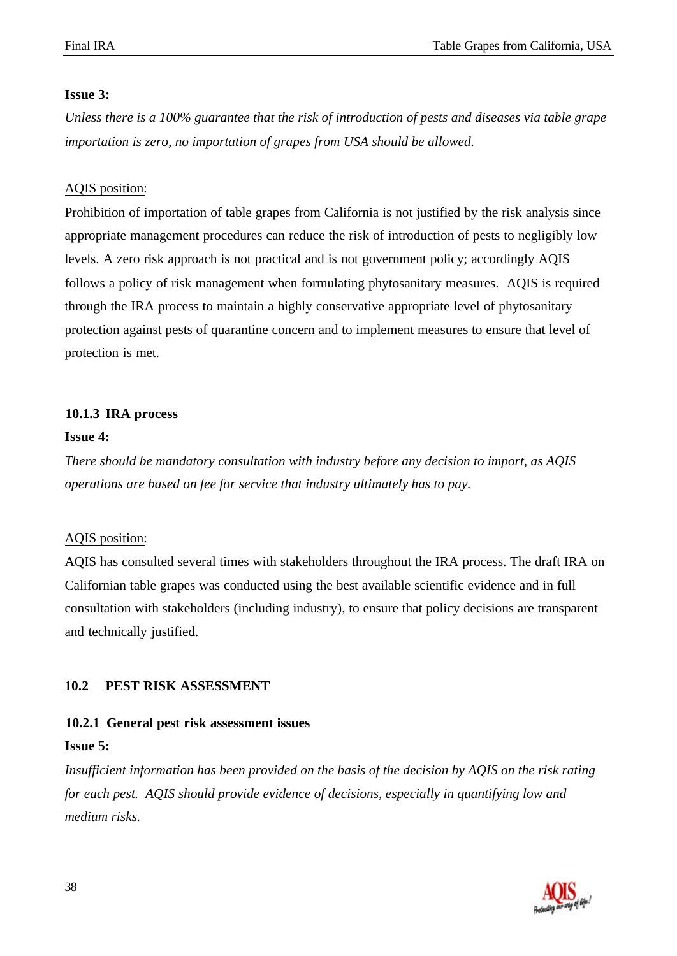#### **Issue 3:**

*Unless there is a 100% guarantee that the risk of introduction of pests and diseases via table grape importation is zero, no importation of grapes from USA should be allowed.*

#### AQIS position:

Prohibition of importation of table grapes from California is not justified by the risk analysis since appropriate management procedures can reduce the risk of introduction of pests to negligibly low levels. A zero risk approach is not practical and is not government policy; accordingly AQIS follows a policy of risk management when formulating phytosanitary measures. AQIS is required through the IRA process to maintain a highly conservative appropriate level of phytosanitary protection against pests of quarantine concern and to implement measures to ensure that level of protection is met.

#### **10.1.3 IRA process**

#### **Issue 4:**

*There should be mandatory consultation with industry before any decision to import, as AQIS operations are based on fee for service that industry ultimately has to pay.*

#### AQIS position:

AQIS has consulted several times with stakeholders throughout the IRA process. The draft IRA on Californian table grapes was conducted using the best available scientific evidence and in full consultation with stakeholders (including industry), to ensure that policy decisions are transparent and technically justified.

#### **10.2 PEST RISK ASSESSMENT**

#### **10.2.1 General pest risk assessment issues**

#### **Issue 5:**

*Insufficient information has been provided on the basis of the decision by AQIS on the risk rating for each pest. AQIS should provide evidence of decisions, especially in quantifying low and medium risks.*

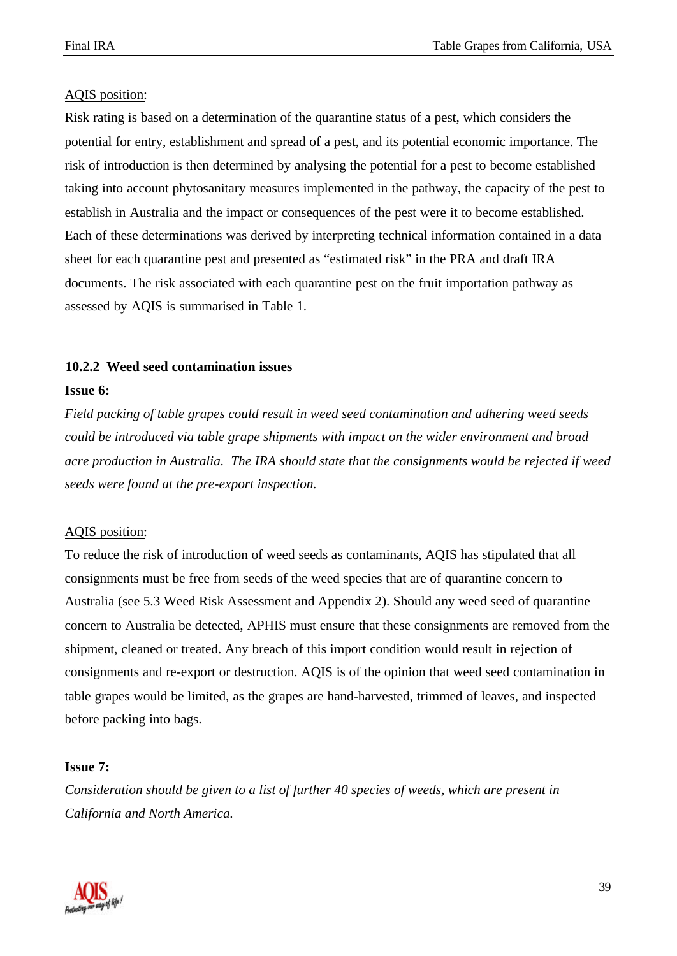Risk rating is based on a determination of the quarantine status of a pest, which considers the potential for entry, establishment and spread of a pest, and its potential economic importance. The risk of introduction is then determined by analysing the potential for a pest to become established taking into account phytosanitary measures implemented in the pathway, the capacity of the pest to establish in Australia and the impact or consequences of the pest were it to become established. Each of these determinations was derived by interpreting technical information contained in a data sheet for each quarantine pest and presented as "estimated risk" in the PRA and draft IRA documents. The risk associated with each quarantine pest on the fruit importation pathway as assessed by AQIS is summarised in Table 1.

#### **10.2.2 Weed seed contamination issues**

#### **Issue 6:**

*Field packing of table grapes could result in weed seed contamination and adhering weed seeds could be introduced via table grape shipments with impact on the wider environment and broad acre production in Australia. The IRA should state that the consignments would be rejected if weed seeds were found at the pre-export inspection.*

#### AQIS position:

To reduce the risk of introduction of weed seeds as contaminants, AQIS has stipulated that all consignments must be free from seeds of the weed species that are of quarantine concern to Australia (see 5.3 Weed Risk Assessment and Appendix 2). Should any weed seed of quarantine concern to Australia be detected, APHIS must ensure that these consignments are removed from the shipment, cleaned or treated. Any breach of this import condition would result in rejection of consignments and re-export or destruction. AQIS is of the opinion that weed seed contamination in table grapes would be limited, as the grapes are hand-harvested, trimmed of leaves, and inspected before packing into bags.

#### **Issue 7:**

*Consideration should be given to a list of further 40 species of weeds, which are present in California and North America.*

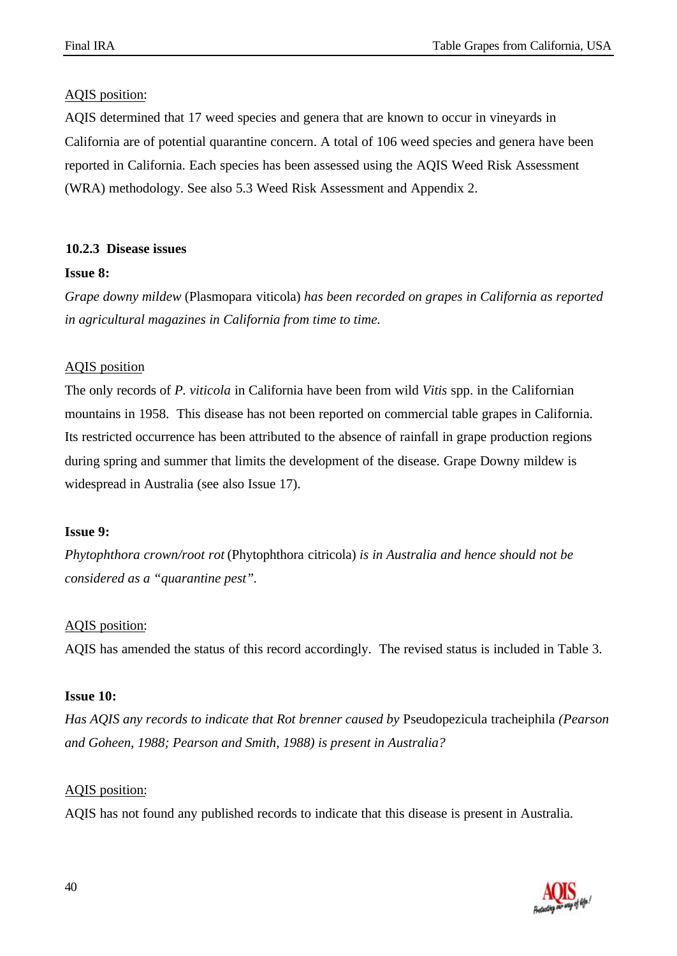AQIS determined that 17 weed species and genera that are known to occur in vineyards in California are of potential quarantine concern. A total of 106 weed species and genera have been reported in California. Each species has been assessed using the AQIS Weed Risk Assessment (WRA) methodology. See also 5.3 Weed Risk Assessment and Appendix 2.

# **10.2.3 Disease issues**

# **Issue 8:**

*Grape downy mildew* (Plasmopara viticola) *has been recorded on grapes in California as reported in agricultural magazines in California from time to time.*

# AQIS position

The only records of *P. viticola* in California have been from wild *Vitis* spp. in the Californian mountains in 1958. This disease has not been reported on commercial table grapes in California. Its restricted occurrence has been attributed to the absence of rainfall in grape production regions during spring and summer that limits the development of the disease. Grape Downy mildew is widespread in Australia (see also Issue 17).

# **Issue 9:**

*Phytophthora crown/root rot* (Phytophthora citricola) *is in Australia and hence should not be considered as a "quarantine pest".*

# AQIS position:

AQIS has amended the status of this record accordingly. The revised status is included in Table 3.

# **Issue 10:**

*Has AQIS any records to indicate that Rot brenner caused by* Pseudopezicula tracheiphila *(Pearson and Goheen, 1988; Pearson and Smith, 1988) is present in Australia?*

# AQIS position:

AQIS has not found any published records to indicate that this disease is present in Australia.

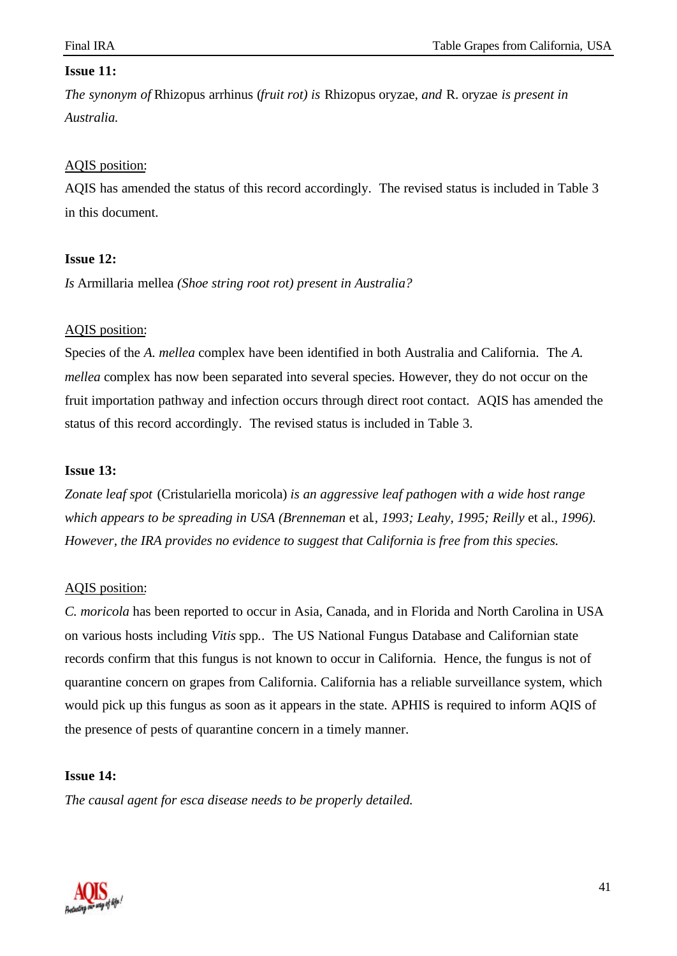## **Issue 11:**

*The synonym of* Rhizopus arrhinus (*fruit rot) is* Rhizopus oryzae*, and* R. oryzae *is present in Australia.*

#### AQIS position:

AQIS has amended the status of this record accordingly. The revised status is included in Table 3 in this document.

#### **Issue 12:**

*Is* Armillaria mellea *(Shoe string root rot) present in Australia?*

## AQIS position:

Species of the *A. mellea* complex have been identified in both Australia and California. The *A. mellea* complex has now been separated into several species. However, they do not occur on the fruit importation pathway and infection occurs through direct root contact. AQIS has amended the status of this record accordingly. The revised status is included in Table 3.

#### **Issue 13:**

*Zonate leaf spot* (Cristulariella moricola) *is an aggressive leaf pathogen with a wide host range which appears to be spreading in USA (Brenneman* et al*., 1993; Leahy, 1995; Reilly* et al.*, 1996). However, the IRA provides no evidence to suggest that California is free from this species.*

#### AQIS position:

*C. moricola* has been reported to occur in Asia, Canada, and in Florida and North Carolina in USA on various hosts including *Vitis* spp*.*. The US National Fungus Database and Californian state records confirm that this fungus is not known to occur in California. Hence, the fungus is not of quarantine concern on grapes from California. California has a reliable surveillance system, which would pick up this fungus as soon as it appears in the state. APHIS is required to inform AQIS of the presence of pests of quarantine concern in a timely manner.

#### **Issue 14:**

*The causal agent for esca disease needs to be properly detailed.*

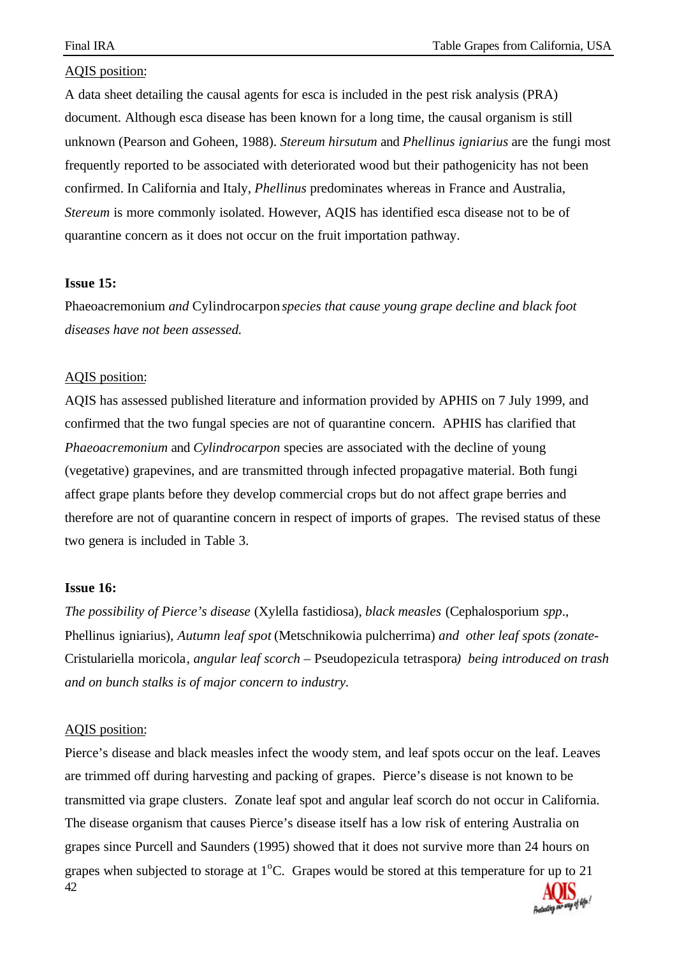A data sheet detailing the causal agents for esca is included in the pest risk analysis (PRA) document. Although esca disease has been known for a long time, the causal organism is still unknown (Pearson and Goheen, 1988). *Stereum hirsutum* and *Phellinus igniarius* are the fungi most frequently reported to be associated with deteriorated wood but their pathogenicity has not been confirmed. In California and Italy, *Phellinus* predominates whereas in France and Australia, *Stereum* is more commonly isolated. However, AQIS has identified esca disease not to be of quarantine concern as it does not occur on the fruit importation pathway.

#### **Issue 15:**

Phaeoacremonium *and* Cylindrocarpon *species that cause young grape decline and black foot diseases have not been assessed.*

#### AQIS position:

AQIS has assessed published literature and information provided by APHIS on 7 July 1999, and confirmed that the two fungal species are not of quarantine concern. APHIS has clarified that *Phaeoacremonium* and *Cylindrocarpon* species are associated with the decline of young (vegetative) grapevines, and are transmitted through infected propagative material. Both fungi affect grape plants before they develop commercial crops but do not affect grape berries and therefore are not of quarantine concern in respect of imports of grapes. The revised status of these two genera is included in Table 3.

#### **Issue 16:**

*The possibility of Pierce's disease* (Xylella fastidiosa)*, black measles* (Cephalosporium *spp*., Phellinus igniarius)*, Autumn leaf spot* (Metschnikowia pulcherrima) *and other leaf spots (zonate-*Cristulariella moricola*, angular leaf scorch –* Pseudopezicula tetraspora*) being introduced on trash and on bunch stalks is of major concern to industry.*

#### AQIS position:

42 Pierce's disease and black measles infect the woody stem, and leaf spots occur on the leaf. Leaves are trimmed off during harvesting and packing of grapes. Pierce's disease is not known to be transmitted via grape clusters. Zonate leaf spot and angular leaf scorch do not occur in California. The disease organism that causes Pierce's disease itself has a low risk of entering Australia on grapes since Purcell and Saunders (1995) showed that it does not survive more than 24 hours on grapes when subjected to storage at  $1^{\circ}$ C. Grapes would be stored at this temperature for up to 21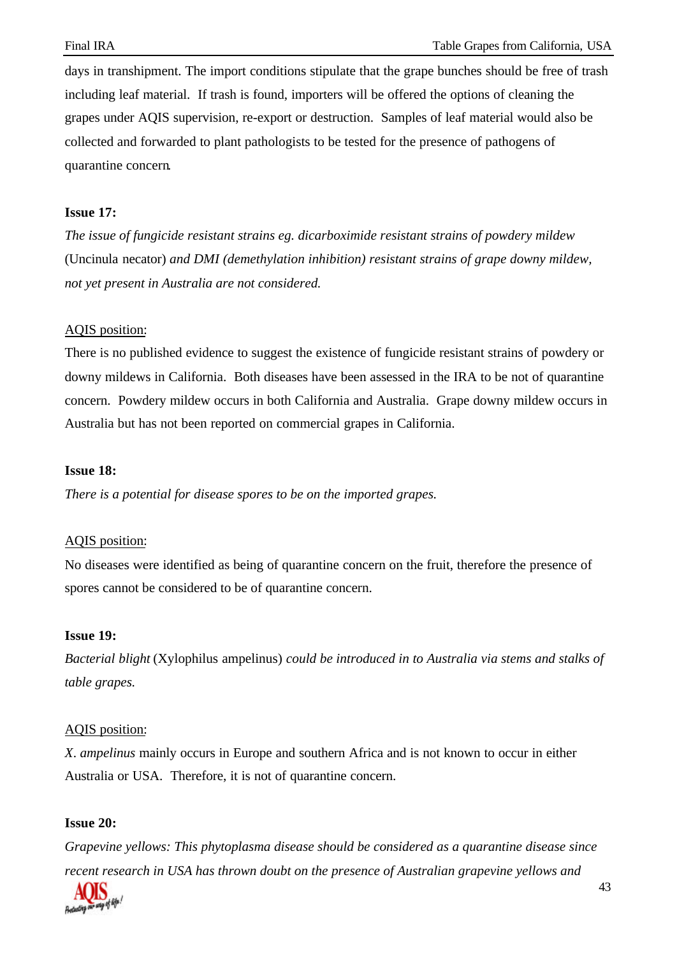days in transhipment. The import conditions stipulate that the grape bunches should be free of trash including leaf material. If trash is found, importers will be offered the options of cleaning the grapes under AQIS supervision, re-export or destruction. Samples of leaf material would also be collected and forwarded to plant pathologists to be tested for the presence of pathogens of quarantine concern.

#### **Issue 17:**

*The issue of fungicide resistant strains eg. dicarboximide resistant strains of powdery mildew* (Uncinula necator) *and DMI (demethylation inhibition) resistant strains of grape downy mildew, not yet present in Australia are not considered.*

## AQIS position:

There is no published evidence to suggest the existence of fungicide resistant strains of powdery or downy mildews in California. Both diseases have been assessed in the IRA to be not of quarantine concern. Powdery mildew occurs in both California and Australia. Grape downy mildew occurs in Australia but has not been reported on commercial grapes in California.

#### **Issue 18:**

*There is a potential for disease spores to be on the imported grapes.*

#### AQIS position:

No diseases were identified as being of quarantine concern on the fruit, therefore the presence of spores cannot be considered to be of quarantine concern.

#### **Issue 19:**

*Bacterial blight* (Xylophilus ampelinus) *could be introduced in to Australia via stems and stalks of table grapes.*

#### AQIS position:

*X*. *ampelinus* mainly occurs in Europe and southern Africa and is not known to occur in either Australia or USA. Therefore, it is not of quarantine concern.

#### **Issue 20:**

*Grapevine yellows: This phytoplasma disease should be considered as a quarantine disease since recent research in USA has thrown doubt on the presence of Australian grapevine yellows and*

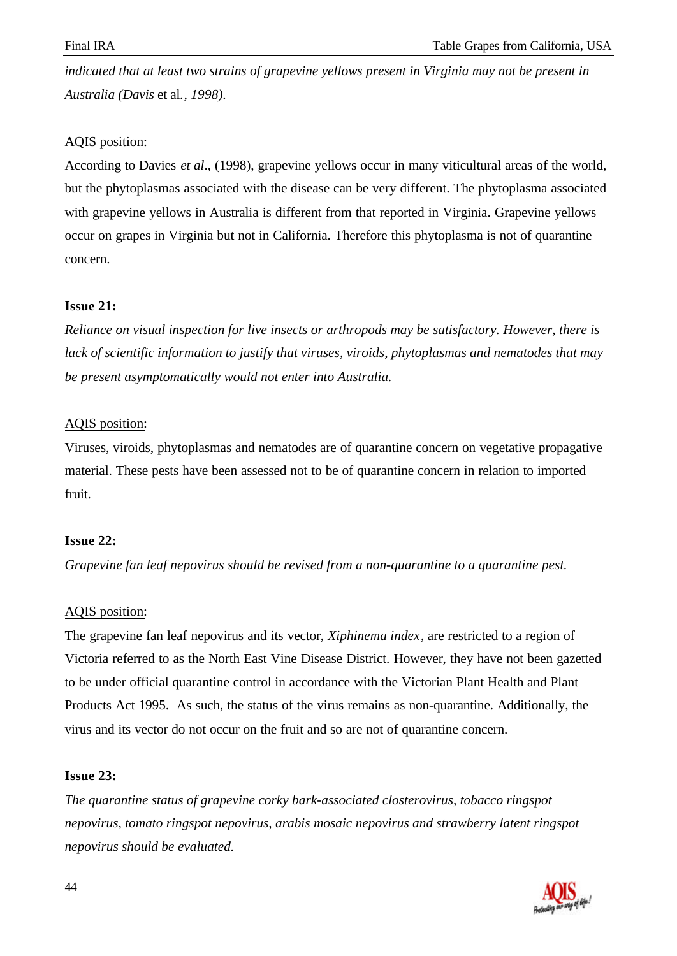*indicated that at least two strains of grapevine yellows present in Virginia may not be present in Australia (Davis* et al.*, 1998).*

## AQIS position:

According to Davies *et al*., (1998), grapevine yellows occur in many viticultural areas of the world, but the phytoplasmas associated with the disease can be very different. The phytoplasma associated with grapevine yellows in Australia is different from that reported in Virginia. Grapevine yellows occur on grapes in Virginia but not in California. Therefore this phytoplasma is not of quarantine concern.

## **Issue 21:**

*Reliance on visual inspection for live insects or arthropods may be satisfactory. However, there is lack of scientific information to justify that viruses, viroids, phytoplasmas and nematodes that may be present asymptomatically would not enter into Australia.*

## AQIS position:

Viruses, viroids, phytoplasmas and nematodes are of quarantine concern on vegetative propagative material. These pests have been assessed not to be of quarantine concern in relation to imported fruit.

#### **Issue 22:**

*Grapevine fan leaf nepovirus should be revised from a non-quarantine to a quarantine pest.*

# AQIS position:

The grapevine fan leaf nepovirus and its vector, *Xiphinema index*, are restricted to a region of Victoria referred to as the North East Vine Disease District. However, they have not been gazetted to be under official quarantine control in accordance with the Victorian Plant Health and Plant Products Act 1995. As such, the status of the virus remains as non-quarantine. Additionally, the virus and its vector do not occur on the fruit and so are not of quarantine concern.

#### **Issue 23:**

*The quarantine status of grapevine corky bark-associated closterovirus, tobacco ringspot nepovirus, tomato ringspot nepovirus, arabis mosaic nepovirus and strawberry latent ringspot nepovirus should be evaluated.*

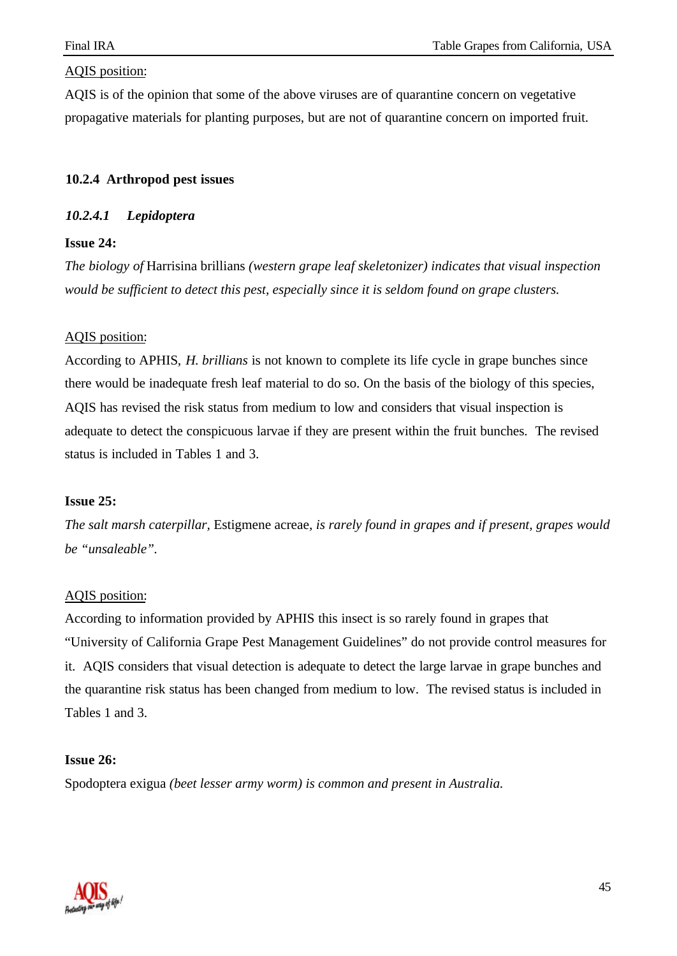AQIS is of the opinion that some of the above viruses are of quarantine concern on vegetative propagative materials for planting purposes, but are not of quarantine concern on imported fruit.

## **10.2.4 Arthropod pest issues**

#### *10.2.4.1 Lepidoptera*

## **Issue 24:**

*The biology of* Harrisina brillians *(western grape leaf skeletonizer) indicates that visual inspection would be sufficient to detect this pest, especially since it is seldom found on grape clusters.*

#### AQIS position:

According to APHIS, *H. brillians* is not known to complete its life cycle in grape bunches since there would be inadequate fresh leaf material to do so. On the basis of the biology of this species, AQIS has revised the risk status from medium to low and considers that visual inspection is adequate to detect the conspicuous larvae if they are present within the fruit bunches. The revised status is included in Tables 1 and 3.

#### **Issue 25:**

*The salt marsh caterpillar,* Estigmene acreae*, is rarely found in grapes and if present, grapes would be "unsaleable".*

#### AQIS position:

According to information provided by APHIS this insect is so rarely found in grapes that "University of California Grape Pest Management Guidelines" do not provide control measures for it. AQIS considers that visual detection is adequate to detect the large larvae in grape bunches and the quarantine risk status has been changed from medium to low. The revised status is included in Tables 1 and 3.

#### **Issue 26:**

Spodoptera exigua *(beet lesser army worm) is common and present in Australia.*

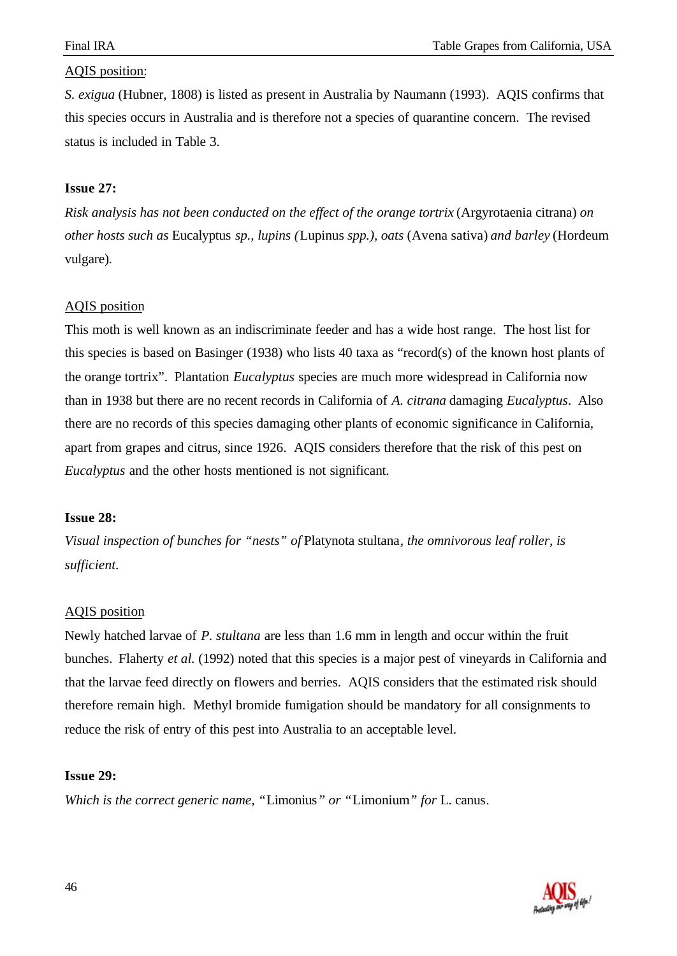*S. exigua* (Hubner, 1808) is listed as present in Australia by Naumann (1993). AQIS confirms that this species occurs in Australia and is therefore not a species of quarantine concern. The revised status is included in Table 3.

## **Issue 27:**

*Risk analysis has not been conducted on the effect of the orange tortrix* (Argyrotaenia citrana) *on other hosts such as* Eucalyptus *sp., lupins (*Lupinus *spp.), oats* (Avena sativa) *and barley* (Hordeum vulgare)*.*

## AQIS position

This moth is well known as an indiscriminate feeder and has a wide host range. The host list for this species is based on Basinger (1938) who lists 40 taxa as "record(s) of the known host plants of the orange tortrix". Plantation *Eucalyptus* species are much more widespread in California now than in 1938 but there are no recent records in California of *A. citrana* damaging *Eucalyptus*. Also there are no records of this species damaging other plants of economic significance in California, apart from grapes and citrus, since 1926. AQIS considers therefore that the risk of this pest on *Eucalyptus* and the other hosts mentioned is not significant.

#### **Issue 28:**

*Visual inspection of bunches for "nests" of* Platynota stultana*, the omnivorous leaf roller, is sufficient.*

#### AQIS position

Newly hatched larvae of *P. stultana* are less than 1.6 mm in length and occur within the fruit bunches. Flaherty *et al.* (1992) noted that this species is a major pest of vineyards in California and that the larvae feed directly on flowers and berries. AQIS considers that the estimated risk should therefore remain high. Methyl bromide fumigation should be mandatory for all consignments to reduce the risk of entry of this pest into Australia to an acceptable level.

#### **Issue 29:**

*Which is the correct generic name, "*Limonius*" or "*Limonium*" for* L. canus*.*

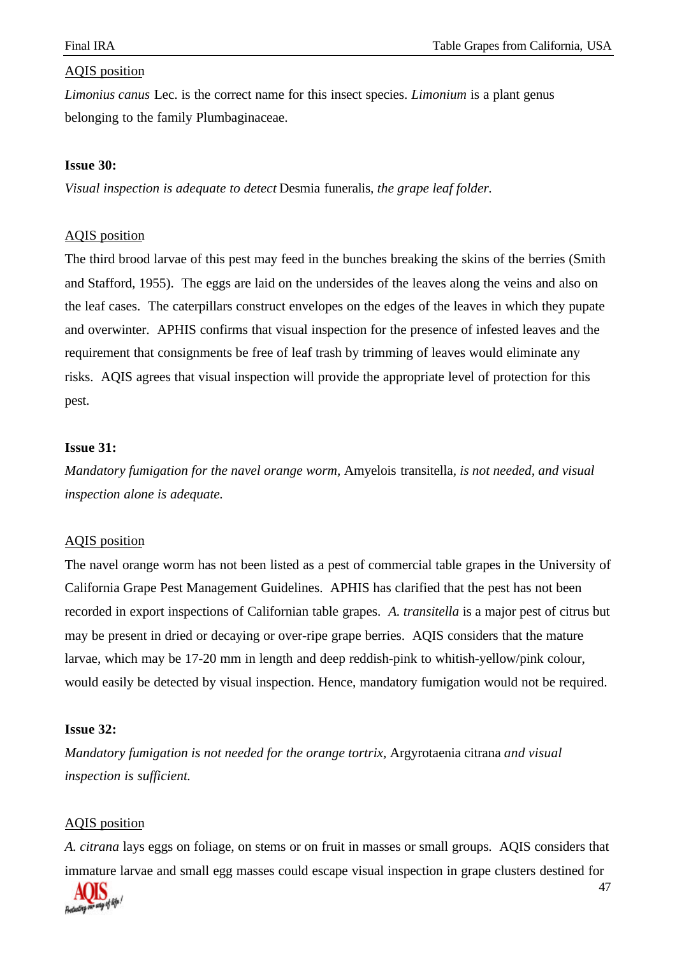47

#### AQIS position

*Limonius canus* Lec. is the correct name for this insect species. *Limonium* is a plant genus belonging to the family Plumbaginaceae.

#### **Issue 30:**

*Visual inspection is adequate to detect* Desmia funeralis*, the grape leaf folder.*

#### AQIS position

The third brood larvae of this pest may feed in the bunches breaking the skins of the berries (Smith and Stafford, 1955). The eggs are laid on the undersides of the leaves along the veins and also on the leaf cases. The caterpillars construct envelopes on the edges of the leaves in which they pupate and overwinter. APHIS confirms that visual inspection for the presence of infested leaves and the requirement that consignments be free of leaf trash by trimming of leaves would eliminate any risks. AQIS agrees that visual inspection will provide the appropriate level of protection for this pest.

#### **Issue 31:**

*Mandatory fumigation for the navel orange worm,* Amyelois transitella*, is not needed, and visual inspection alone is adequate.*

#### AQIS position

The navel orange worm has not been listed as a pest of commercial table grapes in the University of California Grape Pest Management Guidelines. APHIS has clarified that the pest has not been recorded in export inspections of Californian table grapes. *A. transitella* is a major pest of citrus but may be present in dried or decaying or over-ripe grape berries. AQIS considers that the mature larvae, which may be 17-20 mm in length and deep reddish-pink to whitish-yellow/pink colour, would easily be detected by visual inspection. Hence, mandatory fumigation would not be required.

#### **Issue 32:**

*Mandatory fumigation is not needed for the orange tortrix,* Argyrotaenia citrana *and visual inspection is sufficient.*

#### AQIS position

*A. citrana* lays eggs on foliage, on stems or on fruit in masses or small groups. AQIS considers that immature larvae and small egg masses could escape visual inspection in grape clusters destined for

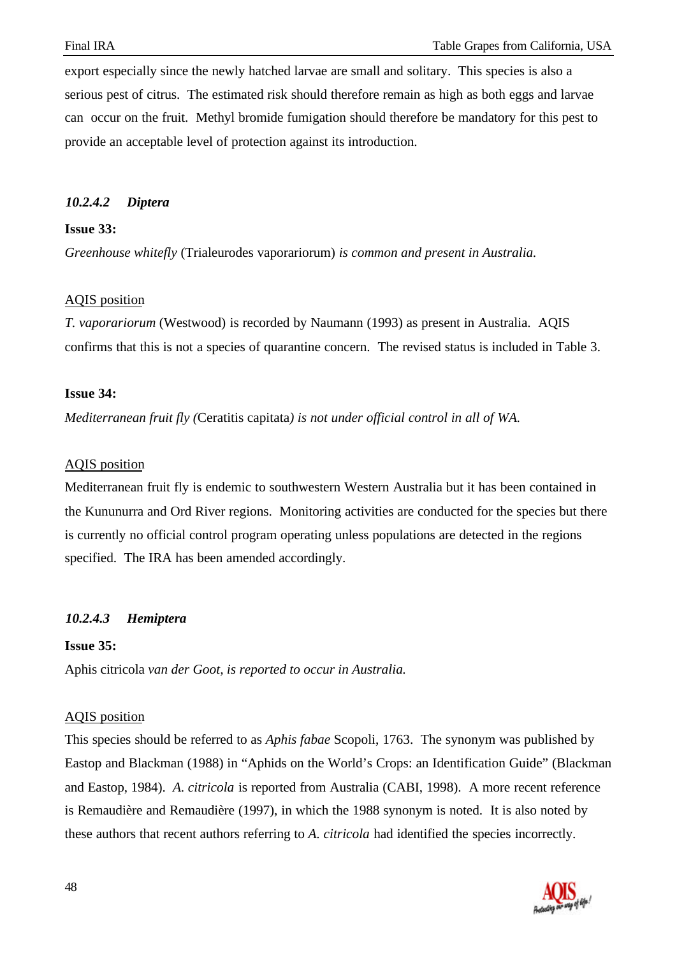export especially since the newly hatched larvae are small and solitary. This species is also a serious pest of citrus. The estimated risk should therefore remain as high as both eggs and larvae can occur on the fruit. Methyl bromide fumigation should therefore be mandatory for this pest to provide an acceptable level of protection against its introduction.

## *10.2.4.2 Diptera*

## **Issue 33:**

*Greenhouse whitefly* (Trialeurodes vaporariorum) *is common and present in Australia.*

#### AQIS position

*T. vaporariorum* (Westwood) is recorded by Naumann (1993) as present in Australia. AQIS confirms that this is not a species of quarantine concern. The revised status is included in Table 3.

## **Issue 34:**

*Mediterranean fruit fly (*Ceratitis capitata*) is not under official control in all of WA.*

## AQIS position

Mediterranean fruit fly is endemic to southwestern Western Australia but it has been contained in the Kununurra and Ord River regions. Monitoring activities are conducted for the species but there is currently no official control program operating unless populations are detected in the regions specified. The IRA has been amended accordingly.

# *10.2.4.3 Hemiptera*

#### **Issue 35:**

Aphis citricola *van der Goot, is reported to occur in Australia.*

#### AQIS position

This species should be referred to as *Aphis fabae* Scopoli, 1763. The synonym was published by Eastop and Blackman (1988) in "Aphids on the World's Crops: an Identification Guide" (Blackman and Eastop, 1984). *A. citricola* is reported from Australia (CABI, 1998). A more recent reference is Remaudière and Remaudière (1997), in which the 1988 synonym is noted. It is also noted by these authors that recent authors referring to *A. citricola* had identified the species incorrectly.

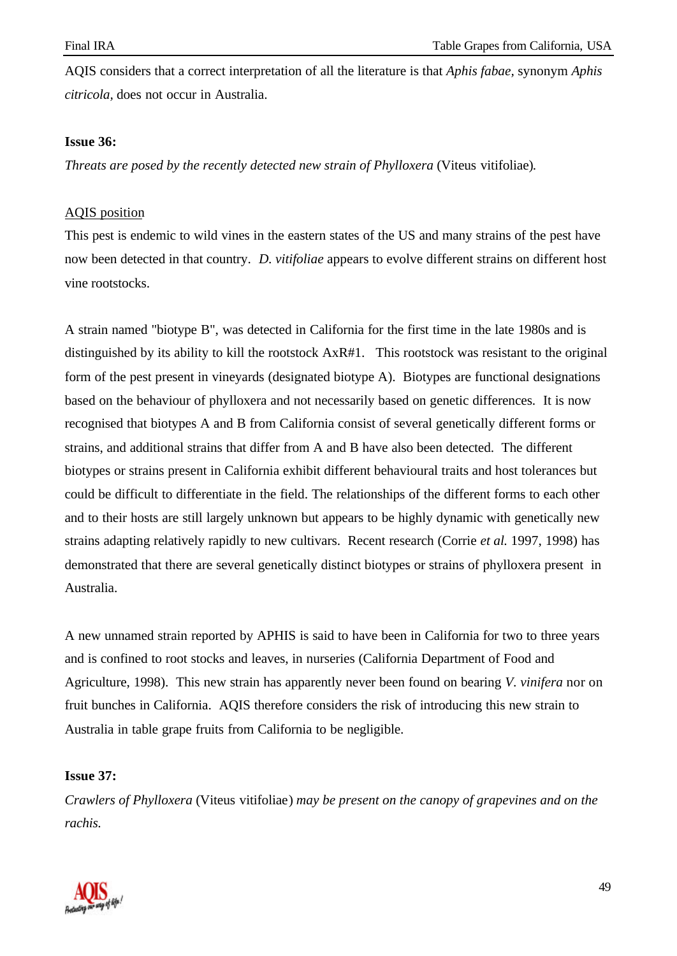AQIS considers that a correct interpretation of all the literature is that *Aphis fabae,* synonym *Aphis citricola,* does not occur in Australia.

#### **Issue 36:**

*Threats are posed by the recently detected new strain of Phylloxera* (Viteus vitifoliae)*.*

## AQIS position

This pest is endemic to wild vines in the eastern states of the US and many strains of the pest have now been detected in that country. *D. vitifoliae* appears to evolve different strains on different host vine rootstocks.

A strain named "biotype B", was detected in California for the first time in the late 1980s and is distinguished by its ability to kill the rootstock AxR#1. This rootstock was resistant to the original form of the pest present in vineyards (designated biotype A). Biotypes are functional designations based on the behaviour of phylloxera and not necessarily based on genetic differences. It is now recognised that biotypes A and B from California consist of several genetically different forms or strains, and additional strains that differ from A and B have also been detected. The different biotypes or strains present in California exhibit different behavioural traits and host tolerances but could be difficult to differentiate in the field. The relationships of the different forms to each other and to their hosts are still largely unknown but appears to be highly dynamic with genetically new strains adapting relatively rapidly to new cultivars. Recent research (Corrie *et al.* 1997, 1998) has demonstrated that there are several genetically distinct biotypes or strains of phylloxera present in Australia.

A new unnamed strain reported by APHIS is said to have been in California for two to three years and is confined to root stocks and leaves, in nurseries (California Department of Food and Agriculture, 1998). This new strain has apparently never been found on bearing *V. vinifera* nor on fruit bunches in California. AQIS therefore considers the risk of introducing this new strain to Australia in table grape fruits from California to be negligible.

#### **Issue 37:**

*Crawlers of Phylloxera* (Viteus vitifoliae) *may be present on the canopy of grapevines and on the rachis.*

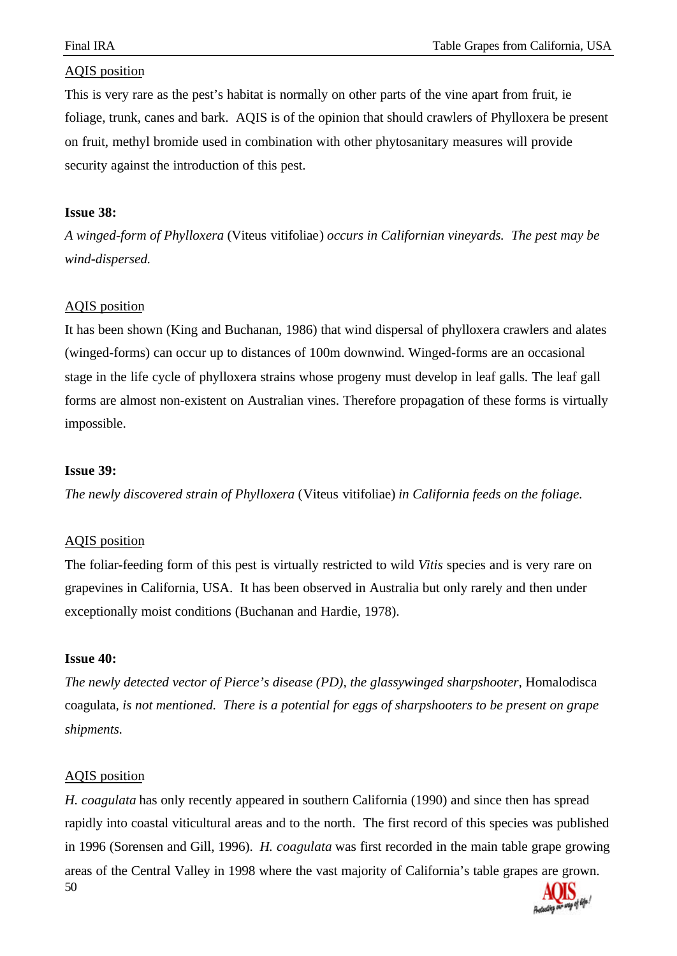This is very rare as the pest's habitat is normally on other parts of the vine apart from fruit, ie foliage, trunk, canes and bark. AQIS is of the opinion that should crawlers of Phylloxera be present on fruit, methyl bromide used in combination with other phytosanitary measures will provide security against the introduction of this pest.

#### **Issue 38:**

*A winged-form of Phylloxera* (Viteus vitifoliae) *occurs in Californian vineyards. The pest may be wind-dispersed.*

#### AQIS position

It has been shown (King and Buchanan, 1986) that wind dispersal of phylloxera crawlers and alates (winged-forms) can occur up to distances of 100m downwind. Winged-forms are an occasional stage in the life cycle of phylloxera strains whose progeny must develop in leaf galls. The leaf gall forms are almost non-existent on Australian vines. Therefore propagation of these forms is virtually impossible.

#### **Issue 39:**

*The newly discovered strain of Phylloxera* (Viteus vitifoliae) *in California feeds on the foliage.*

#### AQIS position

The foliar-feeding form of this pest is virtually restricted to wild *Vitis* species and is very rare on grapevines in California, USA. It has been observed in Australia but only rarely and then under exceptionally moist conditions (Buchanan and Hardie, 1978).

#### **Issue 40:**

The newly detected vector of Pierce's disease (PD), the glassywinged sharpshooter, Homalodisca coagulata*, is not mentioned. There is a potential for eggs of sharpshooters to be present on grape shipments.*

#### AQIS position

50 *H. coagulata* has only recently appeared in southern California (1990) and since then has spread rapidly into coastal viticultural areas and to the north. The first record of this species was published in 1996 (Sorensen and Gill, 1996). *H*. *coagulata* was first recorded in the main table grape growing areas of the Central Valley in 1998 where the vast majority of California's table grapes are grown.

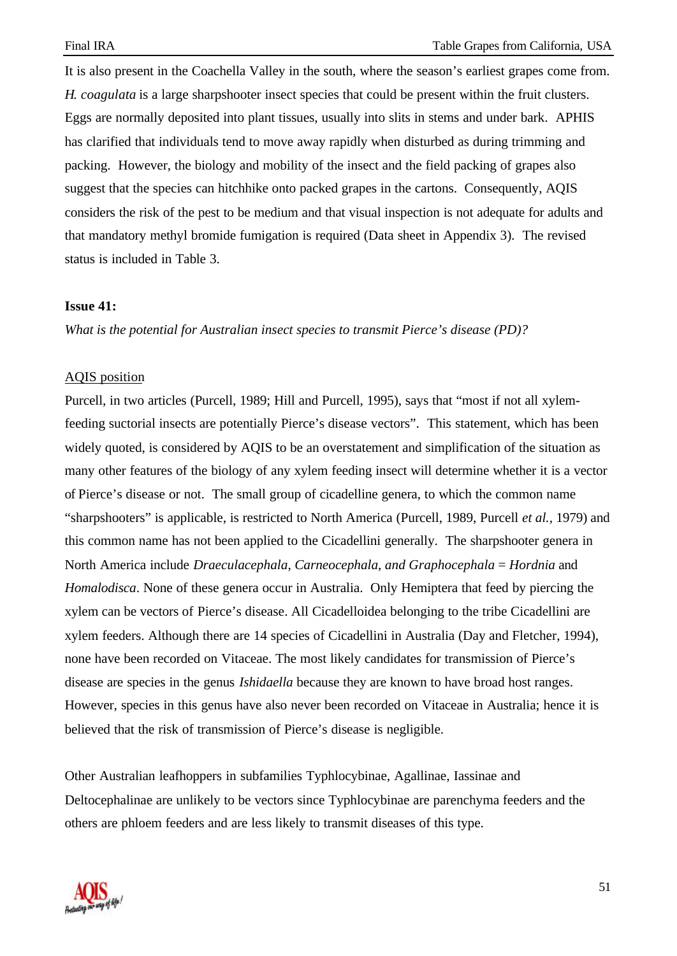It is also present in the Coachella Valley in the south, where the season's earliest grapes come from. *H. coagulata* is a large sharpshooter insect species that could be present within the fruit clusters. Eggs are normally deposited into plant tissues, usually into slits in stems and under bark. APHIS has clarified that individuals tend to move away rapidly when disturbed as during trimming and packing. However, the biology and mobility of the insect and the field packing of grapes also suggest that the species can hitchhike onto packed grapes in the cartons. Consequently, AQIS considers the risk of the pest to be medium and that visual inspection is not adequate for adults and that mandatory methyl bromide fumigation is required (Data sheet in Appendix 3). The revised status is included in Table 3.

#### **Issue 41:**

*What is the potential for Australian insect species to transmit Pierce's disease (PD)?*

#### AQIS position

Purcell, in two articles (Purcell, 1989; Hill and Purcell, 1995), says that "most if not all xylemfeeding suctorial insects are potentially Pierce's disease vectors". This statement, which has been widely quoted, is considered by AQIS to be an overstatement and simplification of the situation as many other features of the biology of any xylem feeding insect will determine whether it is a vector of Pierce's disease or not. The small group of cicadelline genera, to which the common name "sharpshooters" is applicable, is restricted to North America (Purcell, 1989, Purcell *et al.,* 1979) and this common name has not been applied to the Cicadellini generally. The sharpshooter genera in North America include *Draeculacephala*, *Carneocephala*, *and Graphocephala* = *Hordnia* and *Homalodisca*. None of these genera occur in Australia. Only Hemiptera that feed by piercing the xylem can be vectors of Pierce's disease. All Cicadelloidea belonging to the tribe Cicadellini are xylem feeders. Although there are 14 species of Cicadellini in Australia (Day and Fletcher, 1994), none have been recorded on Vitaceae. The most likely candidates for transmission of Pierce's disease are species in the genus *Ishidaella* because they are known to have broad host ranges. However, species in this genus have also never been recorded on Vitaceae in Australia; hence it is believed that the risk of transmission of Pierce's disease is negligible.

Other Australian leafhoppers in subfamilies Typhlocybinae, Agallinae, Iassinae and Deltocephalinae are unlikely to be vectors since Typhlocybinae are parenchyma feeders and the others are phloem feeders and are less likely to transmit diseases of this type.

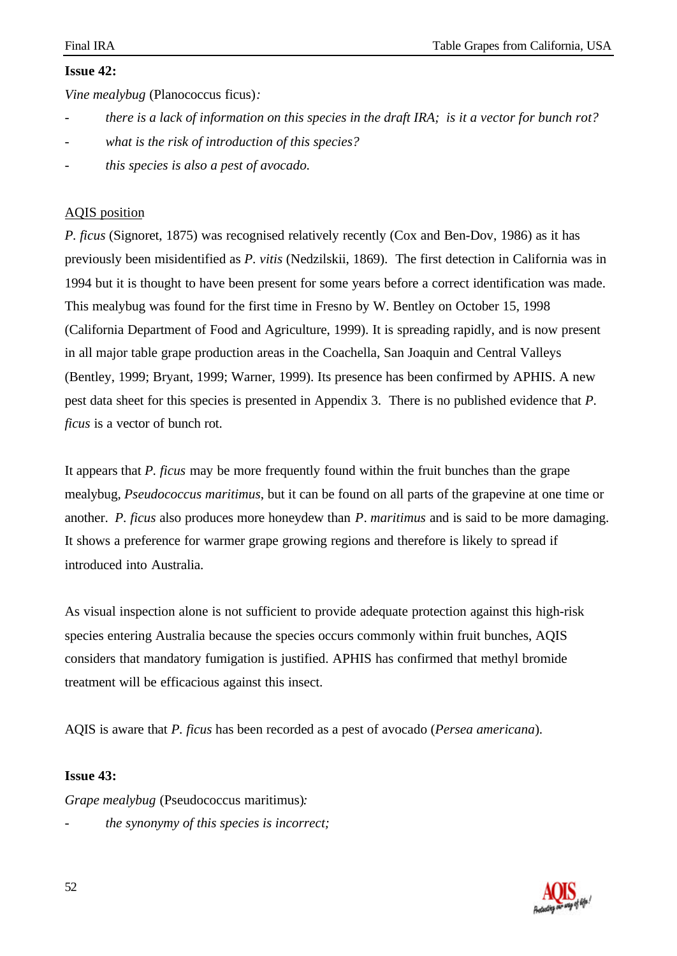## **Issue 42:**

*Vine mealybug* (Planococcus ficus)*:*

- *there is a lack of information on this species in the draft IRA; is it a vector for bunch rot?*
- what is the risk of introduction of this species?
- *this species is also a pest of avocado.*

## AQIS position

*P. ficus* (Signoret, 1875) was recognised relatively recently (Cox and Ben-Dov, 1986) as it has previously been misidentified as *P. vitis* (Nedzilskii, 1869). The first detection in California was in 1994 but it is thought to have been present for some years before a correct identification was made. This mealybug was found for the first time in Fresno by W. Bentley on October 15, 1998 (California Department of Food and Agriculture, 1999). It is spreading rapidly, and is now present in all major table grape production areas in the Coachella, San Joaquin and Central Valleys (Bentley, 1999; Bryant, 1999; Warner, 1999). Its presence has been confirmed by APHIS. A new pest data sheet for this species is presented in Appendix 3. There is no published evidence that *P. ficus* is a vector of bunch rot.

It appears that *P. ficus* may be more frequently found within the fruit bunches than the grape mealybug, *Pseudococcus maritimus*, but it can be found on all parts of the grapevine at one time or another. *P. ficus* also produces more honeydew than *P*. *maritimus* and is said to be more damaging. It shows a preference for warmer grape growing regions and therefore is likely to spread if introduced into Australia.

As visual inspection alone is not sufficient to provide adequate protection against this high-risk species entering Australia because the species occurs commonly within fruit bunches, AQIS considers that mandatory fumigation is justified. APHIS has confirmed that methyl bromide treatment will be efficacious against this insect.

AQIS is aware that *P. ficus* has been recorded as a pest of avocado (*Persea americana*).

#### **Issue 43:**

*Grape mealybug* (Pseudococcus maritimus)*:*

- *the synonymy of this species is incorrect;*

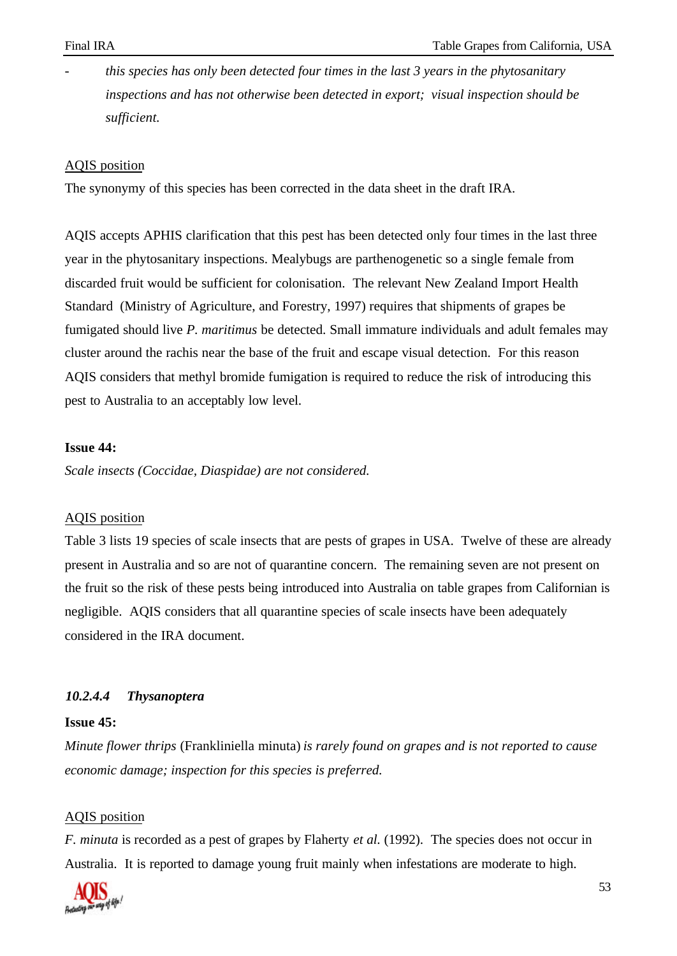- *this species has only been detected four times in the last 3 years in the phytosanitary inspections and has not otherwise been detected in export; visual inspection should be sufficient.*

#### AQIS position

The synonymy of this species has been corrected in the data sheet in the draft IRA.

AQIS accepts APHIS clarification that this pest has been detected only four times in the last three year in the phytosanitary inspections. Mealybugs are parthenogenetic so a single female from discarded fruit would be sufficient for colonisation. The relevant New Zealand Import Health Standard (Ministry of Agriculture, and Forestry, 1997) requires that shipments of grapes be fumigated should live *P. maritimus* be detected. Small immature individuals and adult females may cluster around the rachis near the base of the fruit and escape visual detection. For this reason AQIS considers that methyl bromide fumigation is required to reduce the risk of introducing this pest to Australia to an acceptably low level.

#### **Issue 44:**

*Scale insects (Coccidae, Diaspidae) are not considered.*

## AQIS position

Table 3 lists 19 species of scale insects that are pests of grapes in USA. Twelve of these are already present in Australia and so are not of quarantine concern. The remaining seven are not present on the fruit so the risk of these pests being introduced into Australia on table grapes from Californian is negligible. AQIS considers that all quarantine species of scale insects have been adequately considered in the IRA document.

#### *10.2.4.4 Thysanoptera*

#### **Issue 45:**

*Minute flower thrips* (Frankliniella minuta) *is rarely found on grapes and is not reported to cause economic damage; inspection for this species is preferred.*

#### AQIS position

*F. minuta* is recorded as a pest of grapes by Flaherty *et al.* (1992). The species does not occur in Australia. It is reported to damage young fruit mainly when infestations are moderate to high.

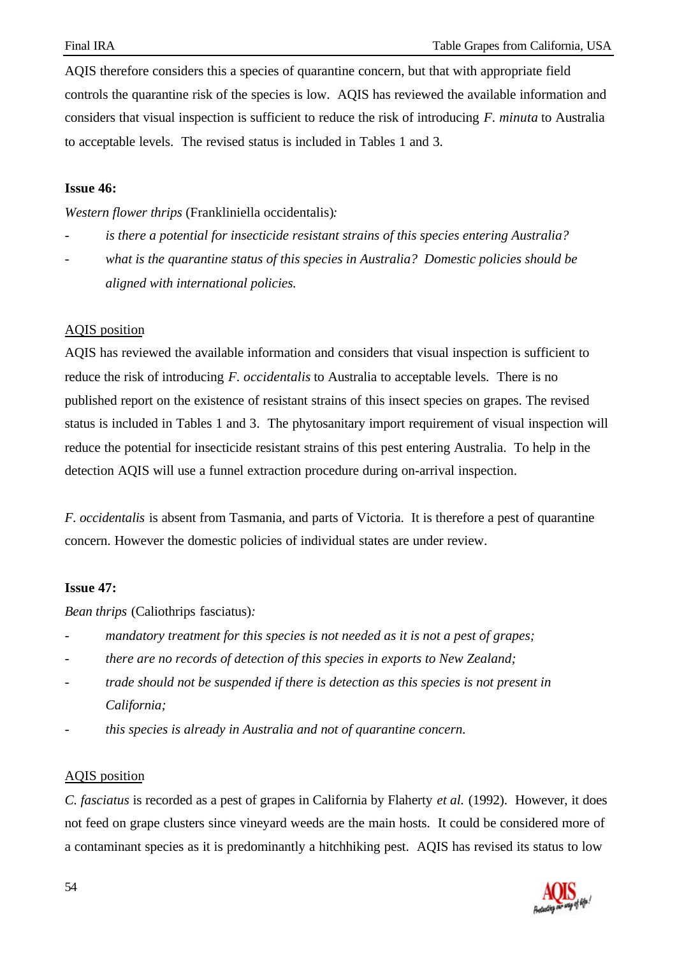AQIS therefore considers this a species of quarantine concern, but that with appropriate field controls the quarantine risk of the species is low. AQIS has reviewed the available information and considers that visual inspection is sufficient to reduce the risk of introducing *F. minuta* to Australia to acceptable levels. The revised status is included in Tables 1 and 3.

#### **Issue 46:**

*Western flower thrips* (Frankliniella occidentalis)*:*

- *- is there a potential for insecticide resistant strains of this species entering Australia?*
- *what is the quarantine status of this species in Australia? Domestic policies should be aligned with international policies.*

## AQIS position

AQIS has reviewed the available information and considers that visual inspection is sufficient to reduce the risk of introducing *F. occidentalis* to Australia to acceptable levels. There is no published report on the existence of resistant strains of this insect species on grapes. The revised status is included in Tables 1 and 3. The phytosanitary import requirement of visual inspection will reduce the potential for insecticide resistant strains of this pest entering Australia. To help in the detection AQIS will use a funnel extraction procedure during on-arrival inspection.

*F. occidentalis* is absent from Tasmania, and parts of Victoria. It is therefore a pest of quarantine concern. However the domestic policies of individual states are under review.

#### **Issue 47:**

*Bean thrips* (Caliothrips fasciatus)*:*

- mandatory treatment for this species is not needed as it is not a pest of grapes;
- *- there are no records of detection of this species in exports to New Zealand;*
- *trade should not be suspended if there is detection as this species is not present in California;*
- *- this species is already in Australia and not of quarantine concern.*

#### AQIS position

*C. fasciatus* is recorded as a pest of grapes in California by Flaherty *et al.* (1992). However, it does not feed on grape clusters since vineyard weeds are the main hosts. It could be considered more of a contaminant species as it is predominantly a hitchhiking pest. AQIS has revised its status to low

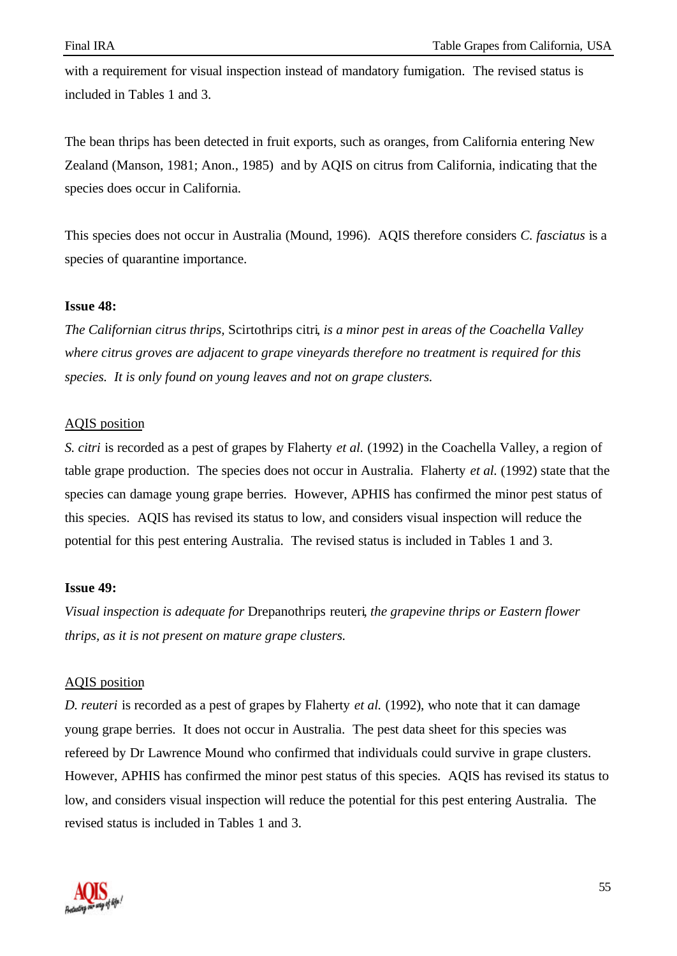with a requirement for visual inspection instead of mandatory fumigation. The revised status is included in Tables 1 and 3.

The bean thrips has been detected in fruit exports, such as oranges, from California entering New Zealand (Manson, 1981; Anon., 1985) and by AQIS on citrus from California, indicating that the species does occur in California.

This species does not occur in Australia (Mound, 1996). AQIS therefore considers *C. fasciatus* is a species of quarantine importance.

## **Issue 48:**

*The Californian citrus thrips,* Scirtothrips citri*, is a minor pest in areas of the Coachella Valley where citrus groves are adjacent to grape vineyards therefore no treatment is required for this species. It is only found on young leaves and not on grape clusters.*

# AQIS position

*S. citri* is recorded as a pest of grapes by Flaherty *et al.* (1992) in the Coachella Valley, a region of table grape production. The species does not occur in Australia. Flaherty *et al.* (1992) state that the species can damage young grape berries. However, APHIS has confirmed the minor pest status of this species. AQIS has revised its status to low, and considers visual inspection will reduce the potential for this pest entering Australia. The revised status is included in Tables 1 and 3.

# **Issue 49:**

*Visual inspection is adequate for* Drepanothrips reuteri*, the grapevine thrips or Eastern flower thrips, as it is not present on mature grape clusters.*

# AQIS position

*D. reuteri* is recorded as a pest of grapes by Flaherty *et al.* (1992), who note that it can damage young grape berries. It does not occur in Australia. The pest data sheet for this species was refereed by Dr Lawrence Mound who confirmed that individuals could survive in grape clusters. However, APHIS has confirmed the minor pest status of this species. AQIS has revised its status to low, and considers visual inspection will reduce the potential for this pest entering Australia. The revised status is included in Tables 1 and 3.

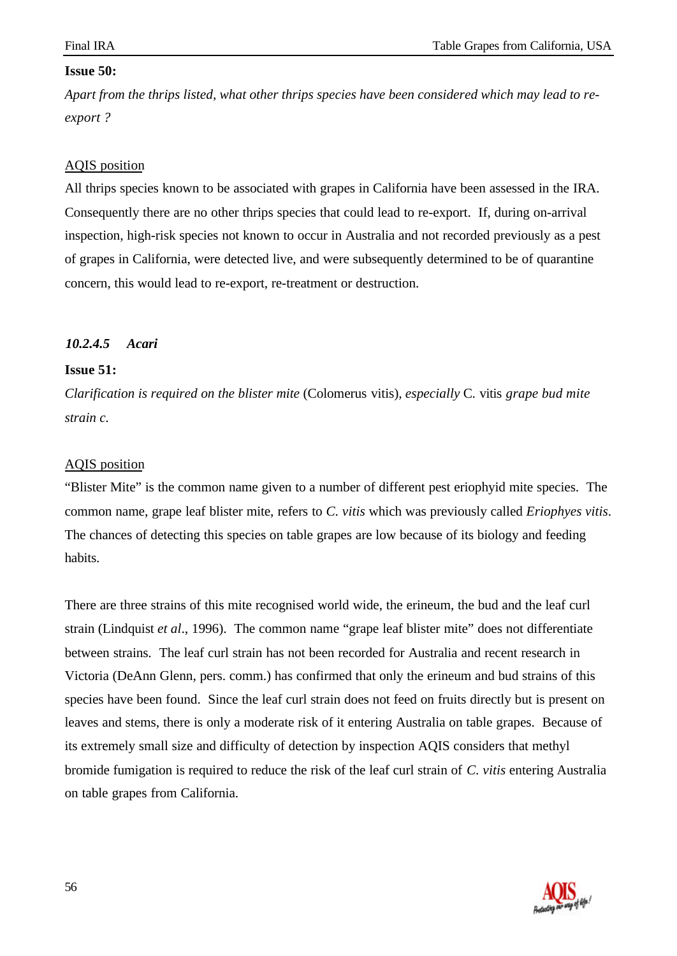#### **Issue 50:**

*Apart from the thrips listed, what other thrips species have been considered which may lead to reexport ?*

#### AQIS position

All thrips species known to be associated with grapes in California have been assessed in the IRA. Consequently there are no other thrips species that could lead to re-export. If, during on-arrival inspection, high-risk species not known to occur in Australia and not recorded previously as a pest of grapes in California, were detected live, and were subsequently determined to be of quarantine concern, this would lead to re-export, re-treatment or destruction.

## *10.2.4.5 Acari*

#### **Issue 51:**

*Clarification is required on the blister mite* (Colomerus vitis)*, especially* C. vitis *grape bud mite strain c.*

#### AQIS position

"Blister Mite" is the common name given to a number of different pest eriophyid mite species. The common name, grape leaf blister mite, refers to *C. vitis* which was previously called *Eriophyes vitis*. The chances of detecting this species on table grapes are low because of its biology and feeding habits.

There are three strains of this mite recognised world wide, the erineum, the bud and the leaf curl strain (Lindquist *et al*., 1996). The common name "grape leaf blister mite" does not differentiate between strains. The leaf curl strain has not been recorded for Australia and recent research in Victoria (DeAnn Glenn, pers. comm.) has confirmed that only the erineum and bud strains of this species have been found. Since the leaf curl strain does not feed on fruits directly but is present on leaves and stems, there is only a moderate risk of it entering Australia on table grapes. Because of its extremely small size and difficulty of detection by inspection AQIS considers that methyl bromide fumigation is required to reduce the risk of the leaf curl strain of *C. vitis* entering Australia on table grapes from California.

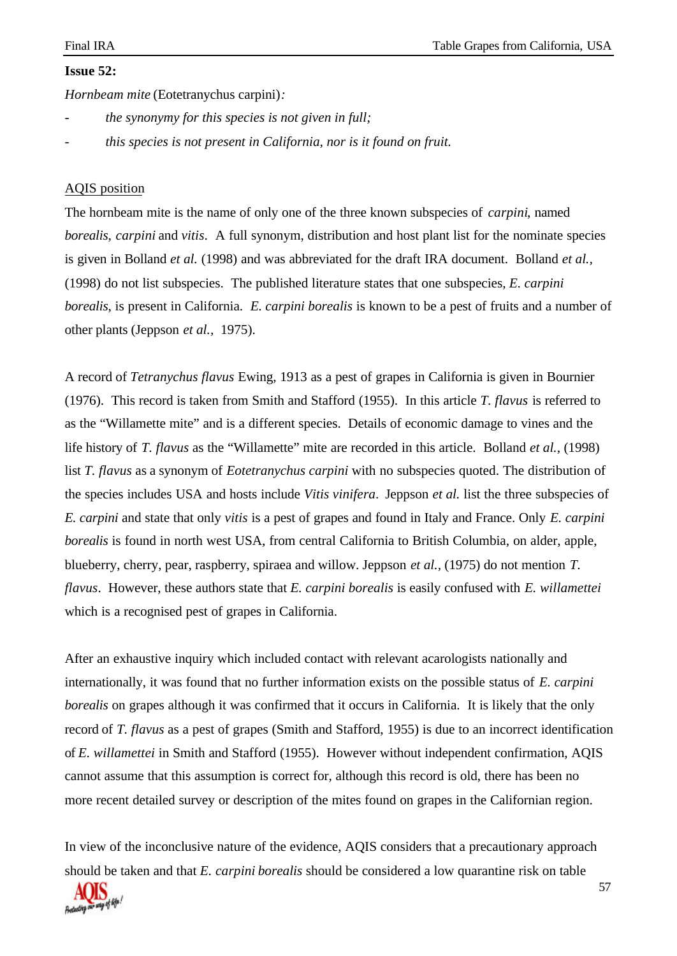# **Issue 52:**

*Hornbeam mite* (Eotetranychus carpini)*:*

- *- the synonymy for this species is not given in full;*
- *- this species is not present in California, nor is it found on fruit.*

#### AQIS position

The hornbeam mite is the name of only one of the three known subspecies of *carpini*, named *borealis*, *carpini* and *vitis*. A full synonym, distribution and host plant list for the nominate species is given in Bolland *et al.* (1998) and was abbreviated for the draft IRA document. Bolland *et al.,* (1998) do not list subspecies. The published literature states that one subspecies*, E. carpini borealis*, is present in California. *E. carpini borealis* is known to be a pest of fruits and a number of other plants (Jeppson *et al.,* 1975).

A record of *Tetranychus flavus* Ewing, 1913 as a pest of grapes in California is given in Bournier (1976). This record is taken from Smith and Stafford (1955). In this article *T. flavus* is referred to as the "Willamette mite" and is a different species. Details of economic damage to vines and the life history of *T. flavus* as the "Willamette" mite are recorded in this article. Bolland *et al.,* (1998) list *T. flavus* as a synonym of *Eotetranychus carpini* with no subspecies quoted. The distribution of the species includes USA and hosts include *Vitis vinifera*. Jeppson *et al.* list the three subspecies of *E. carpini* and state that only *vitis* is a pest of grapes and found in Italy and France. Only *E. carpini borealis* is found in north west USA, from central California to British Columbia, on alder, apple, blueberry, cherry, pear, raspberry, spiraea and willow. Jeppson *et al.,* (1975) do not mention *T. flavus*. However, these authors state that *E. carpini borealis* is easily confused with *E. willamettei* which is a recognised pest of grapes in California.

After an exhaustive inquiry which included contact with relevant acarologists nationally and internationally, it was found that no further information exists on the possible status of *E. carpini borealis* on grapes although it was confirmed that it occurs in California. It is likely that the only record of *T. flavus* as a pest of grapes (Smith and Stafford, 1955) is due to an incorrect identification of *E. willamettei* in Smith and Stafford (1955). However without independent confirmation, AQIS cannot assume that this assumption is correct for, although this record is old, there has been no more recent detailed survey or description of the mites found on grapes in the Californian region.

In view of the inconclusive nature of the evidence, AQIS considers that a precautionary approach should be taken and that *E. carpini borealis* should be considered a low quarantine risk on table

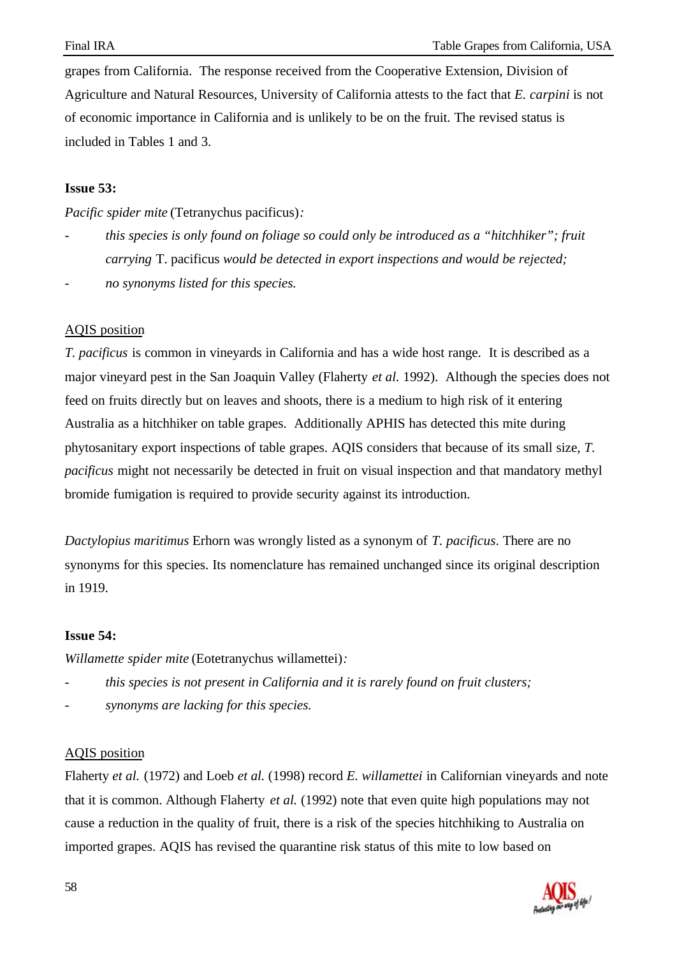grapes from California. The response received from the Cooperative Extension, Division of Agriculture and Natural Resources, University of California attests to the fact that *E. carpini* is not of economic importance in California and is unlikely to be on the fruit. The revised status is included in Tables 1 and 3.

## **Issue 53:**

*Pacific spider mite* (Tetranychus pacificus)*:*

- *this species is only found on foliage so could only be introduced as a "hitchhiker"; fruit carrying* T. pacificus *would be detected in export inspections and would be rejected;*
- *- no synonyms listed for this species.*

# AQIS position

*T. pacificus* is common in vineyards in California and has a wide host range. It is described as a major vineyard pest in the San Joaquin Valley (Flaherty *et al.* 1992). Although the species does not feed on fruits directly but on leaves and shoots, there is a medium to high risk of it entering Australia as a hitchhiker on table grapes. Additionally APHIS has detected this mite during phytosanitary export inspections of table grapes. AQIS considers that because of its small size, *T. pacificus* might not necessarily be detected in fruit on visual inspection and that mandatory methyl bromide fumigation is required to provide security against its introduction.

*Dactylopius maritimus* Erhorn was wrongly listed as a synonym of *T. pacificus*. There are no synonyms for this species. Its nomenclature has remained unchanged since its original description in 1919.

# **Issue 54:**

*Willamette spider mite* (Eotetranychus willamettei)*:*

- *- this species is not present in California and it is rarely found on fruit clusters;*
- *- synonyms are lacking for this species.*

#### AQIS position

Flaherty *et al.* (1972) and Loeb *et al.* (1998) record *E. willamettei* in Californian vineyards and note that it is common. Although Flaherty *et al.* (1992) note that even quite high populations may not cause a reduction in the quality of fruit, there is a risk of the species hitchhiking to Australia on imported grapes. AQIS has revised the quarantine risk status of this mite to low based on

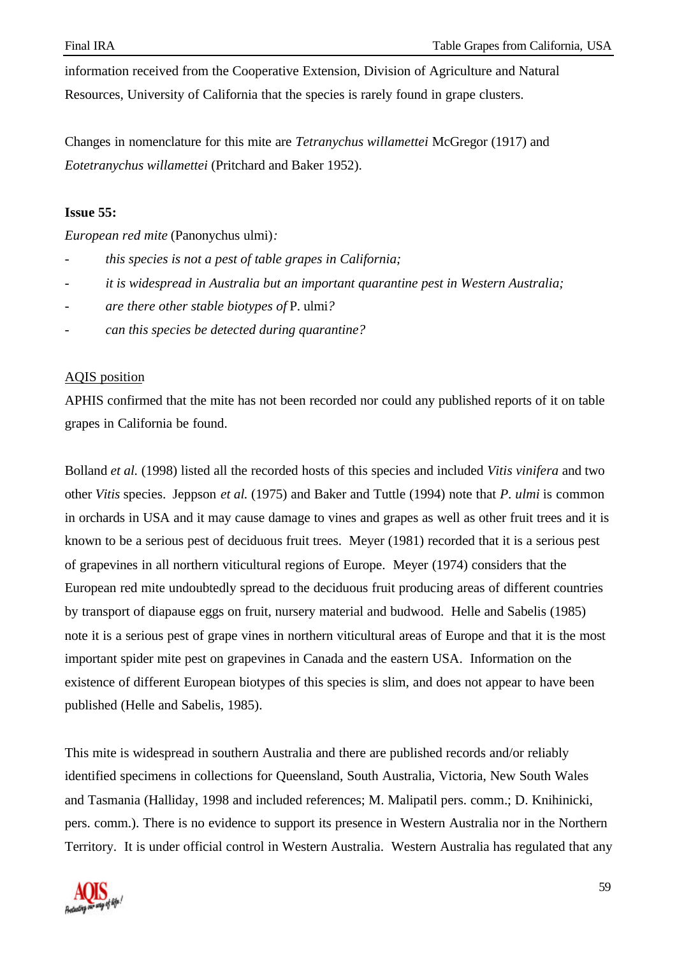information received from the Cooperative Extension, Division of Agriculture and Natural Resources, University of California that the species is rarely found in grape clusters.

Changes in nomenclature for this mite are *Tetranychus willamettei* McGregor (1917) and *Eotetranychus willamettei* (Pritchard and Baker 1952).

#### **Issue 55:**

*European red mite* (Panonychus ulmi)*:*

- *this species is not a pest of table grapes in California;*
- *it is widespread in Australia but an important quarantine pest in Western Australia;*
- *are there other stable biotypes of* P. ulmi*?*
- *can this species be detected during quarantine?*

#### AQIS position

APHIS confirmed that the mite has not been recorded nor could any published reports of it on table grapes in California be found.

Bolland *et al.* (1998) listed all the recorded hosts of this species and included *Vitis vinifera* and two other *Vitis* species. Jeppson *et al.* (1975) and Baker and Tuttle (1994) note that *P. ulmi* is common in orchards in USA and it may cause damage to vines and grapes as well as other fruit trees and it is known to be a serious pest of deciduous fruit trees. Meyer (1981) recorded that it is a serious pest of grapevines in all northern viticultural regions of Europe. Meyer (1974) considers that the European red mite undoubtedly spread to the deciduous fruit producing areas of different countries by transport of diapause eggs on fruit, nursery material and budwood. Helle and Sabelis (1985) note it is a serious pest of grape vines in northern viticultural areas of Europe and that it is the most important spider mite pest on grapevines in Canada and the eastern USA. Information on the existence of different European biotypes of this species is slim, and does not appear to have been published (Helle and Sabelis, 1985).

This mite is widespread in southern Australia and there are published records and/or reliably identified specimens in collections for Queensland, South Australia, Victoria, New South Wales and Tasmania (Halliday, 1998 and included references; M. Malipatil pers. comm.; D. Knihinicki, pers. comm.). There is no evidence to support its presence in Western Australia nor in the Northern Territory. It is under official control in Western Australia. Western Australia has regulated that any

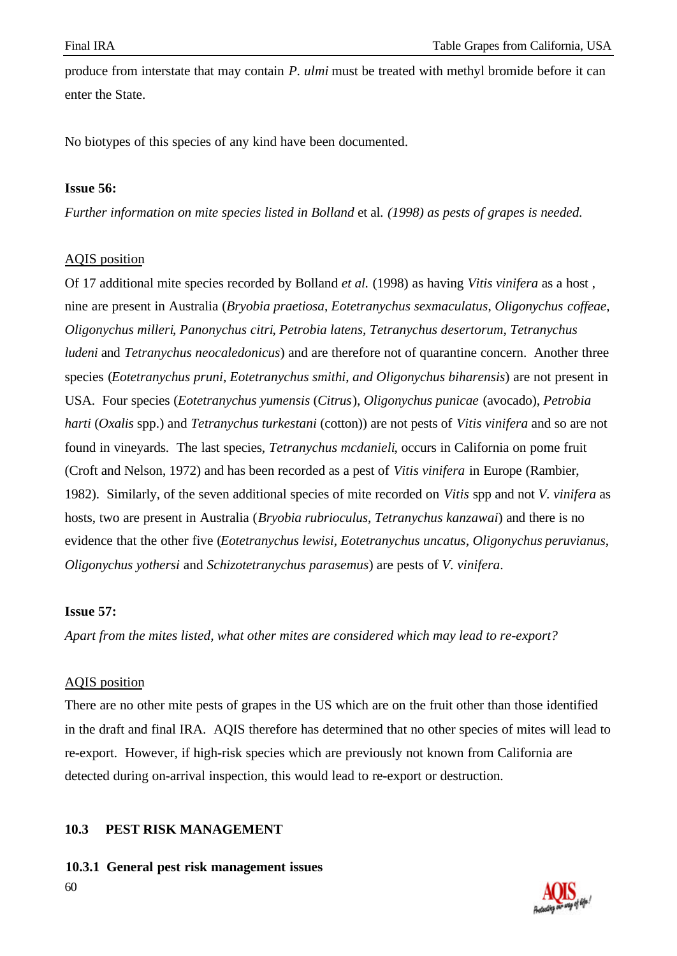produce from interstate that may contain *P. ulmi* must be treated with methyl bromide before it can enter the State.

No biotypes of this species of any kind have been documented.

## **Issue 56:**

*Further information on mite species listed in Bolland* et al. *(1998) as pests of grapes is needed.*

# AQIS position

Of 17 additional mite species recorded by Bolland *et al.* (1998) as having *Vitis vinifera* as a host , nine are present in Australia (*Bryobia praetiosa*, *Eotetranychus sexmaculatus*, *Oligonychus coffeae*, *Oligonychus milleri*, *Panonychus citri*, *Petrobia latens*, *Tetranychus desertorum*, *Tetranychus ludeni* and *Tetranychus neocaledonicus*) and are therefore not of quarantine concern. Another three species (*Eotetranychus pruni*, *Eotetranychus smithi*, *and Oligonychus biharensis*) are not present in USA. Four species (*Eotetranychus yumensis* (*Citrus*), *Oligonychus punicae* (avocado), *Petrobia harti* (*Oxalis* spp.) and *Tetranychus turkestani* (cotton)) are not pests of *Vitis vinifera* and so are not found in vineyards. The last species, *Tetranychus mcdanieli*, occurs in California on pome fruit (Croft and Nelson, 1972) and has been recorded as a pest of *Vitis vinifera* in Europe (Rambier, 1982). Similarly, of the seven additional species of mite recorded on *Vitis* spp and not *V. vinifera* as hosts, two are present in Australia (*Bryobia rubrioculus*, *Tetranychus kanzawai*) and there is no evidence that the other five (*Eotetranychus lewisi*, *Eotetranychus uncatus*, *Oligonychus peruvianus*, *Oligonychus yothersi* and *Schizotetranychus parasemus*) are pests of *V. vinifera*.

# **Issue 57:**

*Apart from the mites listed, what other mites are considered which may lead to re-export?*

# AQIS position

There are no other mite pests of grapes in the US which are on the fruit other than those identified in the draft and final IRA. AQIS therefore has determined that no other species of mites will lead to re-export. However, if high-risk species which are previously not known from California are detected during on-arrival inspection, this would lead to re-export or destruction.

# **10.3 PEST RISK MANAGEMENT**

60 **10.3.1 General pest risk management issues**

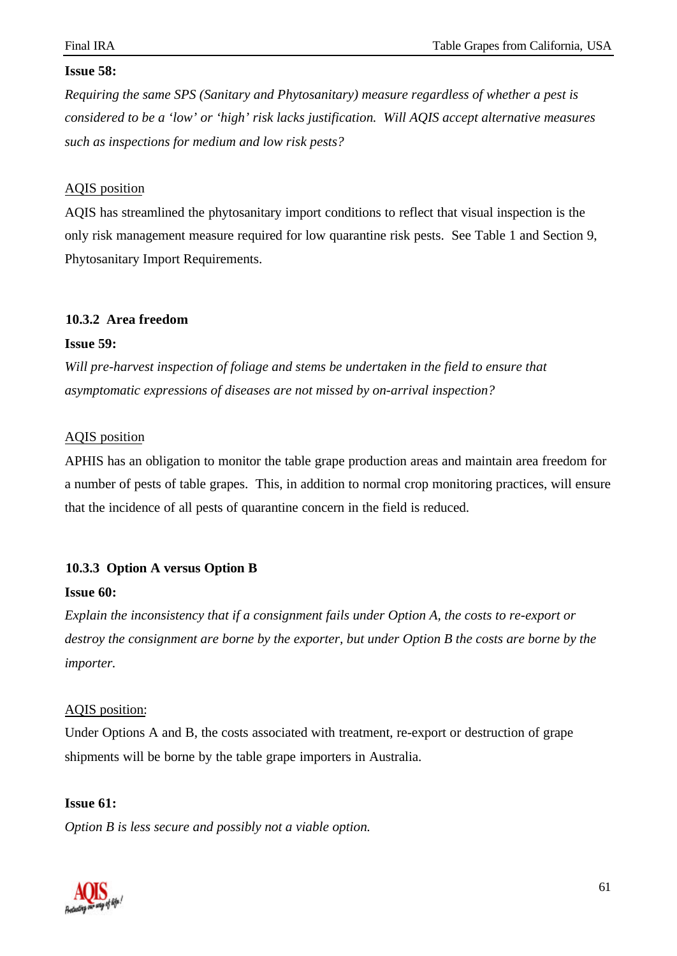## **Issue 58:**

*Requiring the same SPS (Sanitary and Phytosanitary) measure regardless of whether a pest is considered to be a 'low' or 'high' risk lacks justification. Will AQIS accept alternative measures such as inspections for medium and low risk pests?*

## AQIS position

AQIS has streamlined the phytosanitary import conditions to reflect that visual inspection is the only risk management measure required for low quarantine risk pests. See Table 1 and Section 9, Phytosanitary Import Requirements.

## **10.3.2 Area freedom**

#### **Issue 59:**

*Will pre-harvest inspection of foliage and stems be undertaken in the field to ensure that asymptomatic expressions of diseases are not missed by on-arrival inspection?*

## AQIS position

APHIS has an obligation to monitor the table grape production areas and maintain area freedom for a number of pests of table grapes. This, in addition to normal crop monitoring practices, will ensure that the incidence of all pests of quarantine concern in the field is reduced.

# **10.3.3 Option A versus Option B**

# **Issue 60:**

*Explain the inconsistency that if a consignment fails under Option A, the costs to re-export or destroy the consignment are borne by the exporter, but under Option B the costs are borne by the importer.*

# AQIS position:

Under Options A and B, the costs associated with treatment, re-export or destruction of grape shipments will be borne by the table grape importers in Australia.

#### **Issue 61:**

*Option B is less secure and possibly not a viable option.*

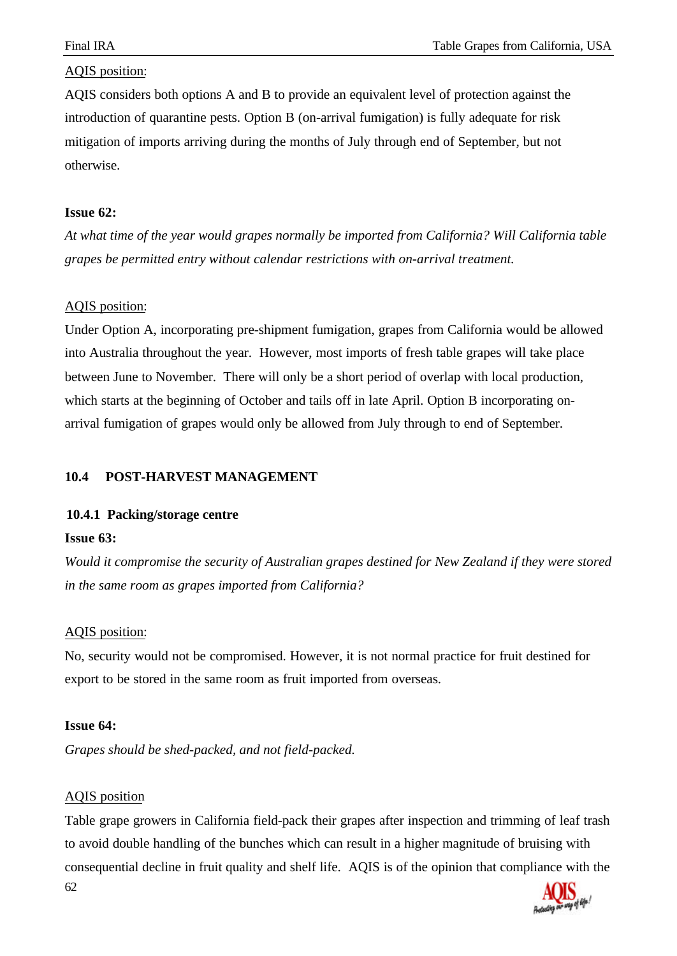AQIS considers both options A and B to provide an equivalent level of protection against the introduction of quarantine pests. Option B (on-arrival fumigation) is fully adequate for risk mitigation of imports arriving during the months of July through end of September, but not otherwise.

#### **Issue 62:**

*At what time of the year would grapes normally be imported from California? Will California table grapes be permitted entry without calendar restrictions with on-arrival treatment.*

#### AQIS position:

Under Option A, incorporating pre-shipment fumigation, grapes from California would be allowed into Australia throughout the year. However, most imports of fresh table grapes will take place between June to November. There will only be a short period of overlap with local production, which starts at the beginning of October and tails off in late April. Option B incorporating onarrival fumigation of grapes would only be allowed from July through to end of September.

## **10.4 POST-HARVEST MANAGEMENT**

#### **10.4.1 Packing/storage centre**

#### **Issue 63:**

*Would it compromise the security of Australian grapes destined for New Zealand if they were stored in the same room as grapes imported from California?*

#### AQIS position:

No, security would not be compromised. However, it is not normal practice for fruit destined for export to be stored in the same room as fruit imported from overseas.

#### **Issue 64:**

*Grapes should be shed-packed, and not field-packed.*

#### AQIS position

62 Table grape growers in California field-pack their grapes after inspection and trimming of leaf trash to avoid double handling of the bunches which can result in a higher magnitude of bruising with consequential decline in fruit quality and shelf life. AQIS is of the opinion that compliance with the

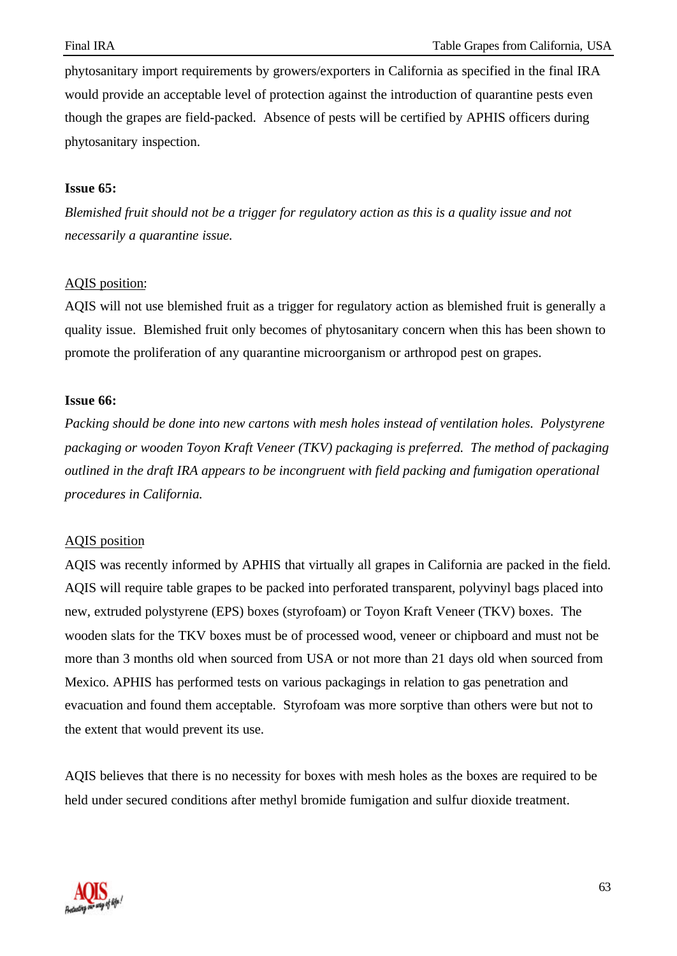phytosanitary import requirements by growers/exporters in California as specified in the final IRA would provide an acceptable level of protection against the introduction of quarantine pests even though the grapes are field-packed. Absence of pests will be certified by APHIS officers during phytosanitary inspection.

#### **Issue 65:**

*Blemished fruit should not be a trigger for regulatory action as this is a quality issue and not necessarily a quarantine issue.*

## AQIS position:

AQIS will not use blemished fruit as a trigger for regulatory action as blemished fruit is generally a quality issue. Blemished fruit only becomes of phytosanitary concern when this has been shown to promote the proliferation of any quarantine microorganism or arthropod pest on grapes.

## **Issue 66:**

*Packing should be done into new cartons with mesh holes instead of ventilation holes. Polystyrene packaging or wooden Toyon Kraft Veneer (TKV) packaging is preferred. The method of packaging outlined in the draft IRA appears to be incongruent with field packing and fumigation operational procedures in California.*

#### AQIS position

AQIS was recently informed by APHIS that virtually all grapes in California are packed in the field. AQIS will require table grapes to be packed into perforated transparent, polyvinyl bags placed into new, extruded polystyrene (EPS) boxes (styrofoam) or Toyon Kraft Veneer (TKV) boxes. The wooden slats for the TKV boxes must be of processed wood, veneer or chipboard and must not be more than 3 months old when sourced from USA or not more than 21 days old when sourced from Mexico. APHIS has performed tests on various packagings in relation to gas penetration and evacuation and found them acceptable. Styrofoam was more sorptive than others were but not to the extent that would prevent its use.

AQIS believes that there is no necessity for boxes with mesh holes as the boxes are required to be held under secured conditions after methyl bromide fumigation and sulfur dioxide treatment.

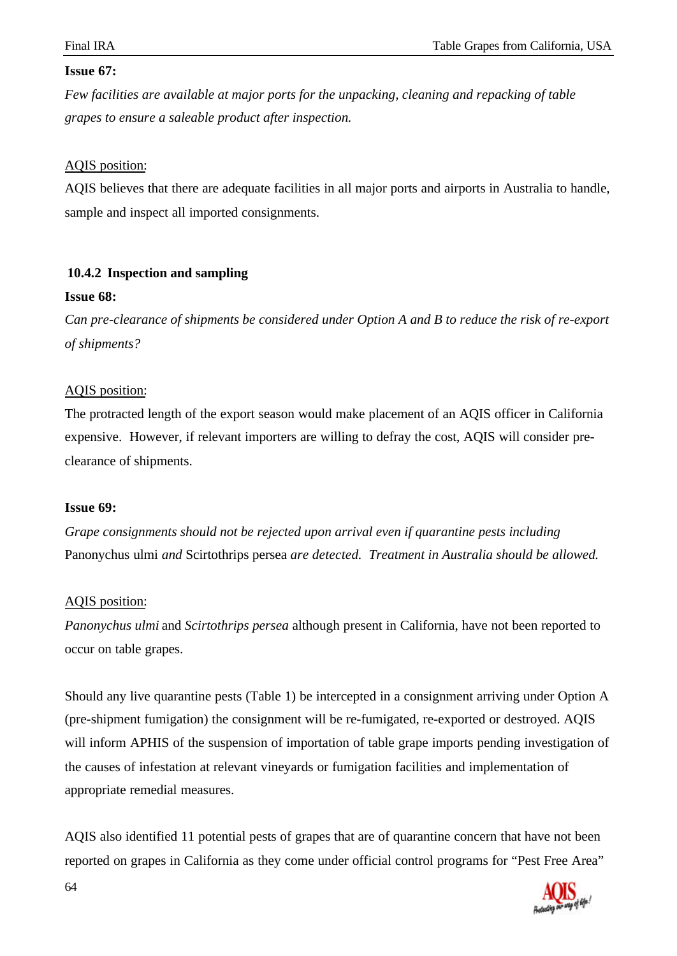# **Issue 67:**

*Few facilities are available at major ports for the unpacking, cleaning and repacking of table grapes to ensure a saleable product after inspection.*

# AQIS position:

AQIS believes that there are adequate facilities in all major ports and airports in Australia to handle, sample and inspect all imported consignments.

# **10.4.2 Inspection and sampling**

## **Issue 68:**

*Can pre-clearance of shipments be considered under Option A and B to reduce the risk of re-export of shipments?*

# AQIS position:

The protracted length of the export season would make placement of an AQIS officer in California expensive. However, if relevant importers are willing to defray the cost, AQIS will consider preclearance of shipments.

# **Issue 69:**

*Grape consignments should not be rejected upon arrival even if quarantine pests including* Panonychus ulmi *and* Scirtothrips persea *are detected. Treatment in Australia should be allowed.*

# AQIS position:

*Panonychus ulmi* and *Scirtothrips persea* although present in California, have not been reported to occur on table grapes.

Should any live quarantine pests (Table 1) be intercepted in a consignment arriving under Option A (pre-shipment fumigation) the consignment will be re-fumigated, re-exported or destroyed. AQIS will inform APHIS of the suspension of importation of table grape imports pending investigation of the causes of infestation at relevant vineyards or fumigation facilities and implementation of appropriate remedial measures.

AQIS also identified 11 potential pests of grapes that are of quarantine concern that have not been reported on grapes in California as they come under official control programs for "Pest Free Area"

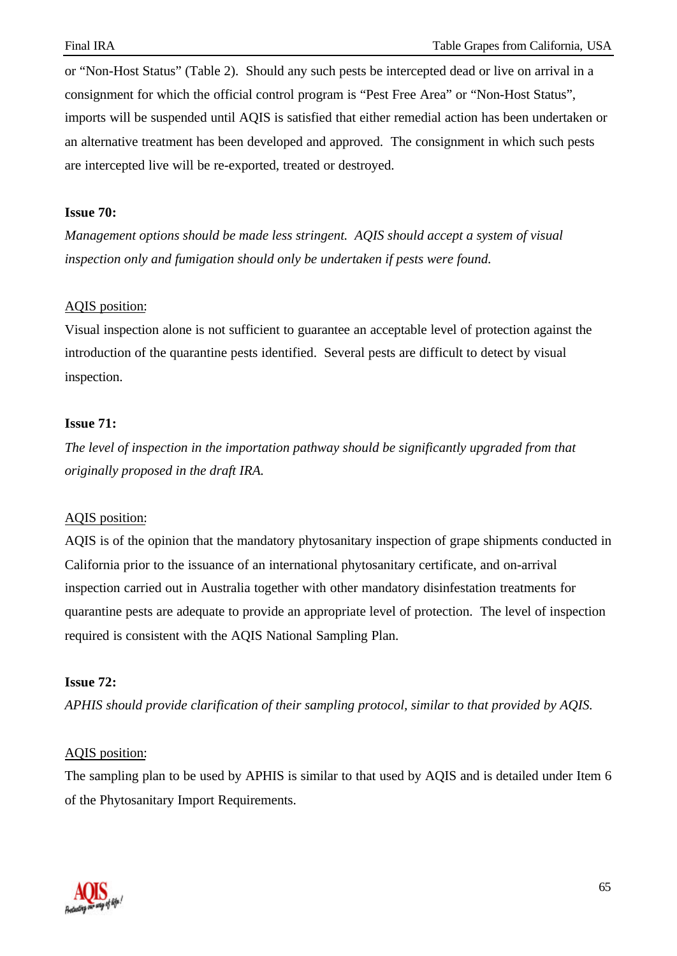or "Non-Host Status" (Table 2). Should any such pests be intercepted dead or live on arrival in a consignment for which the official control program is "Pest Free Area" or "Non-Host Status", imports will be suspended until AQIS is satisfied that either remedial action has been undertaken or an alternative treatment has been developed and approved. The consignment in which such pests are intercepted live will be re-exported, treated or destroyed.

#### **Issue 70:**

*Management options should be made less stringent. AQIS should accept a system of visual inspection only and fumigation should only be undertaken if pests were found.*

## AQIS position:

Visual inspection alone is not sufficient to guarantee an acceptable level of protection against the introduction of the quarantine pests identified. Several pests are difficult to detect by visual inspection.

## **Issue 71:**

*The level of inspection in the importation pathway should be significantly upgraded from that originally proposed in the draft IRA.*

# AQIS position:

AQIS is of the opinion that the mandatory phytosanitary inspection of grape shipments conducted in California prior to the issuance of an international phytosanitary certificate, and on-arrival inspection carried out in Australia together with other mandatory disinfestation treatments for quarantine pests are adequate to provide an appropriate level of protection. The level of inspection required is consistent with the AQIS National Sampling Plan.

# **Issue 72:**

*APHIS should provide clarification of their sampling protocol, similar to that provided by AQIS.*

#### AQIS position:

The sampling plan to be used by APHIS is similar to that used by AQIS and is detailed under Item 6 of the Phytosanitary Import Requirements.

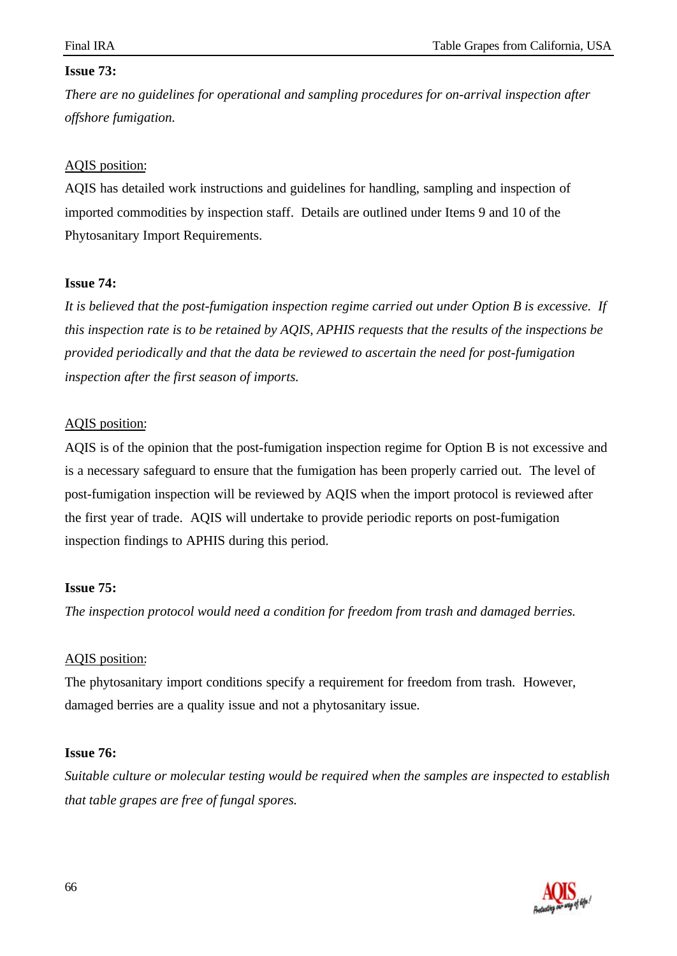# **Issue 73:**

*There are no guidelines for operational and sampling procedures for on-arrival inspection after offshore fumigation.*

# AQIS position:

AQIS has detailed work instructions and guidelines for handling, sampling and inspection of imported commodities by inspection staff. Details are outlined under Items 9 and 10 of the Phytosanitary Import Requirements.

# **Issue 74:**

*It is believed that the post-fumigation inspection regime carried out under Option B is excessive. If this inspection rate is to be retained by AQIS, APHIS requests that the results of the inspections be provided periodically and that the data be reviewed to ascertain the need for post-fumigation inspection after the first season of imports.*

# AQIS position:

AQIS is of the opinion that the post-fumigation inspection regime for Option B is not excessive and is a necessary safeguard to ensure that the fumigation has been properly carried out. The level of post-fumigation inspection will be reviewed by AQIS when the import protocol is reviewed after the first year of trade. AQIS will undertake to provide periodic reports on post-fumigation inspection findings to APHIS during this period.

# **Issue 75:**

*The inspection protocol would need a condition for freedom from trash and damaged berries.*

# AQIS position:

The phytosanitary import conditions specify a requirement for freedom from trash. However, damaged berries are a quality issue and not a phytosanitary issue.

# **Issue 76:**

*Suitable culture or molecular testing would be required when the samples are inspected to establish that table grapes are free of fungal spores.*

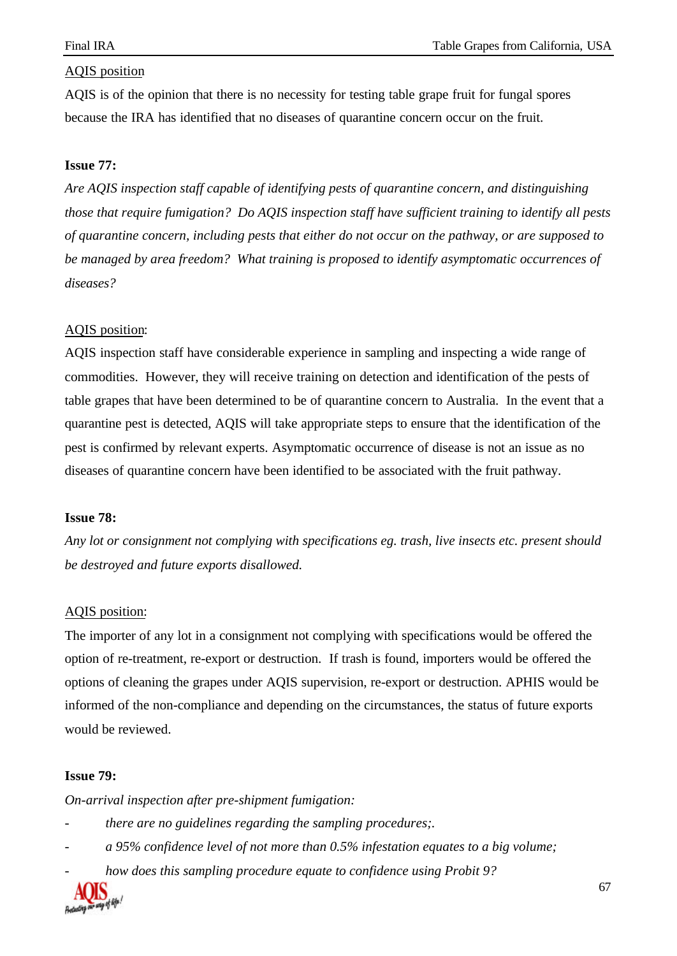AQIS is of the opinion that there is no necessity for testing table grape fruit for fungal spores because the IRA has identified that no diseases of quarantine concern occur on the fruit.

#### **Issue 77:**

*Are AQIS inspection staff capable of identifying pests of quarantine concern, and distinguishing those that require fumigation? Do AQIS inspection staff have sufficient training to identify all pests of quarantine concern, including pests that either do not occur on the pathway, or are supposed to be managed by area freedom? What training is proposed to identify asymptomatic occurrences of diseases?*

#### AQIS position:

AQIS inspection staff have considerable experience in sampling and inspecting a wide range of commodities. However, they will receive training on detection and identification of the pests of table grapes that have been determined to be of quarantine concern to Australia. In the event that a quarantine pest is detected, AQIS will take appropriate steps to ensure that the identification of the pest is confirmed by relevant experts. Asymptomatic occurrence of disease is not an issue as no diseases of quarantine concern have been identified to be associated with the fruit pathway.

#### **Issue 78:**

*Any lot or consignment not complying with specifications eg. trash, live insects etc. present should be destroyed and future exports disallowed.*

#### AQIS position:

The importer of any lot in a consignment not complying with specifications would be offered the option of re-treatment, re-export or destruction. If trash is found, importers would be offered the options of cleaning the grapes under AQIS supervision, re-export or destruction. APHIS would be informed of the non-compliance and depending on the circumstances, the status of future exports would be reviewed.

#### **Issue 79:**

*On-arrival inspection after pre-shipment fumigation:*

- *there are no guidelines regarding the sampling procedures;.*
- *a 95% confidence level of not more than 0.5% infestation equates to a big volume;*
- *how does this sampling procedure equate to confidence using Probit 9?*

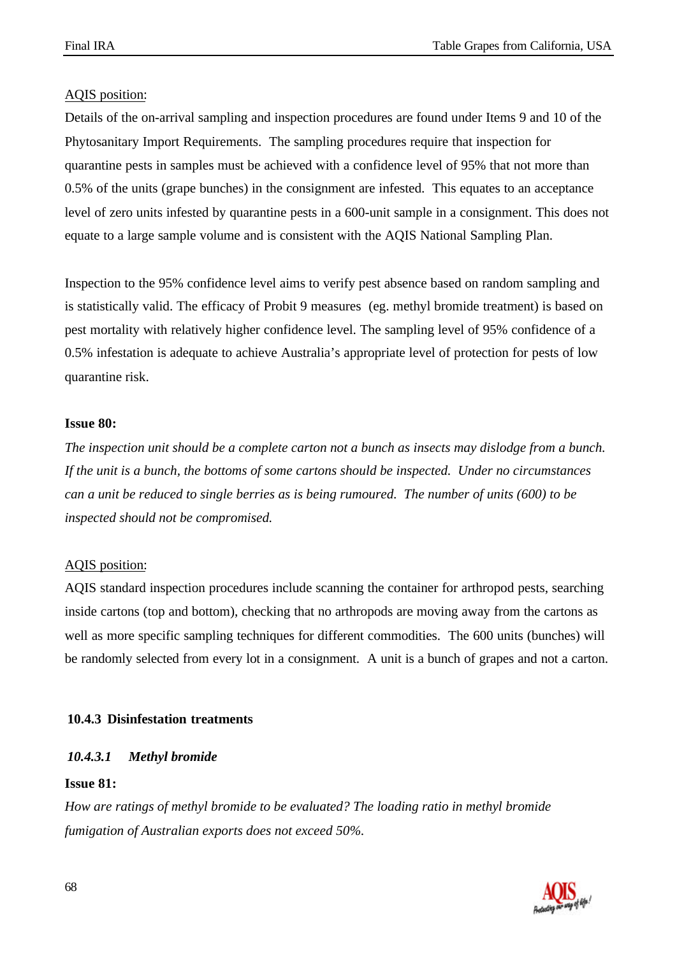Details of the on-arrival sampling and inspection procedures are found under Items 9 and 10 of the Phytosanitary Import Requirements. The sampling procedures require that inspection for quarantine pests in samples must be achieved with a confidence level of 95% that not more than 0.5% of the units (grape bunches) in the consignment are infested. This equates to an acceptance level of zero units infested by quarantine pests in a 600-unit sample in a consignment. This does not equate to a large sample volume and is consistent with the AQIS National Sampling Plan.

Inspection to the 95% confidence level aims to verify pest absence based on random sampling and is statistically valid. The efficacy of Probit 9 measures (eg. methyl bromide treatment) is based on pest mortality with relatively higher confidence level. The sampling level of 95% confidence of a 0.5% infestation is adequate to achieve Australia's appropriate level of protection for pests of low quarantine risk.

#### **Issue 80:**

*The inspection unit should be a complete carton not a bunch as insects may dislodge from a bunch. If the unit is a bunch, the bottoms of some cartons should be inspected. Under no circumstances can a unit be reduced to single berries as is being rumoured. The number of units (600) to be inspected should not be compromised.*

#### AQIS position:

AQIS standard inspection procedures include scanning the container for arthropod pests, searching inside cartons (top and bottom), checking that no arthropods are moving away from the cartons as well as more specific sampling techniques for different commodities. The 600 units (bunches) will be randomly selected from every lot in a consignment. A unit is a bunch of grapes and not a carton.

#### **10.4.3 Disinfestation treatments**

#### *10.4.3.1 Methyl bromide*

#### **Issue 81:**

*How are ratings of methyl bromide to be evaluated? The loading ratio in methyl bromide fumigation of Australian exports does not exceed 50%.*

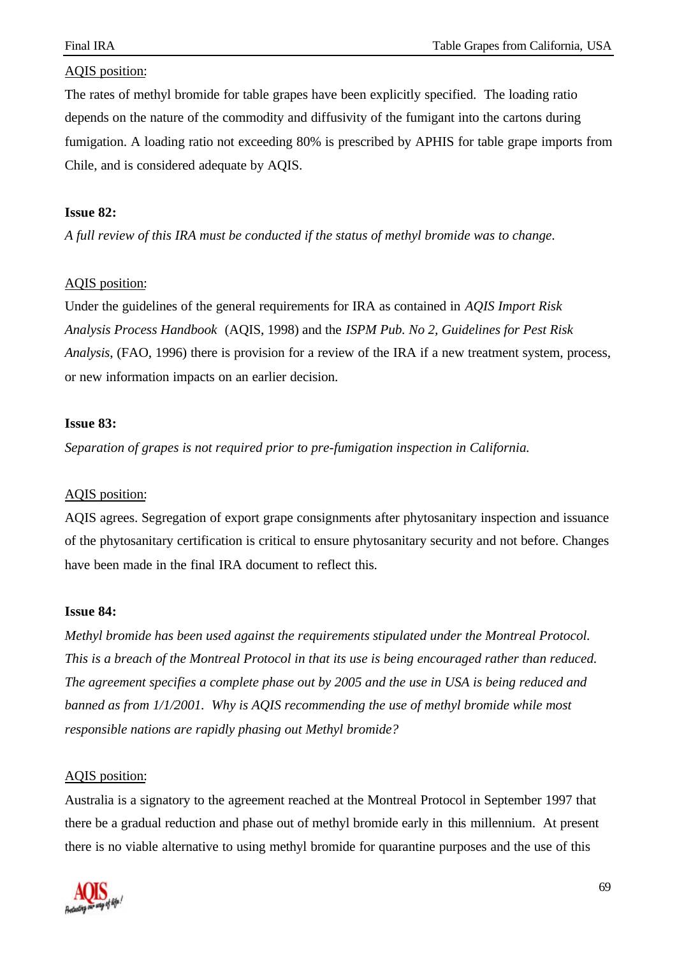The rates of methyl bromide for table grapes have been explicitly specified. The loading ratio depends on the nature of the commodity and diffusivity of the fumigant into the cartons during fumigation. A loading ratio not exceeding 80% is prescribed by APHIS for table grape imports from Chile, and is considered adequate by AQIS.

#### **Issue 82:**

*A full review of this IRA must be conducted if the status of methyl bromide was to change.*

## AQIS position:

Under the guidelines of the general requirements for IRA as contained in *AQIS Import Risk Analysis Process Handbook* (AQIS, 1998) and the *ISPM Pub. No 2, Guidelines for Pest Risk Analysis*, (FAO, 1996) there is provision for a review of the IRA if a new treatment system, process, or new information impacts on an earlier decision.

## **Issue 83:**

*Separation of grapes is not required prior to pre-fumigation inspection in California.*

# AQIS position:

AQIS agrees. Segregation of export grape consignments after phytosanitary inspection and issuance of the phytosanitary certification is critical to ensure phytosanitary security and not before. Changes have been made in the final IRA document to reflect this.

#### **Issue 84:**

*Methyl bromide has been used against the requirements stipulated under the Montreal Protocol. This is a breach of the Montreal Protocol in that its use is being encouraged rather than reduced. The agreement specifies a complete phase out by 2005 and the use in USA is being reduced and banned as from 1/1/2001. Why is AQIS recommending the use of methyl bromide while most responsible nations are rapidly phasing out Methyl bromide?*

#### AQIS position:

Australia is a signatory to the agreement reached at the Montreal Protocol in September 1997 that there be a gradual reduction and phase out of methyl bromide early in this millennium. At present there is no viable alternative to using methyl bromide for quarantine purposes and the use of this

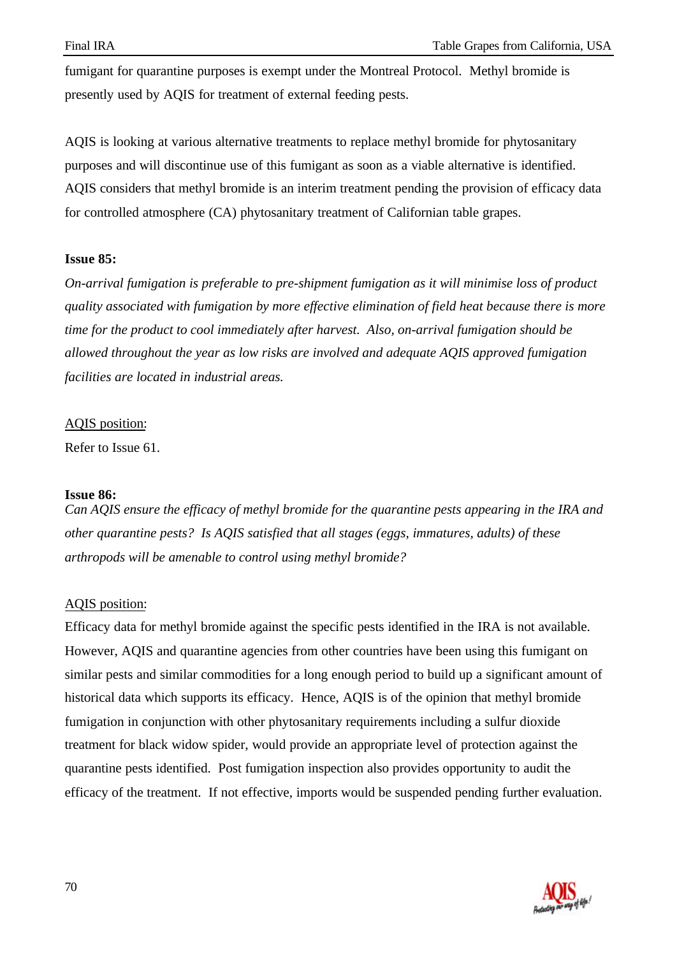fumigant for quarantine purposes is exempt under the Montreal Protocol. Methyl bromide is presently used by AQIS for treatment of external feeding pests.

AQIS is looking at various alternative treatments to replace methyl bromide for phytosanitary purposes and will discontinue use of this fumigant as soon as a viable alternative is identified. AQIS considers that methyl bromide is an interim treatment pending the provision of efficacy data for controlled atmosphere (CA) phytosanitary treatment of Californian table grapes.

## **Issue 85:**

*On-arrival fumigation is preferable to pre-shipment fumigation as it will minimise loss of product quality associated with fumigation by more effective elimination of field heat because there is more time for the product to cool immediately after harvest. Also, on-arrival fumigation should be allowed throughout the year as low risks are involved and adequate AQIS approved fumigation facilities are located in industrial areas.*

## AQIS position:

Refer to Issue 61.

#### **Issue 86:**

*Can AQIS ensure the efficacy of methyl bromide for the quarantine pests appearing in the IRA and other quarantine pests? Is AQIS satisfied that all stages (eggs, immatures, adults) of these arthropods will be amenable to control using methyl bromide?*

# AQIS position:

Efficacy data for methyl bromide against the specific pests identified in the IRA is not available. However, AQIS and quarantine agencies from other countries have been using this fumigant on similar pests and similar commodities for a long enough period to build up a significant amount of historical data which supports its efficacy. Hence, AQIS is of the opinion that methyl bromide fumigation in conjunction with other phytosanitary requirements including a sulfur dioxide treatment for black widow spider, would provide an appropriate level of protection against the quarantine pests identified. Post fumigation inspection also provides opportunity to audit the efficacy of the treatment. If not effective, imports would be suspended pending further evaluation.

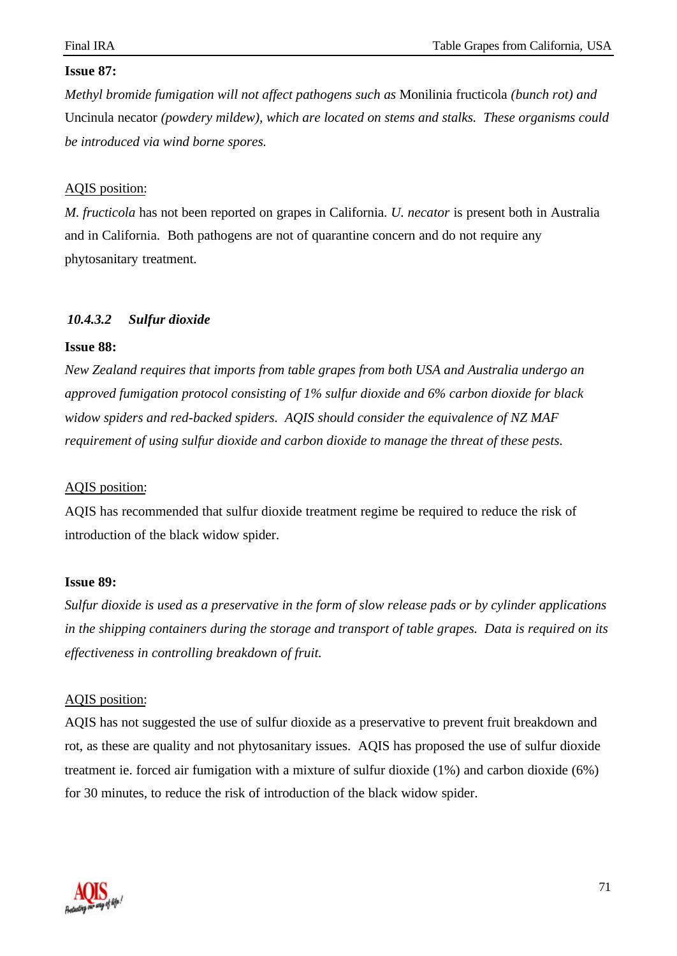## **Issue 87:**

*Methyl bromide fumigation will not affect pathogens such as* Monilinia fructicola *(bunch rot) and* Uncinula necator *(powdery mildew), which are located on stems and stalks. These organisms could be introduced via wind borne spores.*

## AQIS position:

*M. fructicola* has not been reported on grapes in California. *U. necator* is present both in Australia and in California. Both pathogens are not of quarantine concern and do not require any phytosanitary treatment.

# *10.4.3.2 Sulfur dioxide*

#### **Issue 88:**

*New Zealand requires that imports from table grapes from both USA and Australia undergo an approved fumigation protocol consisting of 1% sulfur dioxide and 6% carbon dioxide for black widow spiders and red-backed spiders. AQIS should consider the equivalence of NZ MAF requirement of using sulfur dioxide and carbon dioxide to manage the threat of these pests.*

#### AQIS position:

AQIS has recommended that sulfur dioxide treatment regime be required to reduce the risk of introduction of the black widow spider.

#### **Issue 89:**

*Sulfur dioxide is used as a preservative in the form of slow release pads or by cylinder applications in the shipping containers during the storage and transport of table grapes. Data is required on its effectiveness in controlling breakdown of fruit.*

#### AQIS position:

AQIS has not suggested the use of sulfur dioxide as a preservative to prevent fruit breakdown and rot, as these are quality and not phytosanitary issues. AQIS has proposed the use of sulfur dioxide treatment ie. forced air fumigation with a mixture of sulfur dioxide (1%) and carbon dioxide (6%) for 30 minutes, to reduce the risk of introduction of the black widow spider.

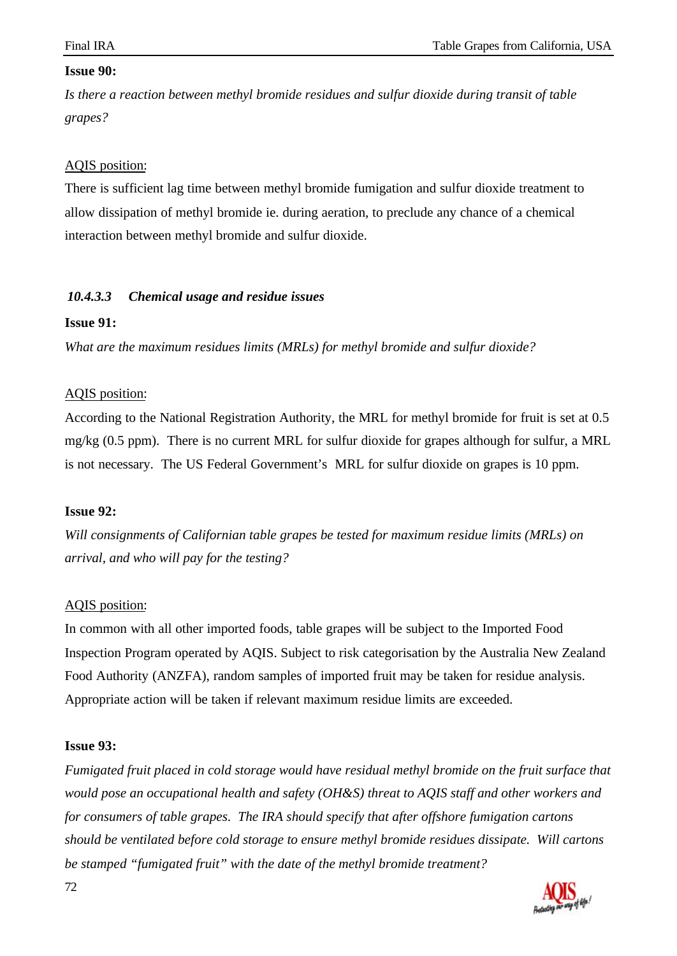#### **Issue 90:**

*Is there a reaction between methyl bromide residues and sulfur dioxide during transit of table grapes?*

## AQIS position:

There is sufficient lag time between methyl bromide fumigation and sulfur dioxide treatment to allow dissipation of methyl bromide ie. during aeration, to preclude any chance of a chemical interaction between methyl bromide and sulfur dioxide.

## *10.4.3.3 Chemical usage and residue issues*

#### **Issue 91:**

*What are the maximum residues limits (MRLs) for methyl bromide and sulfur dioxide?*

#### AQIS position:

According to the National Registration Authority, the MRL for methyl bromide for fruit is set at 0.5 mg/kg (0.5 ppm). There is no current MRL for sulfur dioxide for grapes although for sulfur, a MRL is not necessary. The US Federal Government's MRL for sulfur dioxide on grapes is 10 ppm.

#### **Issue 92:**

*Will consignments of Californian table grapes be tested for maximum residue limits (MRLs) on arrival, and who will pay for the testing?*

#### AQIS position:

In common with all other imported foods, table grapes will be subject to the Imported Food Inspection Program operated by AQIS. Subject to risk categorisation by the Australia New Zealand Food Authority (ANZFA), random samples of imported fruit may be taken for residue analysis. Appropriate action will be taken if relevant maximum residue limits are exceeded.

#### **Issue 93:**

*Fumigated fruit placed in cold storage would have residual methyl bromide on the fruit surface that would pose an occupational health and safety (OH&S) threat to AQIS staff and other workers and for consumers of table grapes. The IRA should specify that after offshore fumigation cartons should be ventilated before cold storage to ensure methyl bromide residues dissipate. Will cartons be stamped "fumigated fruit" with the date of the methyl bromide treatment?*



72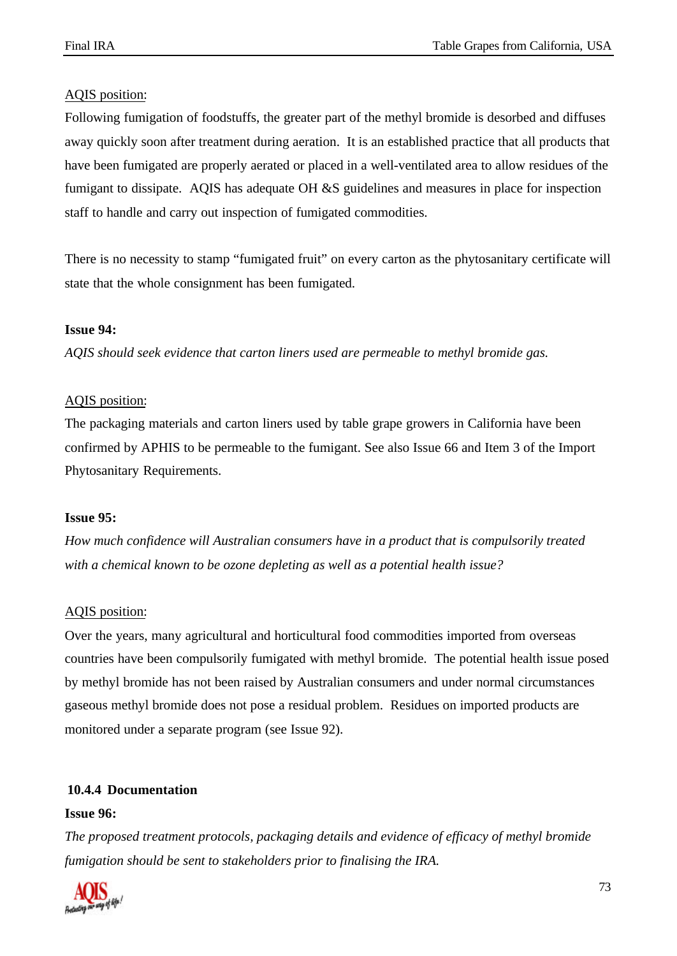### AQIS position:

Following fumigation of foodstuffs, the greater part of the methyl bromide is desorbed and diffuses away quickly soon after treatment during aeration. It is an established practice that all products that have been fumigated are properly aerated or placed in a well-ventilated area to allow residues of the fumigant to dissipate. AQIS has adequate OH &S guidelines and measures in place for inspection staff to handle and carry out inspection of fumigated commodities.

There is no necessity to stamp "fumigated fruit" on every carton as the phytosanitary certificate will state that the whole consignment has been fumigated.

### **Issue 94:**

*AQIS should seek evidence that carton liners used are permeable to methyl bromide gas.*

#### AQIS position:

The packaging materials and carton liners used by table grape growers in California have been confirmed by APHIS to be permeable to the fumigant. See also Issue 66 and Item 3 of the Import Phytosanitary Requirements.

#### **Issue 95:**

*How much confidence will Australian consumers have in a product that is compulsorily treated with a chemical known to be ozone depleting as well as a potential health issue?*

### AQIS position:

Over the years, many agricultural and horticultural food commodities imported from overseas countries have been compulsorily fumigated with methyl bromide. The potential health issue posed by methyl bromide has not been raised by Australian consumers and under normal circumstances gaseous methyl bromide does not pose a residual problem. Residues on imported products are monitored under a separate program (see Issue 92).

#### **10.4.4 Documentation**

#### **Issue 96:**

*The proposed treatment protocols, packaging details and evidence of efficacy of methyl bromide fumigation should be sent to stakeholders prior to finalising the IRA.*

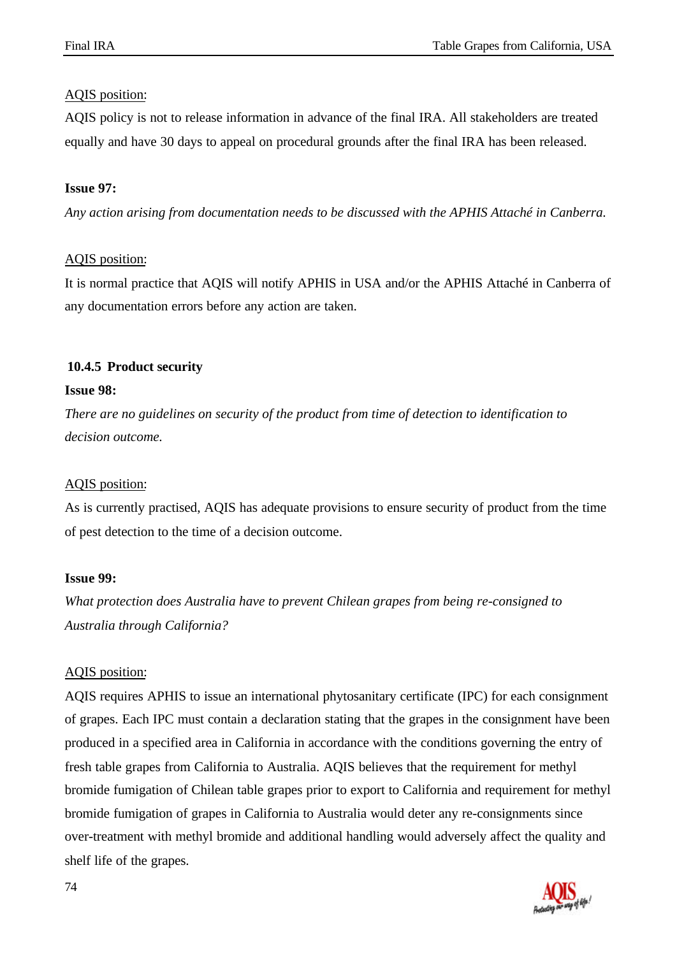## AQIS position:

AQIS policy is not to release information in advance of the final IRA. All stakeholders are treated equally and have 30 days to appeal on procedural grounds after the final IRA has been released.

## **Issue 97:**

*Any action arising from documentation needs to be discussed with the APHIS Attaché in Canberra.*

## AQIS position:

It is normal practice that AQIS will notify APHIS in USA and/or the APHIS Attaché in Canberra of any documentation errors before any action are taken.

## **10.4.5 Product security**

### **Issue 98:**

*There are no guidelines on security of the product from time of detection to identification to decision outcome.*

## AQIS position:

As is currently practised, AQIS has adequate provisions to ensure security of product from the time of pest detection to the time of a decision outcome.

## **Issue 99:**

*What protection does Australia have to prevent Chilean grapes from being re-consigned to Australia through California?*

## AQIS position:

AQIS requires APHIS to issue an international phytosanitary certificate (IPC) for each consignment of grapes. Each IPC must contain a declaration stating that the grapes in the consignment have been produced in a specified area in California in accordance with the conditions governing the entry of fresh table grapes from California to Australia. AQIS believes that the requirement for methyl bromide fumigation of Chilean table grapes prior to export to California and requirement for methyl bromide fumigation of grapes in California to Australia would deter any re-consignments since over-treatment with methyl bromide and additional handling would adversely affect the quality and shelf life of the grapes.

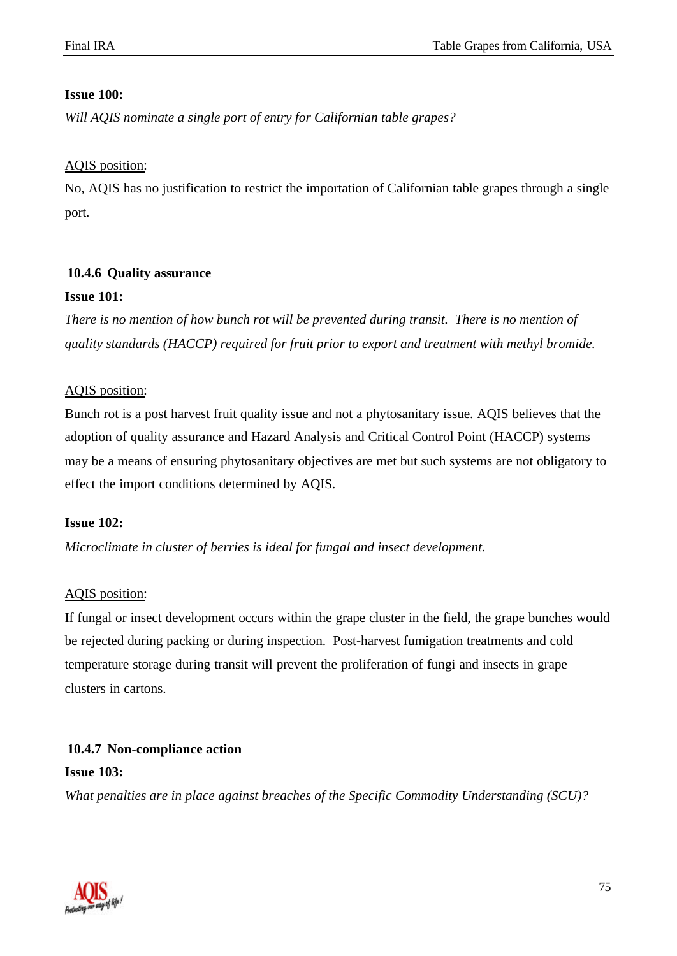## **Issue 100:**

*Will AQIS nominate a single port of entry for Californian table grapes?*

## AQIS position:

No, AQIS has no justification to restrict the importation of Californian table grapes through a single port.

## **10.4.6 Quality assurance**

## **Issue 101:**

*There is no mention of how bunch rot will be prevented during transit. There is no mention of quality standards (HACCP) required for fruit prior to export and treatment with methyl bromide.*

## AQIS position:

Bunch rot is a post harvest fruit quality issue and not a phytosanitary issue. AQIS believes that the adoption of quality assurance and Hazard Analysis and Critical Control Point (HACCP) systems may be a means of ensuring phytosanitary objectives are met but such systems are not obligatory to effect the import conditions determined by AQIS.

## **Issue 102:**

*Microclimate in cluster of berries is ideal for fungal and insect development.*

## AQIS position:

If fungal or insect development occurs within the grape cluster in the field, the grape bunches would be rejected during packing or during inspection. Post-harvest fumigation treatments and cold temperature storage during transit will prevent the proliferation of fungi and insects in grape clusters in cartons.

## **10.4.7 Non-compliance action**

## **Issue 103:**

*What penalties are in place against breaches of the Specific Commodity Understanding (SCU)?*

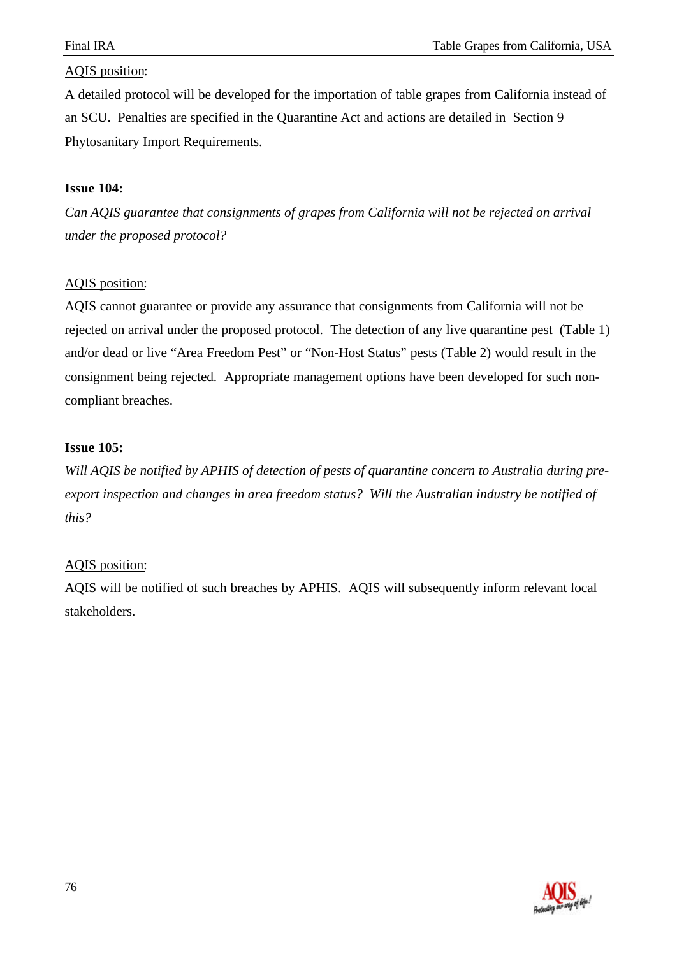## AQIS position:

A detailed protocol will be developed for the importation of table grapes from California instead of an SCU. Penalties are specified in the Quarantine Act and actions are detailed in Section 9 Phytosanitary Import Requirements.

## **Issue 104:**

*Can AQIS guarantee that consignments of grapes from California will not be rejected on arrival under the proposed protocol?*

## AQIS position:

AQIS cannot guarantee or provide any assurance that consignments from California will not be rejected on arrival under the proposed protocol. The detection of any live quarantine pest (Table 1) and/or dead or live "Area Freedom Pest" or "Non-Host Status" pests (Table 2) would result in the consignment being rejected. Appropriate management options have been developed for such noncompliant breaches.

## **Issue 105:**

*Will AQIS be notified by APHIS of detection of pests of quarantine concern to Australia during preexport inspection and changes in area freedom status? Will the Australian industry be notified of this?*

## AQIS position:

AQIS will be notified of such breaches by APHIS. AQIS will subsequently inform relevant local stakeholders.

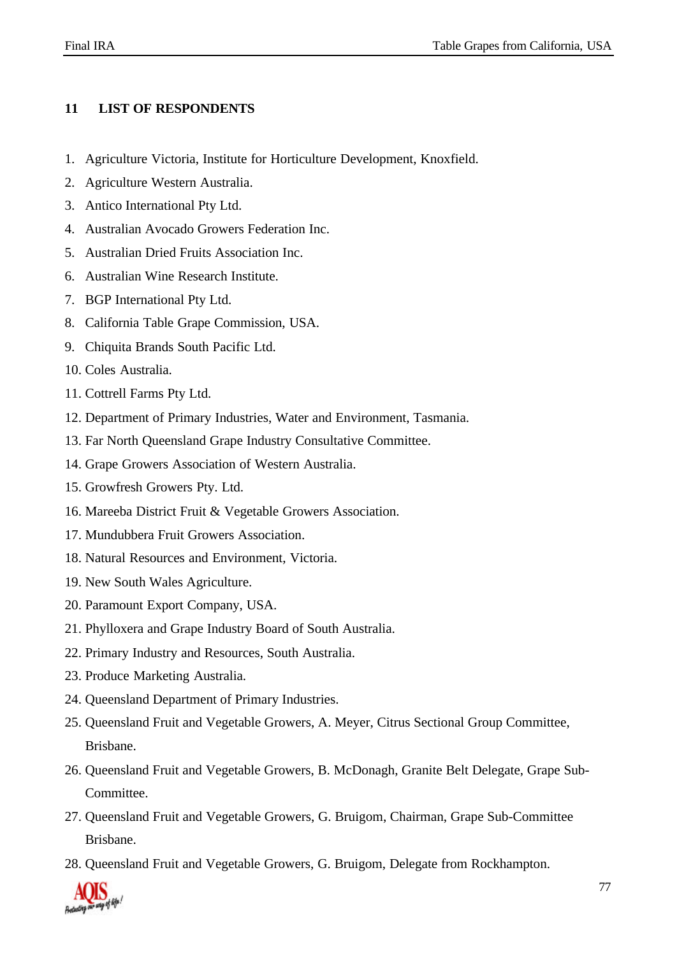## **11 LIST OF RESPONDENTS**

- 1. Agriculture Victoria, Institute for Horticulture Development, Knoxfield.
- 2. Agriculture Western Australia.
- 3. Antico International Pty Ltd.
- 4. Australian Avocado Growers Federation Inc.
- 5. Australian Dried Fruits Association Inc.
- 6. Australian Wine Research Institute.
- 7. BGP International Pty Ltd.
- 8. California Table Grape Commission, USA.
- 9. Chiquita Brands South Pacific Ltd.
- 10. Coles Australia.
- 11. Cottrell Farms Pty Ltd.
- 12. Department of Primary Industries, Water and Environment, Tasmania.
- 13. Far North Queensland Grape Industry Consultative Committee.
- 14. Grape Growers Association of Western Australia.
- 15. Growfresh Growers Pty. Ltd.
- 16. Mareeba District Fruit & Vegetable Growers Association.
- 17. Mundubbera Fruit Growers Association.
- 18. Natural Resources and Environment, Victoria.
- 19. New South Wales Agriculture.
- 20. Paramount Export Company, USA.
- 21. Phylloxera and Grape Industry Board of South Australia.
- 22. Primary Industry and Resources, South Australia.
- 23. Produce Marketing Australia.
- 24. Queensland Department of Primary Industries.
- 25. Queensland Fruit and Vegetable Growers, A. Meyer, Citrus Sectional Group Committee, Brisbane.
- 26. Queensland Fruit and Vegetable Growers, B. McDonagh, Granite Belt Delegate, Grape Sub-Committee.
- 27. Queensland Fruit and Vegetable Growers, G. Bruigom, Chairman, Grape Sub-Committee Brisbane.
- 28. Queensland Fruit and Vegetable Growers, G. Bruigom, Delegate from Rockhampton.

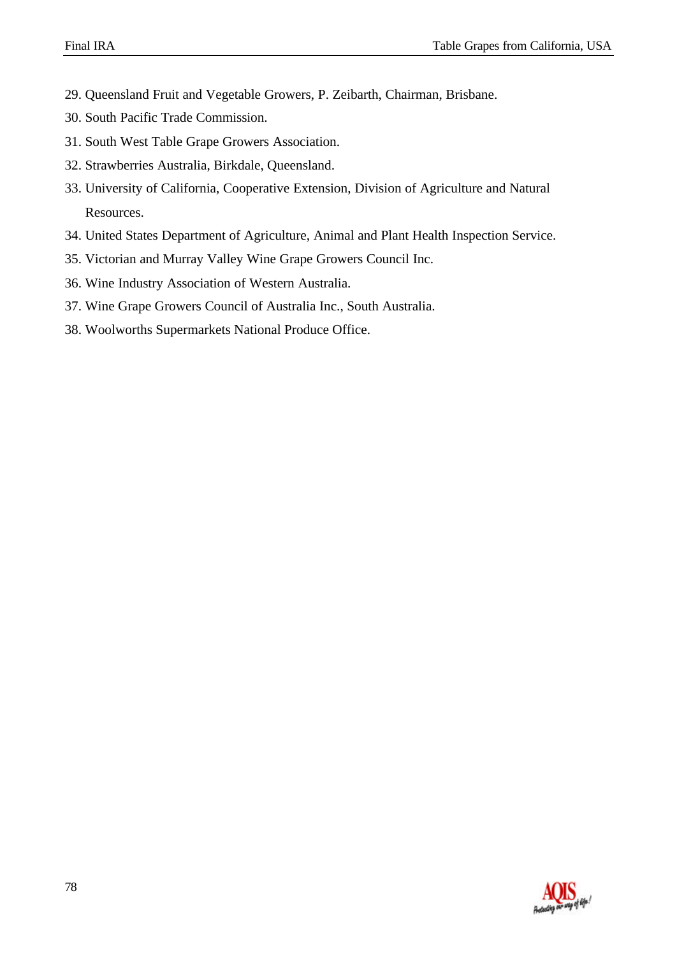- 29. Queensland Fruit and Vegetable Growers, P. Zeibarth, Chairman, Brisbane.
- 30. South Pacific Trade Commission.
- 31. South West Table Grape Growers Association.
- 32. Strawberries Australia, Birkdale, Queensland.
- 33. University of California, Cooperative Extension, Division of Agriculture and Natural Resources.
- 34. United States Department of Agriculture, Animal and Plant Health Inspection Service.
- 35. Victorian and Murray Valley Wine Grape Growers Council Inc.
- 36. Wine Industry Association of Western Australia.
- 37. Wine Grape Growers Council of Australia Inc., South Australia.
- 38. Woolworths Supermarkets National Produce Office.

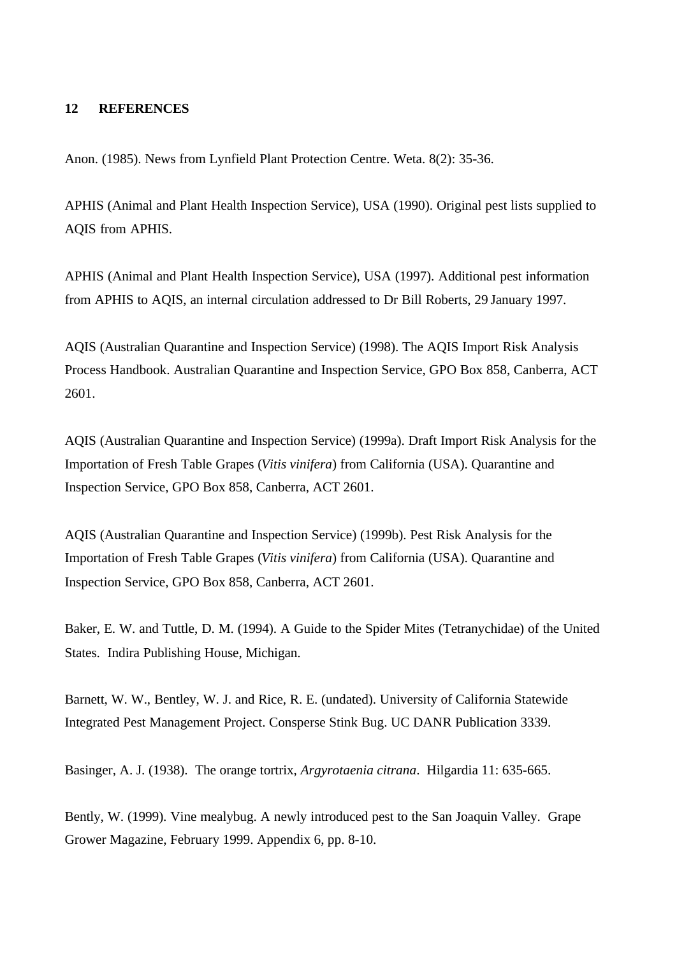## **12 REFERENCES**

Anon. (1985). News from Lynfield Plant Protection Centre. Weta. 8(2): 35-36.

APHIS (Animal and Plant Health Inspection Service), USA (1990). Original pest lists supplied to AQIS from APHIS.

APHIS (Animal and Plant Health Inspection Service), USA (1997). Additional pest information from APHIS to AQIS, an internal circulation addressed to Dr Bill Roberts, 29 January 1997.

AQIS (Australian Quarantine and Inspection Service) (1998). The AQIS Import Risk Analysis Process Handbook. Australian Quarantine and Inspection Service, GPO Box 858, Canberra, ACT 2601.

AQIS (Australian Quarantine and Inspection Service) (1999a). Draft Import Risk Analysis for the Importation of Fresh Table Grapes (*Vitis vinifera*) from California (USA). Quarantine and Inspection Service, GPO Box 858, Canberra, ACT 2601.

AQIS (Australian Quarantine and Inspection Service) (1999b). Pest Risk Analysis for the Importation of Fresh Table Grapes (*Vitis vinifera*) from California (USA). Quarantine and Inspection Service, GPO Box 858, Canberra, ACT 2601.

Baker, E. W. and Tuttle, D. M. (1994). A Guide to the Spider Mites (Tetranychidae) of the United States. Indira Publishing House, Michigan.

Barnett, W. W., Bentley, W. J. and Rice, R. E. (undated). University of California Statewide Integrated Pest Management Project. Consperse Stink Bug. UC DANR Publication 3339.

Basinger, A. J. (1938). The orange tortrix, *Argyrotaenia citrana*. Hilgardia 11: 635-665.

Bently, W. (1999). Vine mealybug. A newly introduced pest to the San Joaquin Valley. Grape Grower Magazine, February 1999. Appendix 6, pp. 8-10.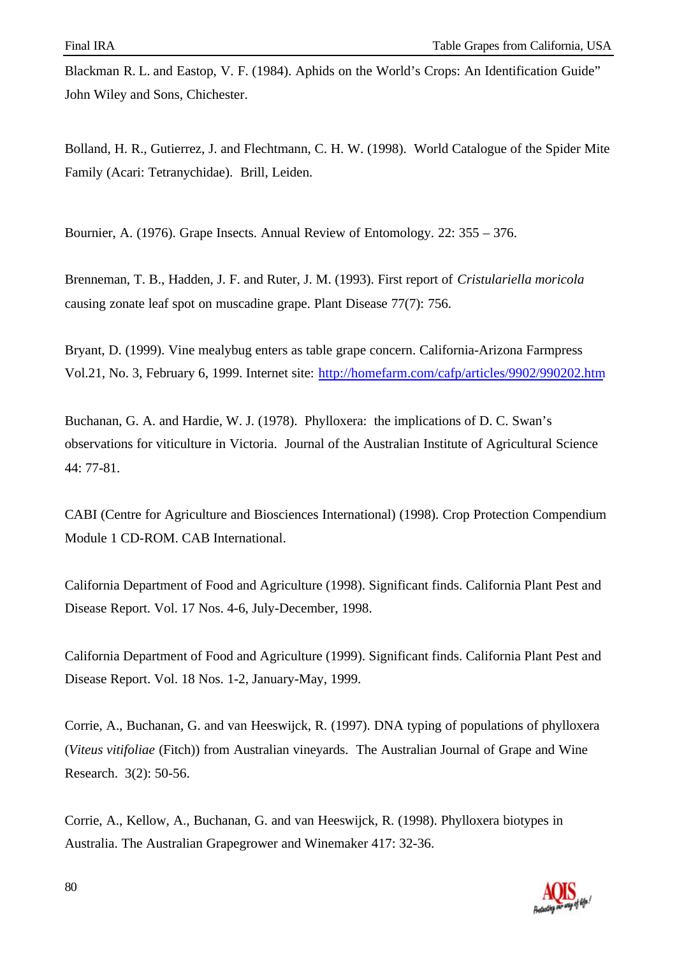Blackman R. L. and Eastop, V. F. (1984). Aphids on the World's Crops: An Identification Guide" John Wiley and Sons, Chichester.

Bolland, H. R., Gutierrez, J. and Flechtmann, C. H. W. (1998). World Catalogue of the Spider Mite Family (Acari: Tetranychidae). Brill, Leiden.

Bournier, A. (1976). Grape Insects. Annual Review of Entomology. 22: 355 – 376.

Brenneman, T. B., Hadden, J. F. and Ruter, J. M. (1993). First report of *Cristulariella moricola* causing zonate leaf spot on muscadine grape. Plant Disease 77(7): 756.

Bryant, D. (1999). Vine mealybug enters as table grape concern. California-Arizona Farmpress Vol.21, No. 3, February 6, 1999. Internet site: http://homefarm.com/cafp/articles/9902/990202.htm

Buchanan, G. A. and Hardie, W. J. (1978). Phylloxera: the implications of D. C. Swan's observations for viticulture in Victoria. Journal of the Australian Institute of Agricultural Science 44: 77-81.

CABI (Centre for Agriculture and Biosciences International) (1998). Crop Protection Compendium Module 1 CD-ROM. CAB International.

California Department of Food and Agriculture (1998). Significant finds. California Plant Pest and Disease Report. Vol. 17 Nos. 4-6, July-December, 1998.

California Department of Food and Agriculture (1999). Significant finds. California Plant Pest and Disease Report. Vol. 18 Nos. 1-2, January-May, 1999.

Corrie, A., Buchanan, G. and van Heeswijck, R. (1997). DNA typing of populations of phylloxera (*Viteus vitifoliae* (Fitch)) from Australian vineyards. The Australian Journal of Grape and Wine Research. 3(2): 50-56.

Corrie, A., Kellow, A., Buchanan, G. and van Heeswijck, R. (1998). Phylloxera biotypes in Australia. The Australian Grapegrower and Winemaker 417: 32-36.

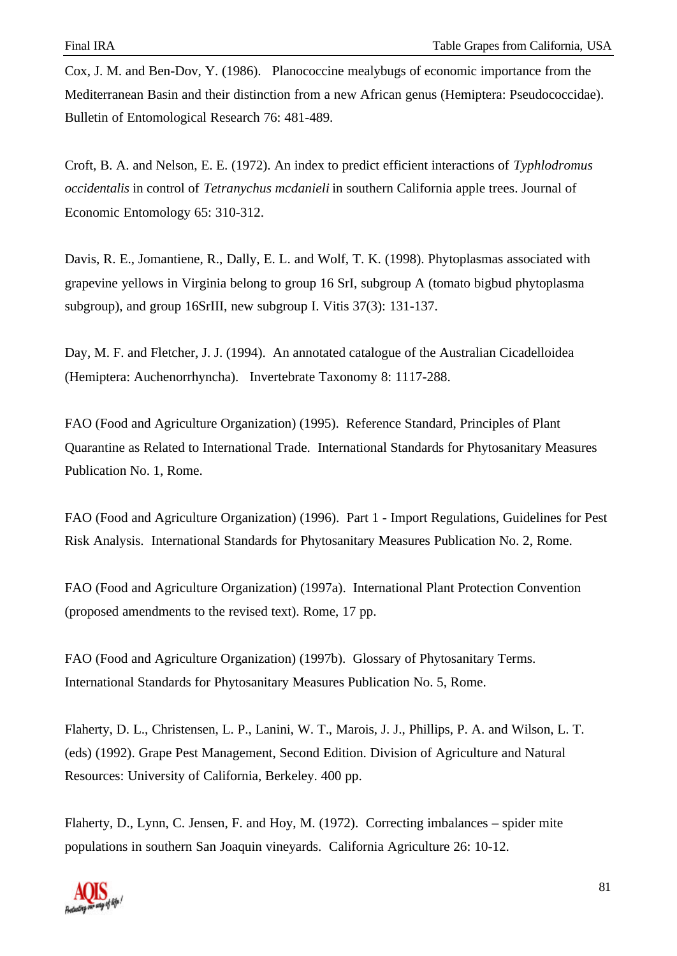Cox, J. M. and Ben-Dov, Y. (1986). Planococcine mealybugs of economic importance from the Mediterranean Basin and their distinction from a new African genus (Hemiptera: Pseudococcidae). Bulletin of Entomological Research 76: 481-489.

Croft, B. A. and Nelson, E. E. (1972). An index to predict efficient interactions of *Typhlodromus occidentalis* in control of *Tetranychus mcdanieli* in southern California apple trees. Journal of Economic Entomology 65: 310-312.

Davis, R. E., Jomantiene, R., Dally, E. L. and Wolf, T. K. (1998). Phytoplasmas associated with grapevine yellows in Virginia belong to group 16 SrI, subgroup A (tomato bigbud phytoplasma subgroup), and group 16SrIII, new subgroup I. Vitis 37(3): 131-137.

Day, M. F. and Fletcher, J. J. (1994). An annotated catalogue of the Australian Cicadelloidea (Hemiptera: Auchenorrhyncha). Invertebrate Taxonomy 8: 1117-288.

FAO (Food and Agriculture Organization) (1995). Reference Standard, Principles of Plant Quarantine as Related to International Trade. International Standards for Phytosanitary Measures Publication No. 1, Rome.

FAO (Food and Agriculture Organization) (1996). Part 1 - Import Regulations, Guidelines for Pest Risk Analysis. International Standards for Phytosanitary Measures Publication No. 2, Rome.

FAO (Food and Agriculture Organization) (1997a). International Plant Protection Convention (proposed amendments to the revised text). Rome, 17 pp.

FAO (Food and Agriculture Organization) (1997b). Glossary of Phytosanitary Terms. International Standards for Phytosanitary Measures Publication No. 5, Rome.

Flaherty, D. L., Christensen, L. P., Lanini, W. T., Marois, J. J., Phillips, P. A. and Wilson, L. T. (eds) (1992). Grape Pest Management, Second Edition. Division of Agriculture and Natural Resources: University of California, Berkeley. 400 pp.

Flaherty, D., Lynn, C. Jensen, F. and Hoy, M. (1972). Correcting imbalances – spider mite populations in southern San Joaquin vineyards. California Agriculture 26: 10-12.

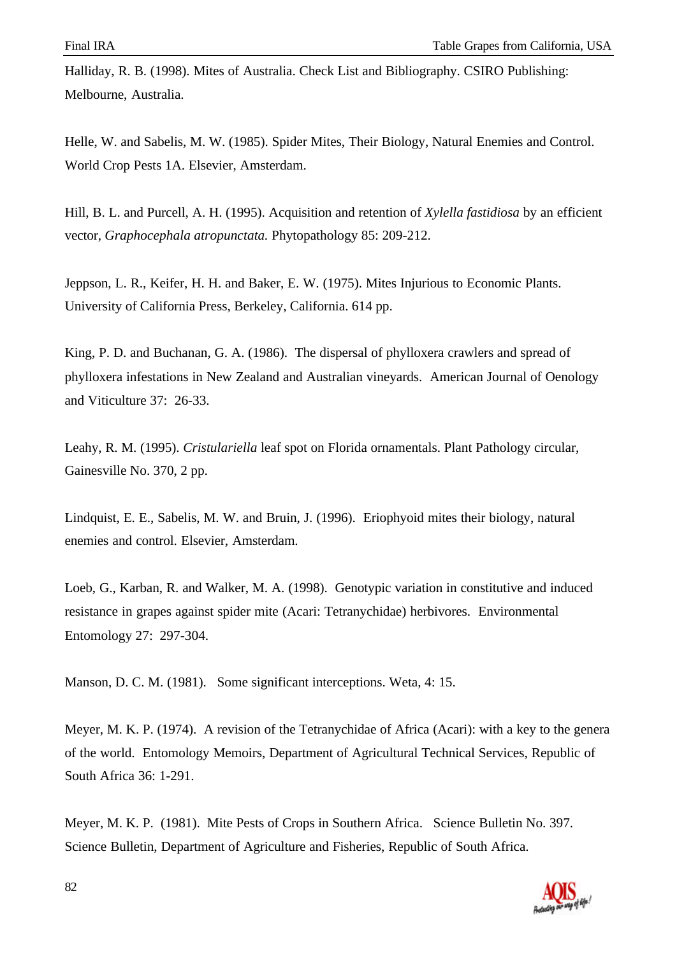Halliday, R. B. (1998). Mites of Australia. Check List and Bibliography. CSIRO Publishing: Melbourne, Australia.

Helle, W. and Sabelis, M. W. (1985). Spider Mites, Their Biology, Natural Enemies and Control. World Crop Pests 1A. Elsevier, Amsterdam.

Hill, B. L. and Purcell, A. H. (1995). Acquisition and retention of *Xylella fastidiosa* by an efficient vector, *Graphocephala atropunctata.* Phytopathology 85: 209-212.

Jeppson, L. R., Keifer, H. H. and Baker, E. W. (1975). Mites Injurious to Economic Plants. University of California Press, Berkeley, California. 614 pp.

King, P. D. and Buchanan, G. A. (1986). The dispersal of phylloxera crawlers and spread of phylloxera infestations in New Zealand and Australian vineyards. American Journal of Oenology and Viticulture 37: 26-33.

Leahy, R. M. (1995). *Cristulariella* leaf spot on Florida ornamentals. Plant Pathology circular, Gainesville No. 370, 2 pp.

Lindquist, E. E., Sabelis, M. W. and Bruin, J. (1996). Eriophyoid mites their biology, natural enemies and control. Elsevier, Amsterdam.

Loeb, G., Karban, R. and Walker, M. A. (1998). Genotypic variation in constitutive and induced resistance in grapes against spider mite (Acari: Tetranychidae) herbivores. Environmental Entomology 27: 297-304.

Manson, D. C. M. (1981). Some significant interceptions. Weta, 4: 15.

Meyer, M. K. P. (1974). A revision of the Tetranychidae of Africa (Acari): with a key to the genera of the world. Entomology Memoirs, Department of Agricultural Technical Services, Republic of South Africa 36: 1-291.

Meyer, M. K. P. (1981). Mite Pests of Crops in Southern Africa. Science Bulletin No. 397. Science Bulletin, Department of Agriculture and Fisheries, Republic of South Africa.

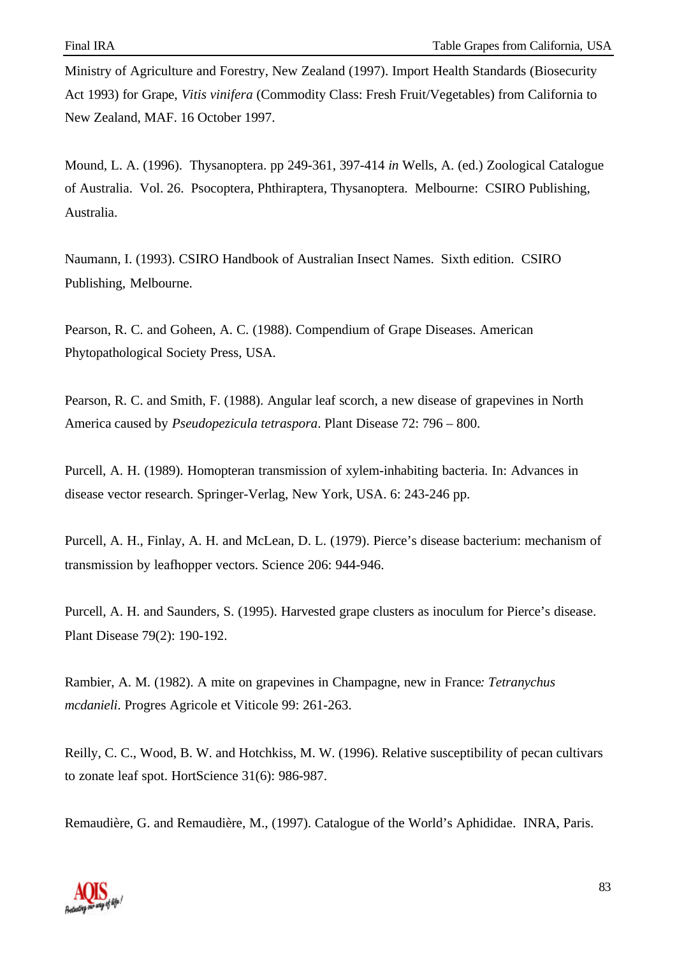Ministry of Agriculture and Forestry, New Zealand (1997). Import Health Standards (Biosecurity Act 1993) for Grape, *Vitis vinifera* (Commodity Class: Fresh Fruit/Vegetables) from California to New Zealand, MAF. 16 October 1997.

Mound, L. A. (1996). Thysanoptera. pp 249-361, 397-414 *in* Wells, A. (ed.) Zoological Catalogue of Australia. Vol. 26. Psocoptera, Phthiraptera, Thysanoptera. Melbourne: CSIRO Publishing, Australia.

Naumann, I. (1993). CSIRO Handbook of Australian Insect Names. Sixth edition. CSIRO Publishing, Melbourne.

Pearson, R. C. and Goheen, A. C. (1988). Compendium of Grape Diseases. American Phytopathological Society Press, USA.

Pearson, R. C. and Smith, F. (1988). Angular leaf scorch, a new disease of grapevines in North America caused by *Pseudopezicula tetraspora*. Plant Disease 72: 796 – 800.

Purcell, A. H. (1989). Homopteran transmission of xylem-inhabiting bacteria. In: Advances in disease vector research. Springer-Verlag, New York, USA. 6: 243-246 pp.

Purcell, A. H., Finlay, A. H. and McLean, D. L. (1979). Pierce's disease bacterium: mechanism of transmission by leafhopper vectors. Science 206: 944-946.

Purcell, A. H. and Saunders, S. (1995). Harvested grape clusters as inoculum for Pierce's disease. Plant Disease 79(2): 190-192.

Rambier, A. M. (1982). A mite on grapevines in Champagne, new in France*: Tetranychus mcdanieli*. Progres Agricole et Viticole 99: 261-263.

Reilly, C. C., Wood, B. W. and Hotchkiss, M. W. (1996). Relative susceptibility of pecan cultivars to zonate leaf spot. HortScience 31(6): 986-987.

Remaudière, G. and Remaudière, M., (1997). Catalogue of the World's Aphididae. INRA, Paris.

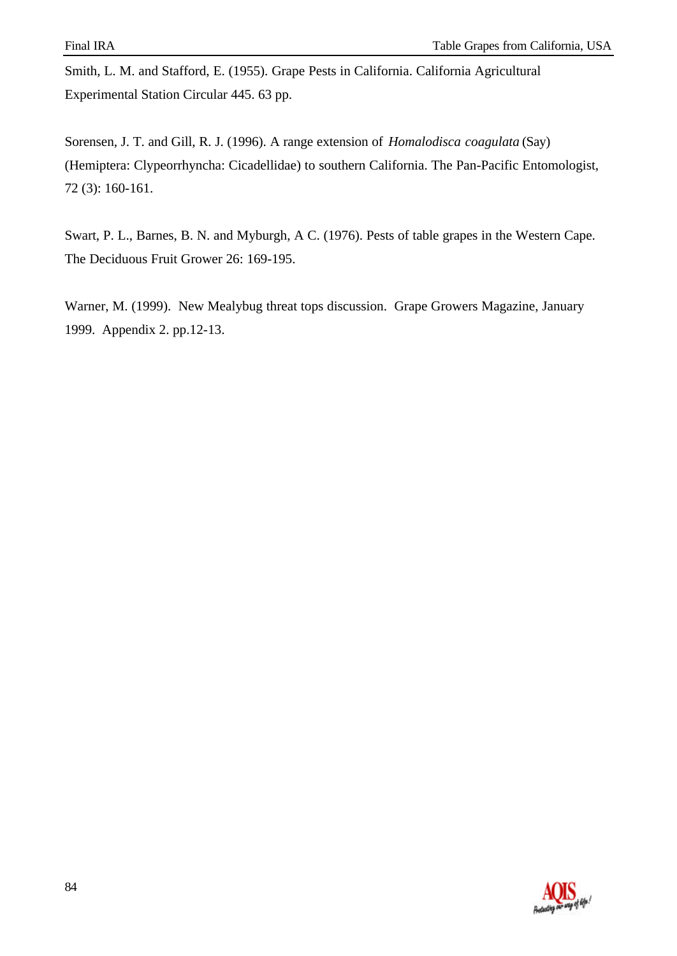Smith, L. M. and Stafford, E. (1955). Grape Pests in California. California Agricultural Experimental Station Circular 445. 63 pp.

Sorensen, J. T. and Gill, R. J. (1996). A range extension of *Homalodisca coagulata* (Say) (Hemiptera: Clypeorrhyncha: Cicadellidae) to southern California. The Pan-Pacific Entomologist, 72 (3): 160-161.

Swart, P. L., Barnes, B. N. and Myburgh, A C. (1976). Pests of table grapes in the Western Cape. The Deciduous Fruit Grower 26: 169-195.

Warner, M. (1999). New Mealybug threat tops discussion. Grape Growers Magazine, January 1999. Appendix 2. pp.12-13.

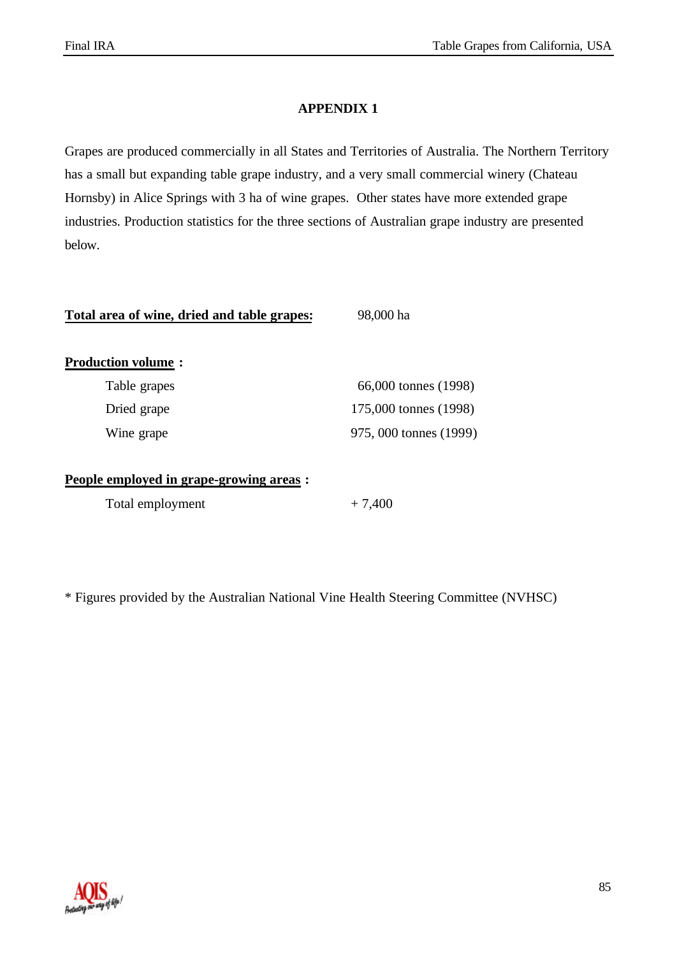## **APPENDIX 1**

Grapes are produced commercially in all States and Territories of Australia. The Northern Territory has a small but expanding table grape industry, and a very small commercial winery (Chateau Hornsby) in Alice Springs with 3 ha of wine grapes. Other states have more extended grape industries. Production statistics for the three sections of Australian grape industry are presented below.

| Total area of wine, dried and table grapes: | 98,000 ha              |
|---------------------------------------------|------------------------|
| <b>Production volume:</b>                   |                        |
| Table grapes                                | 66,000 tonnes (1998)   |
| Dried grape                                 | 175,000 tonnes (1998)  |
| Wine grape                                  | 975, 000 tonnes (1999) |
| People employed in grape-growing areas :    |                        |
| Total employment                            | $+7,400$               |

\* Figures provided by the Australian National Vine Health Steering Committee (NVHSC)

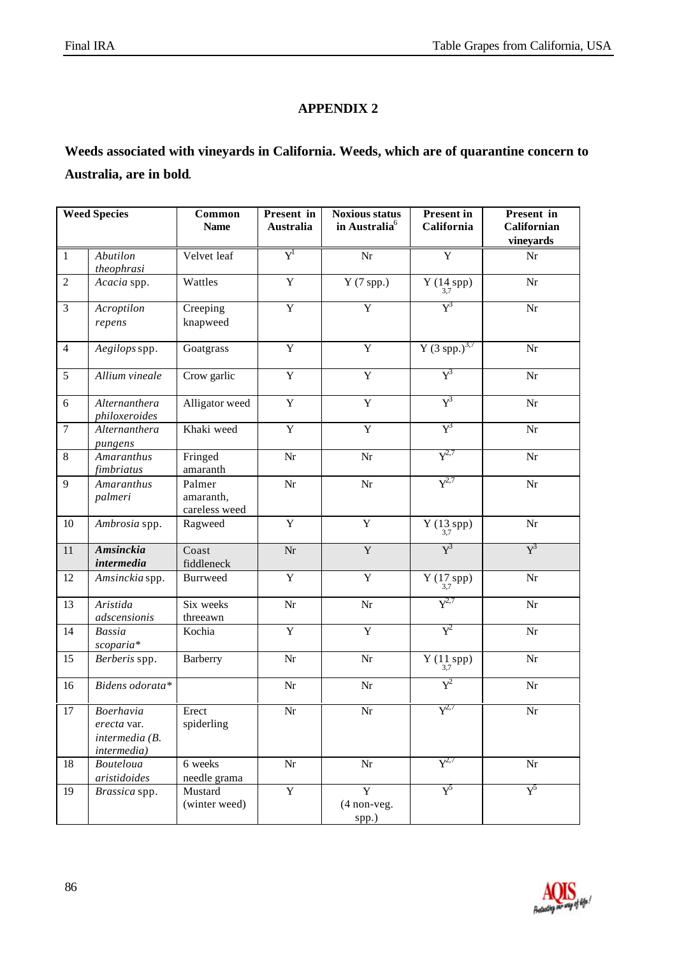# **APPENDIX 2**

# **Weeds associated with vineyards in California. Weeds, which are of quarantine concern to Australia, are in bold**.

|                  | <b>Weed Species</b>                                       | Common<br><b>Name</b>                | Present in<br><b>Australia</b> | <b>Noxious status</b><br>in Australia <sup>6</sup> | <b>Present</b> in<br>California            | Present in<br>Californian<br>vineyards |
|------------------|-----------------------------------------------------------|--------------------------------------|--------------------------------|----------------------------------------------------|--------------------------------------------|----------------------------------------|
| $\,1\,$          | Abutilon<br>theophrasi                                    | Velvet leaf                          | $\overline{Y}^1$               | Nr                                                 | Y                                          | Nr                                     |
| $\sqrt{2}$       | Acacia spp.                                               | Wattles                              | $\mathbf Y$                    | $Y(7$ spp.)                                        | Y $(14 \text{ spp})$<br>$(14 \text{ spp})$ | Nr                                     |
| 3                | Acroptilon<br>repens                                      | Creeping<br>knapweed                 | $\overline{Y}$                 | $\overline{Y}$                                     | $\text{Y}^3$                               | Nr                                     |
| $\overline{4}$   | Aegilops spp.                                             | Goatgrass                            | $\overline{Y}$                 | $\overline{Y}$                                     | $\sqrt{(3 \text{ spp.})^{3.7}}$            | Nr                                     |
| 5                | Allium vineale                                            | Crow garlic                          | $\overline{Y}$                 | $\overline{Y}$                                     | $\text{Y}^3$                               | Nr                                     |
| 6                | Alternanthera<br>philoxeroides                            | Alligator weed                       | $\mathbf Y$                    | Y                                                  | $Y^3$                                      | Nr                                     |
| $\boldsymbol{7}$ | Alternanthera<br>pungens                                  | Khaki weed                           | $\overline{Y}$                 | $\overline{Y}$                                     | $Y^3$                                      | Nr                                     |
| 8                | Amaranthus<br>fimbriatus                                  | Fringed<br>amaranth                  | Nr                             | Nr                                                 | $Y^{2,7}$                                  | Nr                                     |
| 9                | Amaranthus<br>palmeri                                     | Palmer<br>amaranth,<br>careless weed | Nr                             | $\rm{Nr}$                                          | $Y^{2,7}$                                  | Nr                                     |
| $10\,$           | Ambrosia spp.                                             | Ragweed                              | $\mathbf Y$                    | Y                                                  | Y $(13_{3,7}\,\mathrm{spp})$               | Nr                                     |
| 11               | <b>Amsinckia</b><br>intermedia                            | Coast<br>fiddleneck                  | Nr                             | $\mathbf Y$                                        | $Y^3$                                      | $Y^3$                                  |
| 12               | Amsinckia spp.                                            | <b>Burrweed</b>                      | $\mathbf Y$                    | $\mathbf Y$                                        | Y $(17_{3,7}\,\mathrm{spp})$               | Nr                                     |
| 13               | Aristida<br>adscensionis                                  | Six weeks<br>threeawn                | Nr                             | Nr                                                 | $Y^{2,7}$                                  | Nr                                     |
| 14               | Bassia<br>scoparia*                                       | Kochia                               | $\mathbf Y$                    | $\mathbf Y$                                        | $Y^2$                                      | Nr                                     |
| 15               | Berberis spp.                                             | <b>Barberry</b>                      | Nr                             | Nr                                                 | Y $(11$ spp) $_{3,7}$                      | Nr                                     |
| 16               | Bidens odorata*                                           |                                      | Nr                             | $\rm{Nr}$                                          | $Y^2$                                      | Nr                                     |
| 17               | Boerhavia<br>erecta var.<br>intermedia (B.<br>intermedia) | Erect<br>spiderling                  | Nr                             | Nr                                                 | $Y^{2,7}$                                  | Nr                                     |
| 18               | <b>Bouteloua</b><br>aristidoides                          | 6 weeks<br>needle grama              | Nr                             | $\rm{Nr}$                                          | $Y^{2,7}$                                  | $\rm{Nr}$                              |
| 19               | Brassica spp.                                             | Mustard<br>(winter weed)             | $\overline{Y}$                 | $\overline{Y}$<br>$(4$ non-veg.<br>spp.)           | $Y^5$                                      | $\rm Y^5$                              |

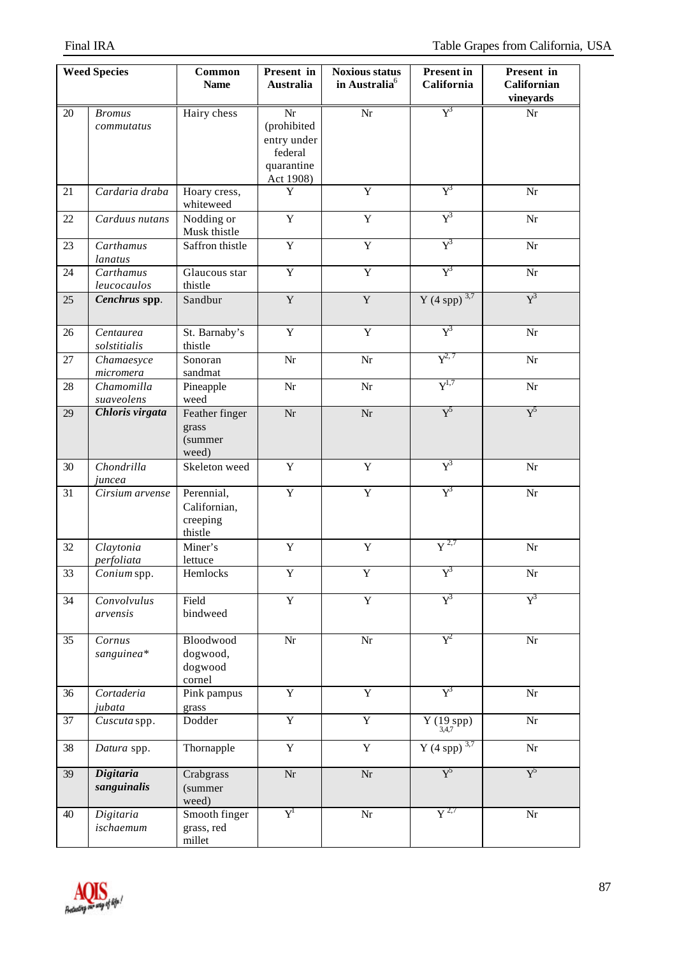|                 | <b>Weed Species</b>             | Common<br><b>Name</b>                             | Present in<br><b>Australia</b>                                         | <b>Noxious status</b><br>in Australia <sup>6</sup> | <b>Present in</b><br>California | Present in<br><b>Californian</b><br>vineyards |
|-----------------|---------------------------------|---------------------------------------------------|------------------------------------------------------------------------|----------------------------------------------------|---------------------------------|-----------------------------------------------|
| 20              | <b>Bromus</b><br>commutatus     | Hairy chess                                       | Nr<br>(prohibited<br>entry under<br>federal<br>quarantine<br>Act 1908) | $\overline{\text{Nr}}$                             | $\overline{Y}^3$                | $\rm{Nr}$                                     |
| 21              | Cardaria draba                  | Hoary cress,<br>whiteweed                         | Y                                                                      | $\overline{Y}$                                     | $Y^3$                           | Nr                                            |
| 22              | Carduus nutans                  | Nodding or<br>Musk thistle                        | $\overline{Y}$                                                         | Y                                                  | $Y^3$                           | Nr                                            |
| 23              | Carthamus<br>lanatus            | Saffron thistle                                   | $\overline{Y}$                                                         | $\overline{Y}$                                     | $\text{Y}^3$                    | Nr                                            |
| 24              | Carthamus<br>leucocaulos        | Glaucous star<br>thistle                          | $\overline{Y}$                                                         | $\overline{Y}$                                     | $\text{Y}^3$                    | Nr                                            |
| 25              | Cenchrus spp.                   | Sandbur                                           | $\mathbf Y$                                                            | $\mathbf Y$                                        | Y (4 spp) $3,7$                 | $Y^3$                                         |
| 26              | Centaurea<br>solstitialis       | St. Barnaby's<br>thistle                          | $\overline{Y}$                                                         | $\overline{Y}$                                     | $Y^3$                           | Nr                                            |
| 27              | Chamaesyce<br>micromera         | Sonoran<br>sandmat                                | Nr                                                                     | Nr                                                 | $Y^{2,7}$                       | Nr                                            |
| 28              | Chamomilla<br>suaveolens        | Pineapple<br>weed                                 | Nr                                                                     | Nr                                                 | $Y^{1,7}$                       | Nr                                            |
| 29              | Chloris virgata                 | Feather finger<br>grass<br>(summer<br>weed)       | Nr                                                                     | $\rm{Nr}$                                          | $Y^5$                           | ${\rm Y}^5$                                   |
| 30              | Chondrilla<br>juncea            | Skeleton weed                                     | $\mathbf Y$                                                            | $\mathbf Y$                                        | $Y^3$                           | $\rm{Nr}$                                     |
| 31              | Cirsium arvense                 | Perennial,<br>Californian,<br>creeping<br>thistle | $\overline{Y}$                                                         | $\mathbf Y$                                        | $\text{Y}^3$                    | $\rm{Nr}$                                     |
| 32              | Claytonia<br>perfoliata         | Miner's<br>lettuce                                | $\mathbf Y$                                                            | $\mathbf Y$                                        | $\overline{Y}^{2,7}$            | Nr                                            |
| $\overline{33}$ | Conium spp.                     | Hemlocks                                          | $\overline{\textbf{Y}}$                                                | Y                                                  | $Y^3$                           | Nr                                            |
| 34              | Convolvulus<br>arvensis         | Field<br>bindweed                                 | $\overline{Y}$                                                         | $\overline{Y}$                                     | $Y^3$                           | $Y^3$                                         |
| 35              | Cornus<br>sanguinea*            | Bloodwood<br>dogwood,<br>dogwood<br>cornel        | $\rm{Nr}$                                                              | Nr                                                 | $Y^2$                           | $\rm{Nr}$                                     |
| 36              | Cortaderia<br>jubata            | Pink pampus<br>grass                              | $\overline{Y}$                                                         | $\overline{Y}$                                     | $Y^3$                           | Nr                                            |
| 37              | Cuscuta spp.                    | Dodder                                            | $\overline{Y}$                                                         | $\mathbf Y$                                        | Y $(\substack{19\\3,4,7}spp)$   | Nr                                            |
| 38              | Datura spp.                     | Thornapple                                        | $\mathbf Y$                                                            | $\mathbf Y$                                        | Y (4 spp) $3,7$                 | $\rm{Nr}$                                     |
| 39              | <b>Digitaria</b><br>sanguinalis | Crabgrass<br>(summer<br>weed)                     | $\rm{Nr}$                                                              | Nr                                                 | $Y^5$                           | ${\rm Y}^5$                                   |
| 40              | Digitaria<br>ischaemum          | Smooth finger<br>grass, red<br>millet             | $Y^1$                                                                  | $\rm{Nr}$                                          | $\overline{Y^{2,7}}$            | $\rm{Nr}$                                     |

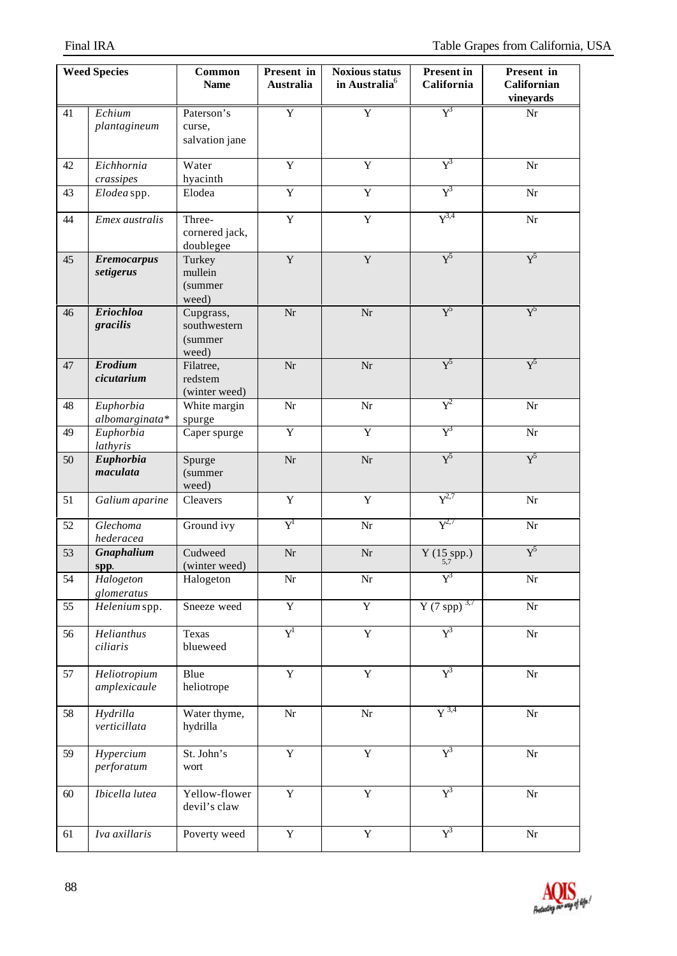|    | <b>Weed Species</b>             | Common<br><b>Name</b>                          | Present in<br><b>Australia</b> | <b>Noxious status</b><br>in Australia <sup>6</sup> | <b>Present in</b><br>California     | Present in<br>Californian<br>vineyards |
|----|---------------------------------|------------------------------------------------|--------------------------------|----------------------------------------------------|-------------------------------------|----------------------------------------|
| 41 | Echium<br>plantagineum          | Paterson's<br>curse,<br>salvation jane         | $\overline{Y}$                 | $\overline{Y}$                                     | $\overline{Y}^3$                    | $\rm{Nr}$                              |
| 42 | Eichhornia<br>crassipes         | Water<br>hyacinth                              | $\overline{Y}$                 | $\overline{Y}$                                     | $Y^3$                               | Nr                                     |
| 43 | Elodea spp.                     | Elodea                                         | $\overline{Y}$                 | $\overline{Y}$                                     | $Y^3$                               | Nr                                     |
| 44 | Emex australis                  | Three-<br>cornered jack,<br>doublegee          | $\mathbf Y$                    | $\mathbf Y$                                        | $Y^{3,4}$                           | Nr                                     |
| 45 | <b>Eremocarpus</b><br>setigerus | Turkey<br>mullein<br>(summer<br>weed)          | Y                              | $\mathbf Y$                                        | $Y^5$                               | $Y^5$                                  |
| 46 | <b>Eriochloa</b><br>gracilis    | Cupgrass,<br>southwestern<br>(summer)<br>weed) | Nr                             | $\rm{Nr}$                                          | ${\rm Y}^5$                         | ${\rm Y}^5$                            |
| 47 | <b>Erodium</b><br>cicutarium    | Filatree,<br>redstem<br>(winter weed)          | Nr                             | Nr                                                 | ${\rm Y}^5$                         | ${\rm Y}^5$                            |
| 48 | Euphorbia<br>albomarginata*     | White margin<br>spurge                         | Nr                             | $\rm{Nr}$                                          | $Y^2$                               | Nr                                     |
| 49 | Euphorbia<br>lathyris           | Caper spurge                                   | $\overline{Y}$                 | $\overline{Y}$                                     | $Y^3$                               | Nr                                     |
| 50 | Euphorbia<br>maculata           | Spurge<br>(summer<br>weed)                     | Nr                             | Nr                                                 | $Y^5$                               | $Y^5$                                  |
| 51 | Galium aparine                  | Cleavers                                       | $\mathbf Y$                    | $\mathbf Y$                                        | $Y^{2,7}$                           | Nr                                     |
| 52 | Glechoma<br>hederacea           | Ground ivy                                     | $\mathrm{Y}^{\mathrm{l}}$      | Nr                                                 | $Y^{2,7}$                           | Nr                                     |
| 53 | Gnaphalium<br>spp.              | Cudweed<br>(winter weed)                       | Nr                             | Nr                                                 | Y $(15$ <sub>5,7</sub> pp.)         | $Y^5$                                  |
| 54 | Halogeton<br>glomeratus         | Halogeton                                      | $\rm{Nr}$                      | Nr                                                 | $Y^3$                               | $\rm{Nr}$                              |
| 55 | Helenium spp.                   | Sneeze weed                                    | $\overline{Y}$                 | $\overline{Y}$                                     | $\overline{Y(7 \text{ spp})}^{3,7}$ | $\overline{\text{Nr}}$                 |
| 56 | Helianthus<br>ciliaris          | Texas<br>blueweed                              | $Y^1$                          | Y                                                  | $Y^3$                               | Nr                                     |
| 57 | Heliotropium<br>amplexicaule    | Blue<br>heliotrope                             | $\mathbf Y$                    | $\mathbf Y$                                        | $Y^3$                               | $\rm{Nr}$                              |
| 58 | Hydrilla<br>verticillata        | Water thyme,<br>hydrilla                       | Nr                             | $\rm{Nr}$                                          | $\overline{Y}^{3,4}$                | $\rm{Nr}$                              |
| 59 | Hypercium<br>perforatum         | St. John's<br>wort                             | $\mathbf Y$                    | $\mathbf Y$                                        | $Y^3$                               | Nr                                     |
| 60 | Ibicella lutea                  | Yellow-flower<br>devil's claw                  | $\mathbf Y$                    | $\mathbf Y$                                        | $Y^3$                               | $\rm{Nr}$                              |
| 61 | Iva axillaris                   | Poverty weed                                   | $\mathbf Y$                    | $\mathbf Y$                                        | $Y^3$                               | Nr                                     |

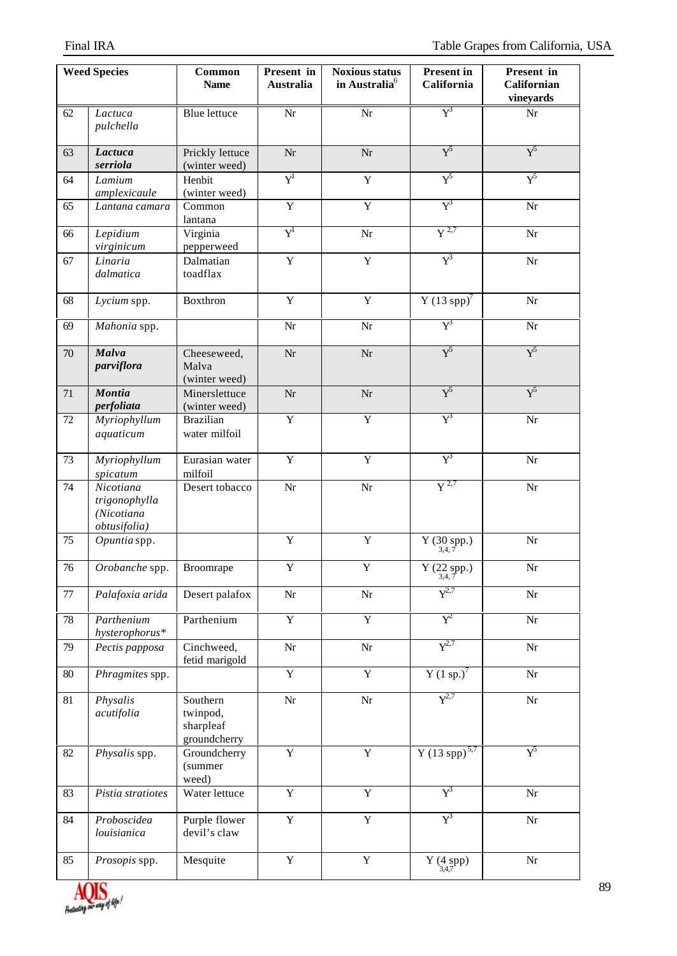|                 | <b>Weed Species</b>                                      | Common<br><b>Name</b>                             | Present in<br>Australia              | <b>Noxious status</b><br>in Australia <sup>6</sup> | <b>Present in</b><br>California                       | Present in<br><b>Californian</b><br>vineyards |
|-----------------|----------------------------------------------------------|---------------------------------------------------|--------------------------------------|----------------------------------------------------|-------------------------------------------------------|-----------------------------------------------|
| 62              | Lactuca<br>pulchella                                     | <b>Blue lettuce</b>                               | $\overline{\text{Nr}}$               | $\overline{\text{Nr}}$                             | $Y^3$                                                 | $\rm{Nr}$                                     |
| 63              | Lactuca<br>serriola                                      | Prickly lettuce<br>(winter weed)                  | Nr                                   | Nr                                                 | $Y^5$                                                 | $\text{Y}^5$                                  |
| 64              | Lamium<br>amplexicaule                                   | Henbit<br>(winter weed)                           | $\boldsymbol{\mathrm{Y}}^{\text{l}}$ | $\mathbf Y$                                        | ${\rm Y}^5$                                           | $\text{Y}^5$                                  |
| 65              | Lantana camara                                           | Common<br>lantana                                 | $\overline{Y}$                       | $\overline{Y}$                                     | $Y^3$                                                 | $\rm{Nr}$                                     |
| 66              | Lepidium<br>virginicum                                   | Virginia<br>pepperweed                            | $\operatorname{Y}^{\text{\rm l}}$    | Nr                                                 | $\overline{Y}^{2,7}$                                  | $\rm{Nr}$                                     |
| 67              | Linaria<br>dalmatica                                     | Dalmatian<br>toadflax                             | $\mathbf Y$                          | $\mathbf Y$                                        | $Y^3$                                                 | $\rm{Nr}$                                     |
| 68              | Lycium spp.                                              | <b>Boxthron</b>                                   | $\mathbf Y$                          | $\mathbf Y$                                        | $Y(13$ spp $)^7$                                      | Nr                                            |
| 69              | Mahonia spp.                                             |                                                   | $\rm Nr$                             | $\rm{Nr}$                                          | $\text{Y}^{\!3}$                                      | Nr                                            |
| $70\,$          | Malva<br>parviflora                                      | Cheeseweed,<br>Malva<br>(winter weed)             | Nr                                   | Nr                                                 | $Y^5$                                                 | $\overline{Y}^5$                              |
| 71              | <b>Montia</b><br>perfoliata                              | Minerslettuce<br>(winter weed)                    | Nr                                   | $\rm{Nr}$                                          | $Y^5$                                                 | $Y^5$                                         |
| 72              | Myriophyllum<br>aquaticum                                | <b>Brazilian</b><br>water milfoil                 | $\overline{Y}$                       | $\overline{Y}$                                     | $Y^3$                                                 | $\rm{Nr}$                                     |
| 73              | Myriophyllum<br>spicatum                                 | Eurasian water<br>milfoil                         | $\mathbf Y$                          | Y                                                  | $Y^3$                                                 | Nr                                            |
| 74              | Nicotiana<br>trigonophylla<br>(Nicotiana<br>obtusifolia) | Desert tobacco                                    | $\rm Nr$                             | Nr                                                 | $Y^{2,7}$                                             | Nr                                            |
| 75              | Opuntia spp.                                             |                                                   | $\mathbf Y$                          | $\mathbf Y$                                        | $Y(30$ spp.)<br>3,4,7                                 | Nr                                            |
| $\overline{76}$ | Orobanche spp.                                           | Broomrape                                         | Y                                    | Y                                                  | Y $(22$ spp.)<br>3,4,7                                | Nr                                            |
| $77\,$          | Palafoxia arida                                          | Desert palafox                                    | Nr                                   | $\rm{Nr}$                                          | $Y^{2,7}$                                             | Nr                                            |
| $78\,$          | Parthenium<br>hysterophorus*                             | Parthenium                                        | $\mathbf Y$                          | $\mathbf Y$                                        | $Y^2$                                                 | Nr                                            |
| 79              | Pectis papposa                                           | Cinchweed,<br>fetid marigold                      | $\rm Nr$                             | $\rm{Nr}$                                          | $Y^{2,7}$                                             | $\rm{Nr}$                                     |
| $80\,$          | Phragmites spp.                                          |                                                   | $\overline{Y}$                       | $\overline{Y}$                                     | $\overline{Y(1 \text{ sp.})}^7$                       | Nr                                            |
| 81              | Physalis<br>acutifolia                                   | Southern<br>twinpod,<br>sharpleaf<br>groundcherry | $\rm Nr$                             | $\rm{Nr}$                                          | $Y^{2,7}$                                             | $\rm{Nr}$                                     |
| 82              | Physalis spp.                                            | Groundcherry<br>(summer<br>weed)                  | $\overline{Y}$                       | $\overline{Y}$                                     | $\overline{Y(13 \text{ spp})}^{5,7}$                  | ${\rm Y}^5$                                   |
| 83              | Pistia stratiotes                                        | Water lettuce                                     | $\overline{Y}$                       | $\overline{Y}$                                     | $Y^3$                                                 | $\rm{Nr}$                                     |
| 84              | Proboscidea<br>louisianica                               | Purple flower<br>devil's claw                     | $\mathbf Y$                          | $\mathbf Y$                                        | $Y^3$                                                 | $\rm{Nr}$                                     |
| 85              | Prosopis spp.                                            | Mesquite                                          | $\mathbf Y$                          | $\mathbf Y$                                        | $\Upsilon\left( \underset{3,4,7}{4}\text{spp}\right)$ | $\rm{Nr}$                                     |

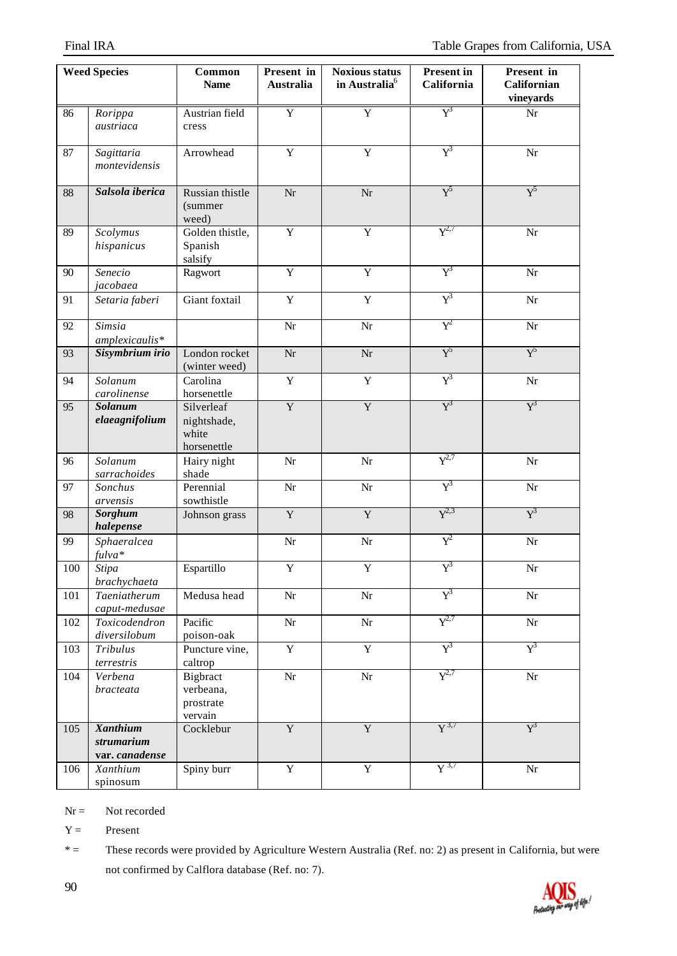|         | <b>Weed Species</b>                             | Common<br><b>Name</b>                             | Present in<br>Australia | <b>Noxious status</b><br>in Australia <sup>6</sup> | <b>Present in</b><br>California | Present in<br><b>Californian</b><br>vineyards |
|---------|-------------------------------------------------|---------------------------------------------------|-------------------------|----------------------------------------------------|---------------------------------|-----------------------------------------------|
| 86      | Rorippa<br>austriaca                            | Austrian field<br>cress                           | $\overline{Y}$          | $\overline{Y}$                                     | $Y^3$                           | $\rm{Nr}$                                     |
| 87      | Sagittaria<br>montevidensis                     | Arrowhead                                         | $\overline{Y}$          | $\overline{Y}$                                     | $Y^3$                           | $\rm{Nr}$                                     |
| 88      | Salsola iberica                                 | Russian thistle<br>(summer<br>weed)               | Nr                      | $\rm{Nr}$                                          | $Y^5$                           | $Y^5$                                         |
| 89      | Scolymus<br>hispanicus                          | Golden thistle,<br>Spanish<br>salsify             | $\overline{Y}$          | $\overline{Y}$                                     | $Y^{2,7}$                       | $\rm{Nr}$                                     |
| 90      | Senecio<br>jacobaea                             | Ragwort                                           | $\mathbf Y$             | Y                                                  | $Y^3$                           | Nr                                            |
| 91      | Setaria faberi                                  | Giant foxtail                                     | $\mathbf Y$             | Y                                                  | $\text{Y}^3$                    | $\rm{Nr}$                                     |
| 92      | Simsia<br>amplexicaulis*                        |                                                   | $\rm Nr$                | $\rm{Nr}$                                          | $\rm Y^2$                       | Nr                                            |
| 93      | Sisymbrium irio                                 | London rocket<br>(winter weed)                    | $\rm{Nr}$               | Nr                                                 | ${\rm Y}^5$                     | $Y^5$                                         |
| 94      | Solanum<br>carolinense                          | Carolina<br>horsenettle                           | $\mathbf Y$             | Y                                                  | $\text{Y}^3$                    | $\rm{Nr}$                                     |
| 95      | <b>Solanum</b><br>elaeagnifolium                | Silverleaf<br>nightshade,<br>white<br>horsenettle | $\overline{Y}$          | $\overline{Y}$                                     | $Y^3$                           | $Y^3$                                         |
| 96      | Solanum<br>sarrachoides                         | Hairy night<br>shade                              | Nr                      | Nr                                                 | $Y^{2,7}$                       | Nr                                            |
| 97      | Sonchus<br>arvensis                             | Perennial<br>sowthistle                           | Nr                      | Nr                                                 | $Y^3$                           | Nr                                            |
| 98      | Sorghum<br>halepense                            | Johnson grass                                     | $\mathbf Y$             | Y                                                  | $Y^{2,3}$                       | $Y^3$                                         |
| 99      | Sphaeralcea<br>fulva*                           |                                                   | Nr                      | Nr                                                 | $Y^2$                           | $\rm{Nr}$                                     |
| $100\,$ | Stipa<br>brachychaeta                           | Espartillo                                        | $\mathbf Y$             | $\mathbf Y$                                        | ${\rm Y}^3$                     | $\rm{Nr}$                                     |
| 101     | Taeniatherum<br>caput-medusae                   | Medusa head                                       | $\rm{Nr}$               | $\rm{Nr}$                                          | $Y^3$                           | $\rm{Nr}$                                     |
| 102     | Toxicodendron<br>diversilobum                   | Pacific<br>poison-oak                             | $\rm{Nr}$               | $\rm{Nr}$                                          | $Y^{2,7}$                       | $\rm{Nr}$                                     |
| 103     | Tribulus<br>terrestris                          | Puncture vine,<br>caltrop                         | $\overline{Y}$          | $\mathbf Y$                                        | $Y^3$                           | $Y^3$                                         |
| 104     | Verbena<br>bracteata                            | Bigbract<br>verbeana,<br>prostrate<br>vervain     | $\rm{Nr}$               | $\rm{Nr}$                                          | $Y^{2,7}$                       | $\rm{Nr}$                                     |
| 105     | <b>Xanthium</b><br>strumarium<br>var. canadense | Cocklebur                                         | $\overline{Y}$          | $\overline{\mathbf{Y}}$                            | ${\rm Y}^{3,7}$                 | $Y^3$                                         |
| 106     | Xanthium<br>spinosum                            | Spiny burr                                        | $\overline{Y}$          | $\overline{Y}$                                     | $\mathrm{Y}^{3,7}$              | $\rm{Nr}$                                     |

 $Nr =$  Not recorded

 $Y =$  Present

\* = These records were provided by Agriculture Western Australia (Ref. no: 2) as present in California, but were not confirmed by Calflora database (Ref. no: 7).

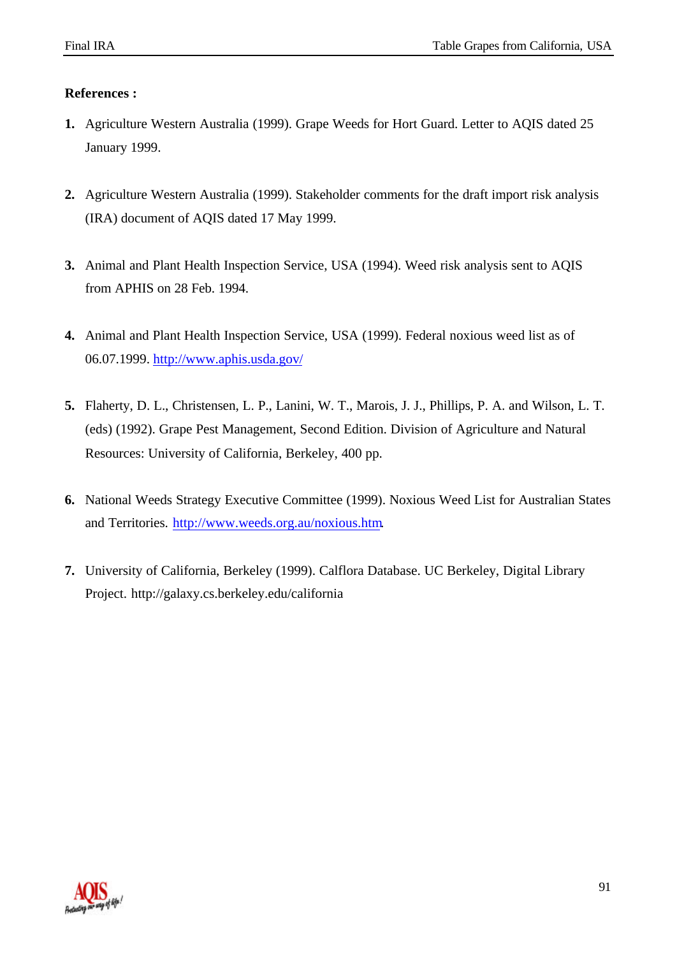## **References :**

- **1.** Agriculture Western Australia (1999). Grape Weeds for Hort Guard. Letter to AQIS dated 25 January 1999.
- **2.** Agriculture Western Australia (1999). Stakeholder comments for the draft import risk analysis (IRA) document of AQIS dated 17 May 1999.
- **3.** Animal and Plant Health Inspection Service, USA (1994). Weed risk analysis sent to AQIS from APHIS on 28 Feb. 1994.
- **4.** Animal and Plant Health Inspection Service, USA (1999). Federal noxious weed list as of 06.07.1999. http://www.aphis.usda.gov/
- **5.** Flaherty, D. L., Christensen, L. P., Lanini, W. T., Marois, J. J., Phillips, P. A. and Wilson, L. T. (eds) (1992). Grape Pest Management, Second Edition. Division of Agriculture and Natural Resources: University of California, Berkeley, 400 pp.
- **6.** National Weeds Strategy Executive Committee (1999). Noxious Weed List for Australian States and Territories. http://www.weeds.org.au/noxious.htm.
- **7.** University of California, Berkeley (1999). Calflora Database. UC Berkeley, Digital Library Project. http://galaxy.cs.berkeley.edu/california

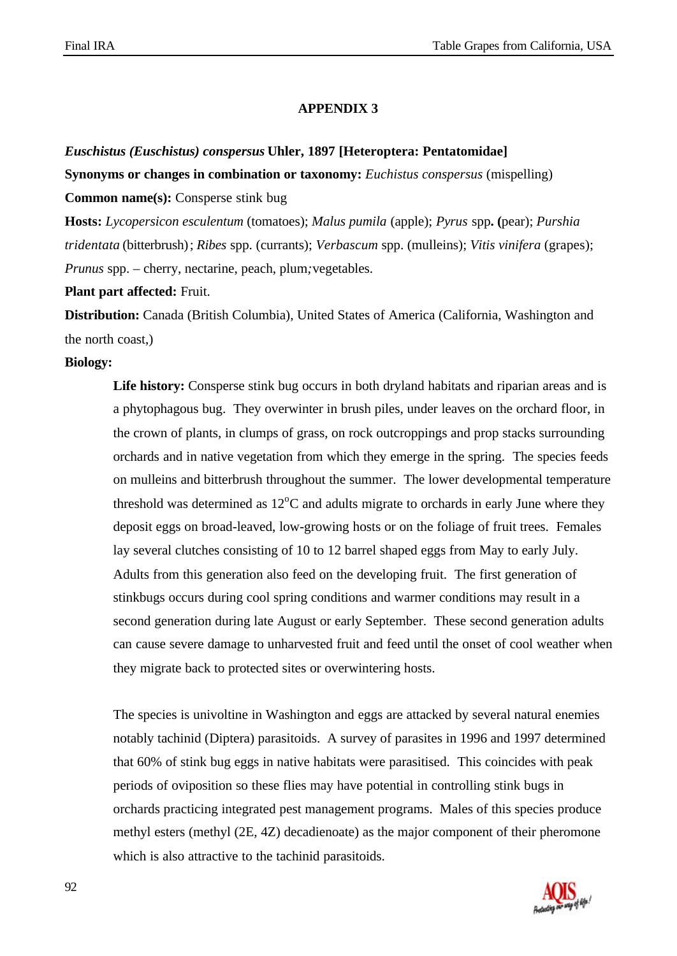### **APPENDIX 3**

### *Euschistus (Euschistus) conspersus* **Uhler, 1897 [Heteroptera: Pentatomidae]**

**Synonyms or changes in combination or taxonomy:** *Euchistus conspersus* (mispelling)

**Common name(s):** Consperse stink bug

**Hosts:** *Lycopersicon esculentum* (tomatoes); *Malus pumila* (apple); *Pyrus* spp**. (**pear); *Purshia tridentata* (bitterbrush); *Ribes* spp. (currants); *Verbascum* spp. (mulleins); *Vitis vinifera* (grapes); *Prunus* spp. – cherry, nectarine, peach, plum*;*vegetables.

**Plant part affected:** Fruit.

**Distribution:** Canada (British Columbia), United States of America (California, Washington and the north coast,)

#### **Biology:**

Life history: Consperse stink bug occurs in both dryland habitats and riparian areas and is a phytophagous bug. They overwinter in brush piles, under leaves on the orchard floor, in the crown of plants, in clumps of grass, on rock outcroppings and prop stacks surrounding orchards and in native vegetation from which they emerge in the spring. The species feeds on mulleins and bitterbrush throughout the summer. The lower developmental temperature threshold was determined as  $12^{\circ}$ C and adults migrate to orchards in early June where they deposit eggs on broad-leaved, low-growing hosts or on the foliage of fruit trees. Females lay several clutches consisting of 10 to 12 barrel shaped eggs from May to early July. Adults from this generation also feed on the developing fruit. The first generation of stinkbugs occurs during cool spring conditions and warmer conditions may result in a second generation during late August or early September. These second generation adults can cause severe damage to unharvested fruit and feed until the onset of cool weather when they migrate back to protected sites or overwintering hosts.

The species is univoltine in Washington and eggs are attacked by several natural enemies notably tachinid (Diptera) parasitoids. A survey of parasites in 1996 and 1997 determined that 60% of stink bug eggs in native habitats were parasitised. This coincides with peak periods of oviposition so these flies may have potential in controlling stink bugs in orchards practicing integrated pest management programs. Males of this species produce methyl esters (methyl (2E, 4Z) decadienoate) as the major component of their pheromone which is also attractive to the tachinid parasitoids.

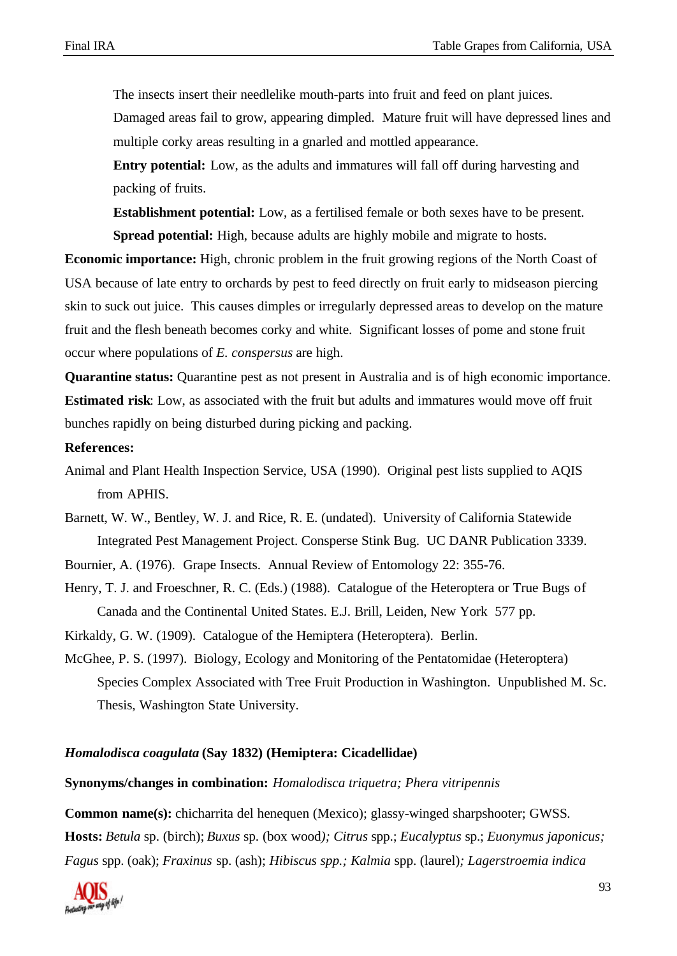The insects insert their needlelike mouth-parts into fruit and feed on plant juices.

Damaged areas fail to grow, appearing dimpled. Mature fruit will have depressed lines and multiple corky areas resulting in a gnarled and mottled appearance.

**Entry potential:** Low, as the adults and immatures will fall off during harvesting and packing of fruits.

**Establishment potential:** Low, as a fertilised female or both sexes have to be present. **Spread potential:** High, because adults are highly mobile and migrate to hosts.

**Economic importance:** High, chronic problem in the fruit growing regions of the North Coast of USA because of late entry to orchards by pest to feed directly on fruit early to midseason piercing skin to suck out juice. This causes dimples or irregularly depressed areas to develop on the mature fruit and the flesh beneath becomes corky and white. Significant losses of pome and stone fruit occur where populations of *E. conspersus* are high.

**Quarantine status:** Quarantine pest as not present in Australia and is of high economic importance. **Estimated risk**: Low, as associated with the fruit but adults and immatures would move off fruit bunches rapidly on being disturbed during picking and packing.

#### **References:**

- Animal and Plant Health Inspection Service, USA (1990). Original pest lists supplied to AQIS from APHIS.
- Barnett, W. W., Bentley, W. J. and Rice, R. E. (undated). University of California Statewide Integrated Pest Management Project. Consperse Stink Bug. UC DANR Publication 3339.
- Bournier, A. (1976). Grape Insects. Annual Review of Entomology 22: 355-76.
- Henry, T. J. and Froeschner, R. C. (Eds.) (1988). Catalogue of the Heteroptera or True Bugs of Canada and the Continental United States. E.J. Brill, Leiden, New York 577 pp.
- Kirkaldy, G. W. (1909). Catalogue of the Hemiptera (Heteroptera). Berlin.
- McGhee, P. S. (1997). Biology, Ecology and Monitoring of the Pentatomidae (Heteroptera) Species Complex Associated with Tree Fruit Production in Washington. Unpublished M. Sc. Thesis, Washington State University.

### *Homalodisca coagulata* **(Say 1832) (Hemiptera: Cicadellidae)**

#### **Synonyms/changes in combination:** *Homalodisca triquetra; Phera vitripennis*

**Common name(s):** chicharrita del henequen (Mexico); glassy-winged sharpshooter; GWSS*.* **Hosts:** *Betula* sp. (birch); *Buxus* sp. (box wood*); Citrus* spp.; *Eucalyptus* sp.; *Euonymus japonicus; Fagus* spp. (oak); *Fraxinus* sp. (ash); *Hibiscus spp.; Kalmia* spp. (laurel)*; Lagerstroemia indica*

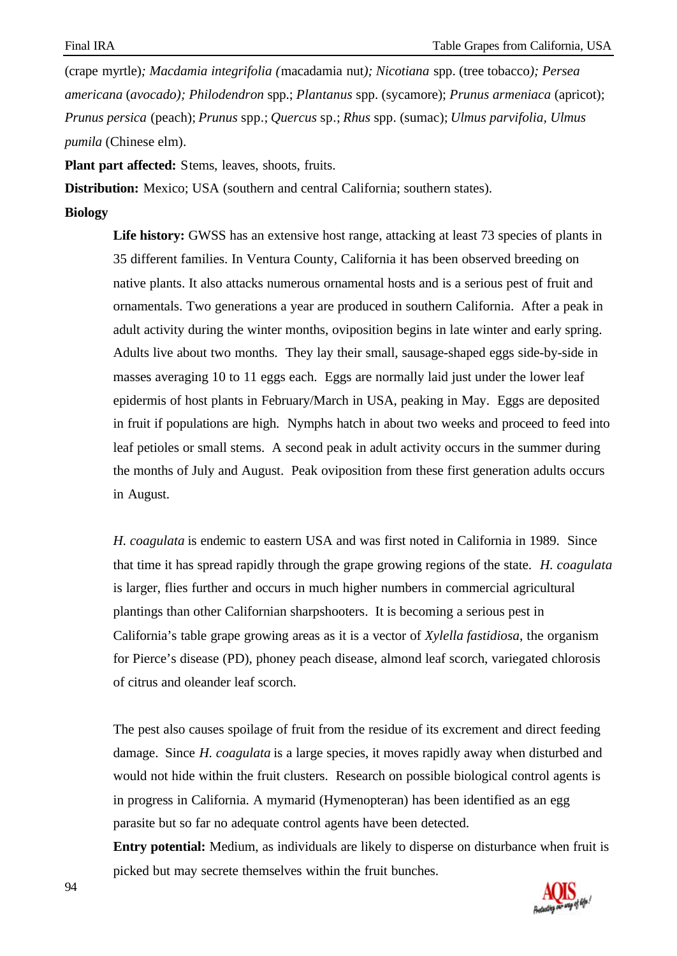(crape myrtle)*; Macdamia integrifolia (*macadamia nut*); Nicotiana* spp. (tree tobacco*); Persea americana* (*avocado); Philodendron* spp.; *Plantanus* spp. (sycamore); *Prunus armeniaca* (apricot); *Prunus persica* (peach); *Prunus* spp.; *Quercus* sp.; *Rhus* spp. (sumac); *Ulmus parvifolia, Ulmus pumila* (Chinese elm).

**Plant part affected:** Stems, leaves, shoots, fruits.

**Distribution:** Mexico; USA (southern and central California; southern states).

**Biology**

Life history: GWSS has an extensive host range, attacking at least 73 species of plants in 35 different families. In Ventura County, California it has been observed breeding on native plants. It also attacks numerous ornamental hosts and is a serious pest of fruit and ornamentals. Two generations a year are produced in southern California. After a peak in adult activity during the winter months, oviposition begins in late winter and early spring. Adults live about two months. They lay their small, sausage-shaped eggs side-by-side in masses averaging 10 to 11 eggs each. Eggs are normally laid just under the lower leaf epidermis of host plants in February/March in USA, peaking in May. Eggs are deposited in fruit if populations are high. Nymphs hatch in about two weeks and proceed to feed into leaf petioles or small stems. A second peak in adult activity occurs in the summer during the months of July and August. Peak oviposition from these first generation adults occurs in August.

*H. coagulata* is endemic to eastern USA and was first noted in California in 1989. Since that time it has spread rapidly through the grape growing regions of the state. *H. coagulata* is larger, flies further and occurs in much higher numbers in commercial agricultural plantings than other Californian sharpshooters. It is becoming a serious pest in California's table grape growing areas as it is a vector of *Xylella fastidiosa*, the organism for Pierce's disease (PD), phoney peach disease, almond leaf scorch, variegated chlorosis of citrus and oleander leaf scorch.

The pest also causes spoilage of fruit from the residue of its excrement and direct feeding damage. Since *H. coagulata* is a large species, it moves rapidly away when disturbed and would not hide within the fruit clusters. Research on possible biological control agents is in progress in California. A mymarid (Hymenopteran) has been identified as an egg parasite but so far no adequate control agents have been detected.

**Entry potential:** Medium, as individuals are likely to disperse on disturbance when fruit is picked but may secrete themselves within the fruit bunches.

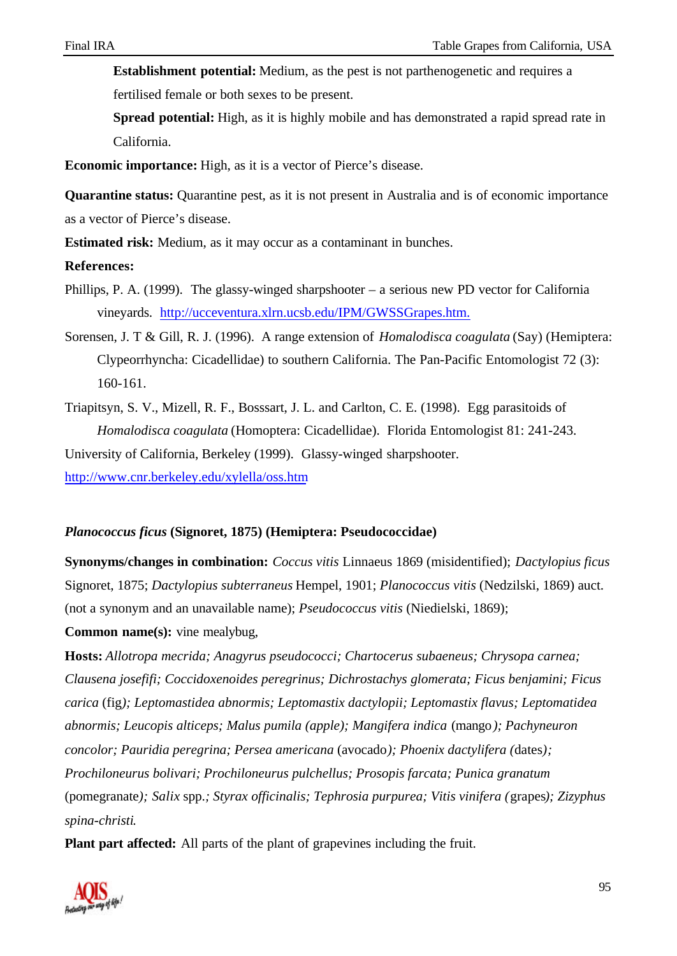**Establishment potential:** Medium, as the pest is not parthenogenetic and requires a fertilised female or both sexes to be present.

**Spread potential:** High, as it is highly mobile and has demonstrated a rapid spread rate in California.

**Economic importance:** High, as it is a vector of Pierce's disease.

**Quarantine status:** Quarantine pest, as it is not present in Australia and is of economic importance as a vector of Pierce's disease.

**Estimated risk:** Medium, as it may occur as a contaminant in bunches.

### **References:**

- Phillips, P. A. (1999). The glassy-winged sharpshooter a serious new PD vector for California vineyards. http://ucceventura.xlrn.ucsb.edu/IPM/GWSSGrapes.htm.
- Sorensen, J. T & Gill, R. J. (1996). A range extension of *Homalodisca coagulata* (Say) (Hemiptera: Clypeorrhyncha: Cicadellidae) to southern California. The Pan-Pacific Entomologist 72 (3): 160-161.
- Triapitsyn, S. V., Mizell, R. F., Bosssart, J. L. and Carlton, C. E. (1998). Egg parasitoids of *Homalodisca coagulata* (Homoptera: Cicadellidae). Florida Entomologist 81: 241-243.

University of California, Berkeley (1999). Glassy-winged sharpshooter. http://www.cnr.berkeley.edu/xylella/oss.htm

## *Planococcus ficus* **(Signoret, 1875) (Hemiptera: Pseudococcidae)**

**Synonyms/changes in combination:** *Coccus vitis* Linnaeus 1869 (misidentified); *Dactylopius ficus* Signoret, 1875; *Dactylopius subterraneus* Hempel, 1901; *Planococcus vitis* (Nedzilski, 1869) auct. (not a synonym and an unavailable name); *Pseudococcus vitis* (Niedielski, 1869);

**Common name(s):** vine mealybug,

**Hosts:** *Allotropa mecrida; Anagyrus pseudococci; Chartocerus subaeneus; Chrysopa carnea; Clausena josefifi; Coccidoxenoides peregrinus; Dichrostachys glomerata; Ficus benjamini; Ficus carica* (fig*); Leptomastidea abnormis; Leptomastix dactylopii; Leptomastix flavus; Leptomatidea abnormis; Leucopis alticeps; Malus pumila (apple); Mangifera indica* (mango*); Pachyneuron concolor; Pauridia peregrina; Persea americana* (avocado*); Phoenix dactylifera (*dates*); Prochiloneurus bolivari; Prochiloneurus pulchellus; Prosopis farcata; Punica granatum* (pomegranate*); Salix* spp.*; Styrax officinalis; Tephrosia purpurea; Vitis vinifera (*grapes*); Zizyphus spina-christi*.

**Plant part affected:** All parts of the plant of grapevines including the fruit.

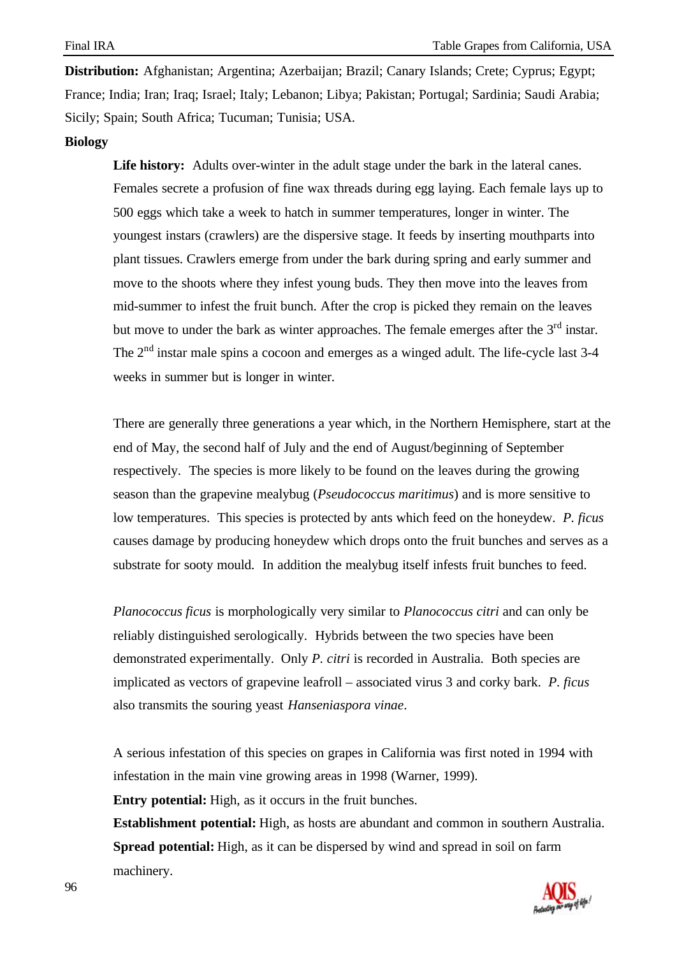**Distribution:** Afghanistan; Argentina; Azerbaijan; Brazil; Canary Islands; Crete; Cyprus; Egypt; France; India; Iran; Iraq; Israel; Italy; Lebanon; Libya; Pakistan; Portugal; Sardinia; Saudi Arabia; Sicily; Spain; South Africa; Tucuman; Tunisia; USA.

### **Biology**

**Life history:** Adults over-winter in the adult stage under the bark in the lateral canes. Females secrete a profusion of fine wax threads during egg laying. Each female lays up to 500 eggs which take a week to hatch in summer temperatures, longer in winter. The youngest instars (crawlers) are the dispersive stage. It feeds by inserting mouthparts into plant tissues. Crawlers emerge from under the bark during spring and early summer and move to the shoots where they infest young buds. They then move into the leaves from mid-summer to infest the fruit bunch. After the crop is picked they remain on the leaves but move to under the bark as winter approaches. The female emerges after the  $3<sup>rd</sup>$  instar. The  $2<sup>nd</sup>$  instar male spins a cocoon and emerges as a winged adult. The life-cycle last 3-4 weeks in summer but is longer in winter.

There are generally three generations a year which, in the Northern Hemisphere, start at the end of May, the second half of July and the end of August/beginning of September respectively. The species is more likely to be found on the leaves during the growing season than the grapevine mealybug (*Pseudococcus maritimus*) and is more sensitive to low temperatures. This species is protected by ants which feed on the honeydew. *P. ficus* causes damage by producing honeydew which drops onto the fruit bunches and serves as a substrate for sooty mould. In addition the mealybug itself infests fruit bunches to feed.

*Planococcus ficus* is morphologically very similar to *Planococcus citri* and can only be reliably distinguished serologically. Hybrids between the two species have been demonstrated experimentally. Only *P. citri* is recorded in Australia. Both species are implicated as vectors of grapevine leafroll – associated virus 3 and corky bark. *P. ficus* also transmits the souring yeast *Hanseniaspora vinae*.

A serious infestation of this species on grapes in California was first noted in 1994 with infestation in the main vine growing areas in 1998 (Warner, 1999).

**Entry potential:** High, as it occurs in the fruit bunches.

**Establishment potential:** High, as hosts are abundant and common in southern Australia. **Spread potential:** High, as it can be dispersed by wind and spread in soil on farm machinery.